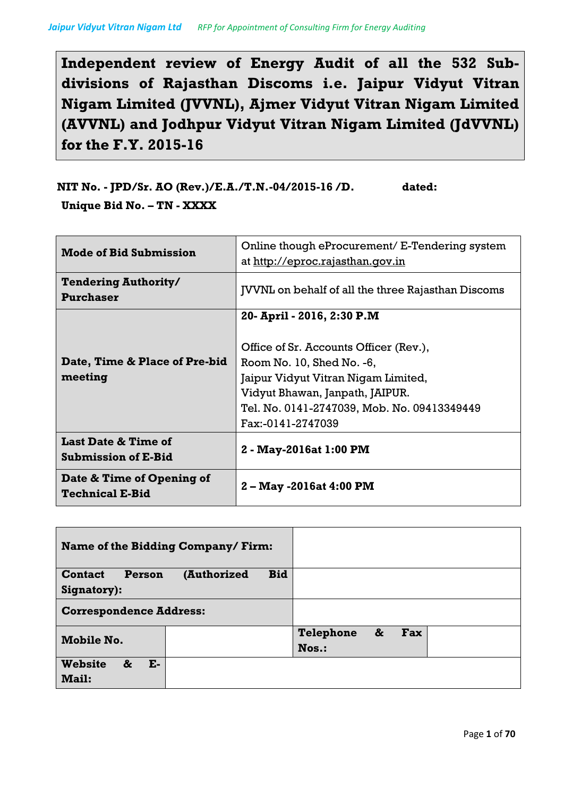**Independent review of Energy Audit of all the 532 Subdivisions of Rajasthan Discoms i.e. Jaipur Vidyut Vitran Nigam Limited (JVVNL), Ajmer Vidyut Vitran Nigam Limited (AVVNL) and Jodhpur Vidyut Vitran Nigam Limited (JdVVNL) for the F.Y. 2015-16**

**NIT No. - JPD/Sr. AO (Rev.)/E.A./T.N.-04/2015-16 /D. dated: Unique Bid No. – TN - XXXX**

| <b>Mode of Bid Submission</b>                                | Online though eProcurement/ E-Tendering system<br>at http://eproc.rajasthan.qov.in |  |
|--------------------------------------------------------------|------------------------------------------------------------------------------------|--|
| <b>Tendering Authority/</b><br>Purchaser                     | <b>JVVNL</b> on behalf of all the three Rajasthan Discoms                          |  |
|                                                              | 20- April - 2016, 2:30 P.M<br>Office of Sr. Accounts Officer (Rev.),               |  |
| Date, Time & Place of Pre-bid                                | Room No. 10, Shed No. -6,                                                          |  |
| meeting                                                      | Jaipur Vidyut Vitran Nigam Limited,                                                |  |
|                                                              | Vidyut Bhawan, Janpath, JAIPUR.                                                    |  |
|                                                              | Tel. No. 0141-2747039, Mob. No. 09413349449                                        |  |
|                                                              | Fax:-0141-2747039                                                                  |  |
| <b>Last Date &amp; Time of</b><br><b>Submission of E-Bid</b> | 2 - May-2016at 1:00 PM                                                             |  |
| Date & Time of Opening of<br><b>Technical E-Bid</b>          | 2 – May -2016at 4:00 PM                                                            |  |

| Name of the Bidding Company/Firm: |  |                  |                 |  |
|-----------------------------------|--|------------------|-----------------|--|
| <b>Contact</b><br>Person          |  |                  |                 |  |
| Signatory):                       |  |                  |                 |  |
| <b>Correspondence Address:</b>    |  |                  |                 |  |
| Mobile No.                        |  | <b>Telephone</b> | &<br><b>Fax</b> |  |
|                                   |  | Nos.:            |                 |  |
| <b>Website</b><br>&<br>Е-         |  |                  |                 |  |
| <b>Mail:</b>                      |  |                  |                 |  |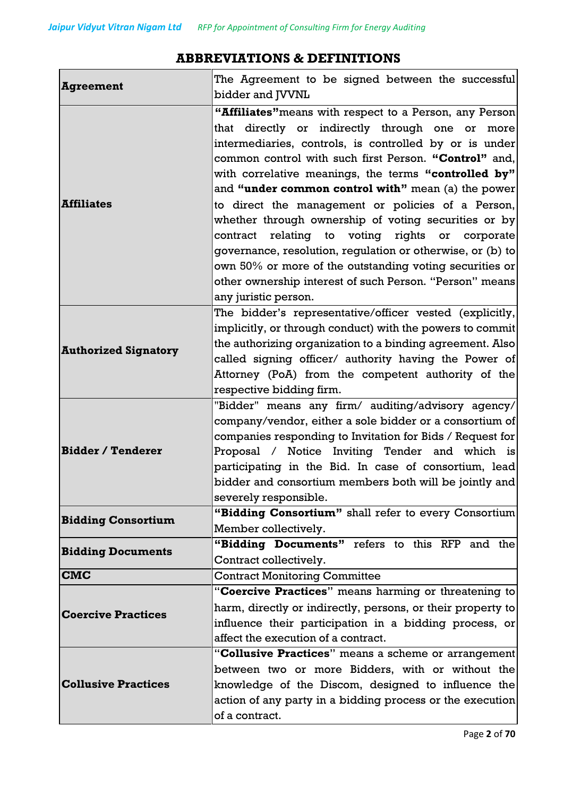### **Agreement** The Agreement to be signed between the successful bidder and JVVNL **Affiliates "Affiliates"**means with respect to a Person, any Person that directly or indirectly through one or more intermediaries, controls, is controlled by or is under common control with such first Person. **"Control"** and, with correlative meanings, the terms **"controlled by"** and **"under common control with"** mean (a) the power to direct the management or policies of a Person, whether through ownership of voting securities or by contract relating to voting rights or corporate governance, resolution, regulation or otherwise, or (b) to own 50% or more of the outstanding voting securities or other ownership interest of such Person. "Person" means any juristic person. **Authorized Signatory** The bidder's representative/officer vested (explicitly, implicitly, or through conduct) with the powers to commit the authorizing organization to a binding agreement. Also called signing officer/ authority having the Power of Attorney (PoA) from the competent authority of the respective bidding firm. **Bidder / Tenderer** "Bidder" means any firm/ auditing/advisory agency/ company/vendor, either a sole bidder or a consortium of companies responding to Invitation for Bids / Request for Proposal / Notice Inviting Tender and which is participating in the Bid. In case of consortium, lead bidder and consortium members both will be jointly and severely responsible. **Bidding Consortium Fidding Consortium**" shall refer to every Consortium Member collectively. **Bidding Documents "Bidding Documents"** refers to this RFP and the Contract collectively. **CMC** Contract Monitoring Committee **Coercive Practices** "**Coercive Practices**" means harming or threatening to harm, directly or indirectly, persons, or their property to influence their participation in a bidding process, or affect the execution of a contract. **Collusive Practices** "**Collusive Practices**" means a scheme or arrangement between two or more Bidders, with or without the knowledge of the Discom, designed to influence the action of any party in a bidding process or the execution of a contract.

### **ABBREVIATIONS & DEFINITIONS**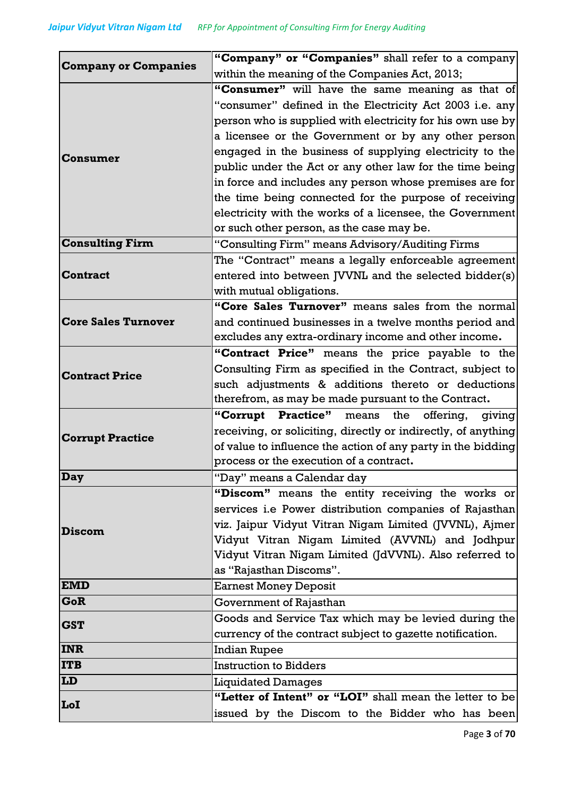| <b>Company or Companies</b> | "Company" or "Companies" shall refer to a company                 |  |
|-----------------------------|-------------------------------------------------------------------|--|
|                             | within the meaning of the Companies Act, 2013;                    |  |
|                             | "Consumer" will have the same meaning as that of                  |  |
|                             | "consumer" defined in the Electricity Act 2003 i.e. any           |  |
|                             | person who is supplied with electricity for his own use by        |  |
|                             | a licensee or the Government or by any other person               |  |
| Consumer                    | engaged in the business of supplying electricity to the           |  |
|                             | public under the Act or any other law for the time being          |  |
|                             | in force and includes any person whose premises are for           |  |
|                             | the time being connected for the purpose of receiving             |  |
|                             | electricity with the works of a licensee, the Government          |  |
|                             | or such other person, as the case may be.                         |  |
| <b>Consulting Firm</b>      | "Consulting Firm" means Advisory/Auditing Firms                   |  |
|                             | The "Contract" means a legally enforceable agreement              |  |
| <b>Contract</b>             | entered into between JVVNL and the selected bidder(s)             |  |
|                             | with mutual obligations.                                          |  |
|                             | "Core Sales Turnover" means sales from the normal                 |  |
| <b>Core Sales Turnover</b>  | and continued businesses in a twelve months period and            |  |
|                             | excludes any extra-ordinary income and other income.              |  |
|                             | "Contract Price" means the price payable to the                   |  |
| <b>Contract Price</b>       | Consulting Firm as specified in the Contract, subject to          |  |
|                             | such adjustments & additions thereto or deductions                |  |
|                             | therefrom, as may be made pursuant to the Contract.               |  |
|                             | <b>Practice</b> " means<br>"Corrupt<br>the<br>offering,<br>giving |  |
| <b>Corrupt Practice</b>     | receiving, or soliciting, directly or indirectly, of anything     |  |
|                             | of value to influence the action of any party in the bidding      |  |
|                             | process or the execution of a contract.                           |  |
| <b>Day</b>                  | "Day" means a Calendar day                                        |  |
|                             | "Discom" means the entity receiving the works or                  |  |
|                             | services i.e Power distribution companies of Rajasthan            |  |
| <b>Discom</b>               | viz. Jaipur Vidyut Vitran Nigam Limited (JVVNL), Ajmer            |  |
|                             | Vidyut Vitran Nigam Limited (AVVNL) and Jodhpur                   |  |
|                             | Vidyut Vitran Nigam Limited (JdVVNL). Also referred to            |  |
|                             | as "Rajasthan Discoms".                                           |  |
| <b>EMD</b>                  | <b>Earnest Money Deposit</b>                                      |  |
| GoR                         | Government of Rajasthan                                           |  |
| <b>GST</b>                  | Goods and Service Tax which may be levied during the              |  |
|                             | currency of the contract subject to gazette notification.         |  |
| <b>INR</b>                  | <b>Indian Rupee</b>                                               |  |
| <b>ITB</b>                  | <b>Instruction to Bidders</b>                                     |  |
| LD                          | <b>Liquidated Damages</b>                                         |  |
| LoI                         | "Letter of Intent" or "LOI" shall mean the letter to be           |  |
|                             | issued by the Discom to the Bidder who has been                   |  |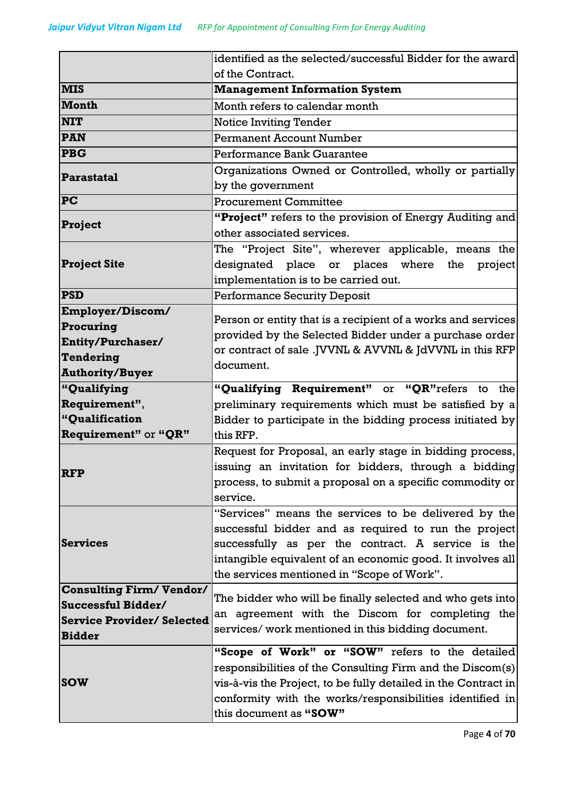|                                  | identified as the selected/successful Bidder for the award                                                                                                                                                                                 |  |  |  |
|----------------------------------|--------------------------------------------------------------------------------------------------------------------------------------------------------------------------------------------------------------------------------------------|--|--|--|
|                                  | of the Contract.                                                                                                                                                                                                                           |  |  |  |
| <b>MIS</b>                       | <b>Management Information System</b>                                                                                                                                                                                                       |  |  |  |
| <b>Month</b>                     | Month refers to calendar month                                                                                                                                                                                                             |  |  |  |
| <b>NIT</b>                       | <b>Notice Inviting Tender</b>                                                                                                                                                                                                              |  |  |  |
| <b>PAN</b>                       | <b>Permanent Account Number</b>                                                                                                                                                                                                            |  |  |  |
| <b>PBG</b>                       | Performance Bank Guarantee                                                                                                                                                                                                                 |  |  |  |
| Parastatal                       | Organizations Owned or Controlled, wholly or partially                                                                                                                                                                                     |  |  |  |
|                                  | by the government                                                                                                                                                                                                                          |  |  |  |
| <b>PC</b>                        | <b>Procurement Committee</b>                                                                                                                                                                                                               |  |  |  |
| Project                          | "Project" refers to the provision of Energy Auditing and                                                                                                                                                                                   |  |  |  |
|                                  | other associated services.                                                                                                                                                                                                                 |  |  |  |
|                                  | The "Project Site", wherever applicable, means the                                                                                                                                                                                         |  |  |  |
| <b>Project Site</b>              | designated place or places where the<br>project                                                                                                                                                                                            |  |  |  |
|                                  | implementation is to be carried out.                                                                                                                                                                                                       |  |  |  |
| <b>PSD</b>                       | <b>Performance Security Deposit</b>                                                                                                                                                                                                        |  |  |  |
| Employer/Discom/                 | Person or entity that is a recipient of a works and services                                                                                                                                                                               |  |  |  |
| Procuring                        | provided by the Selected Bidder under a purchase order                                                                                                                                                                                     |  |  |  |
| <b>Entity/Purchaser/</b>         | or contract of sale .JVVNL & AVVNL & JdVVNL in this RFP                                                                                                                                                                                    |  |  |  |
| Tendering                        | document.                                                                                                                                                                                                                                  |  |  |  |
| <b>Authority/Buyer</b>           |                                                                                                                                                                                                                                            |  |  |  |
| "Qualifying                      | "Qualifying Requirement" or "QR"refers to the                                                                                                                                                                                              |  |  |  |
| Requirement",                    | preliminary requirements which must be satisfied by a                                                                                                                                                                                      |  |  |  |
| "Qualification                   | Bidder to participate in the bidding process initiated by                                                                                                                                                                                  |  |  |  |
| Requirement" or "QR"             | this RFP.                                                                                                                                                                                                                                  |  |  |  |
|                                  | Request for Proposal, an early stage in bidding process,                                                                                                                                                                                   |  |  |  |
| <b>RFP</b>                       | issuing an invitation for bidders, through a bidding                                                                                                                                                                                       |  |  |  |
|                                  | process, to submit a proposal on a specific commodity or                                                                                                                                                                                   |  |  |  |
|                                  | service.                                                                                                                                                                                                                                   |  |  |  |
|                                  | "Services" means the services to be delivered by the                                                                                                                                                                                       |  |  |  |
| <b>Services</b>                  | successful bidder and as required to run the project                                                                                                                                                                                       |  |  |  |
|                                  | successfully as per the contract. A service is the                                                                                                                                                                                         |  |  |  |
|                                  | intangible equivalent of an economic good. It involves all<br>the services mentioned in "Scope of Work".                                                                                                                                   |  |  |  |
| <b>Consulting Firm/Vendor/</b>   |                                                                                                                                                                                                                                            |  |  |  |
| Successful Bidder/               | The bidder who will be finally selected and who gets into                                                                                                                                                                                  |  |  |  |
| <b>Service Provider/Selected</b> | an agreement with the Discom for completing the                                                                                                                                                                                            |  |  |  |
| <b>Bidder</b>                    | services/ work mentioned in this bidding document.                                                                                                                                                                                         |  |  |  |
|                                  |                                                                                                                                                                                                                                            |  |  |  |
|                                  |                                                                                                                                                                                                                                            |  |  |  |
|                                  |                                                                                                                                                                                                                                            |  |  |  |
|                                  |                                                                                                                                                                                                                                            |  |  |  |
|                                  | this document as "SOW"                                                                                                                                                                                                                     |  |  |  |
| <b>SOW</b>                       | "Scope of Work" or "SOW" refers to the detailed<br>responsibilities of the Consulting Firm and the Discom(s)<br>vis-à-vis the Project, to be fully detailed in the Contract in<br>conformity with the works/responsibilities identified in |  |  |  |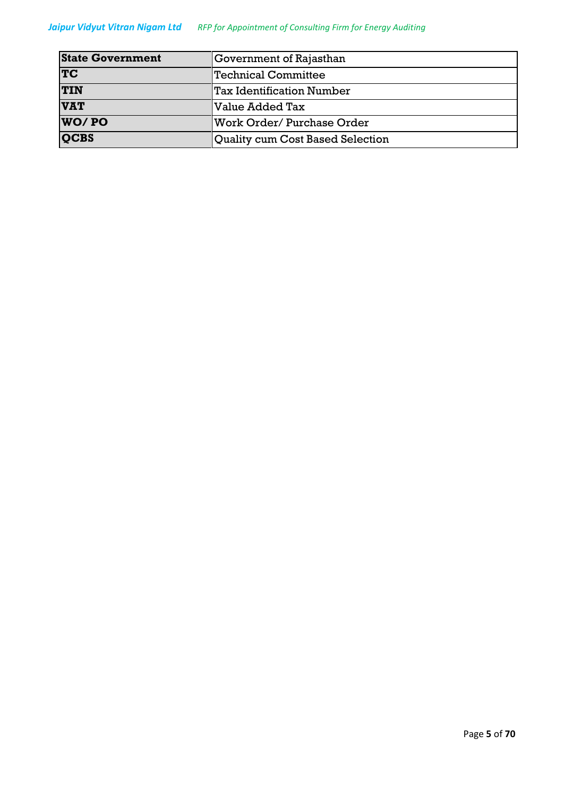#### *Jaipur Vidyut Vitran Nigam Ltd RFP for Appointment of Consulting Firm for Energy Auditing*

| <b>State Government</b> | Government of Rajasthan          |  |
|-------------------------|----------------------------------|--|
| <b>TC</b>               | <b>Technical Committee</b>       |  |
| <b>TIN</b>              | Tax Identification Number        |  |
| <b>VAT</b>              | Value Added Tax                  |  |
| WO/PO                   | Work Order/ Purchase Order       |  |
| <b>QCBS</b>             | Quality cum Cost Based Selection |  |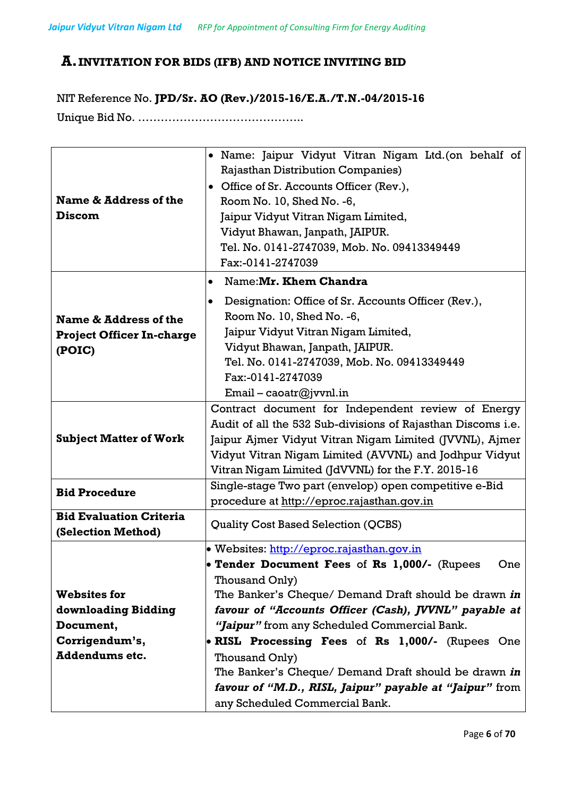# **A.INVITATION FOR BIDS (IFB) AND NOTICE INVITING BID**

NIT Reference No. **JPD/Sr. AO (Rev.)/2015-16/E.A./T.N.-04/2015-16** Unique Bid No. ……………………………………..

| Name & Address of the<br><b>Discom</b>                              | • Name: Jaipur Vidyut Vitran Nigam Ltd. (on behalf of<br><b>Rajasthan Distribution Companies)</b><br>• Office of Sr. Accounts Officer (Rev.),<br>Room No. 10, Shed No. -6,<br>Jaipur Vidyut Vitran Nigam Limited,<br>Vidyut Bhawan, Janpath, JAIPUR.<br>Tel. No. 0141-2747039, Mob. No. 09413349449<br>Fax:-0141-2747039 |  |  |  |
|---------------------------------------------------------------------|--------------------------------------------------------------------------------------------------------------------------------------------------------------------------------------------------------------------------------------------------------------------------------------------------------------------------|--|--|--|
|                                                                     | Name: Mr. Khem Chandra<br>$\bullet$                                                                                                                                                                                                                                                                                      |  |  |  |
| Name & Address of the<br><b>Project Officer In-charge</b><br>(POIC) | Designation: Office of Sr. Accounts Officer (Rev.),<br>Room No. 10, Shed No. -6,<br>Jaipur Vidyut Vitran Nigam Limited,<br>Vidyut Bhawan, Janpath, JAIPUR.<br>Tel. No. 0141-2747039, Mob. No. 09413349449<br>Fax:-0141-2747039<br>$Email - coastr@jvvnl.in$                                                              |  |  |  |
| <b>Subject Matter of Work</b>                                       | Contract document for Independent review of Energy<br>Audit of all the 532 Sub-divisions of Rajasthan Discoms i.e.<br>Jaipur Ajmer Vidyut Vitran Nigam Limited (JVVNL), Ajmer<br>Vidyut Vitran Nigam Limited (AVVNL) and Jodhpur Vidyut                                                                                  |  |  |  |
|                                                                     | Vitran Nigam Limited (JdVVNL) for the F.Y. 2015-16                                                                                                                                                                                                                                                                       |  |  |  |
| <b>Bid Procedure</b>                                                | Single-stage Two part (envelop) open competitive e-Bid<br>procedure at http://eproc.rajasthan.qov.in                                                                                                                                                                                                                     |  |  |  |
| <b>Bid Evaluation Criteria</b><br>(Selection Method)                | <b>Quality Cost Based Selection (QCBS)</b>                                                                                                                                                                                                                                                                               |  |  |  |
|                                                                     | • Websites: http://eproc.rajasthan.qov.in                                                                                                                                                                                                                                                                                |  |  |  |
|                                                                     | • Tender Document Fees of Rs 1,000/- (Rupees<br>One<br>Thousand Only)                                                                                                                                                                                                                                                    |  |  |  |
| <b>Websites for</b>                                                 | The Banker's Cheque/ Demand Draft should be drawn in                                                                                                                                                                                                                                                                     |  |  |  |
| downloading Bidding                                                 | favour of "Accounts Officer (Cash), JVVNL" payable at                                                                                                                                                                                                                                                                    |  |  |  |
| Document,                                                           | "Jaipur" from any Scheduled Commercial Bank.                                                                                                                                                                                                                                                                             |  |  |  |
| Corrigendum's,                                                      | • RISL Processing Fees of Rs 1,000/- (Rupees One                                                                                                                                                                                                                                                                         |  |  |  |
| <b>Addendums etc.</b>                                               | Thousand Only)                                                                                                                                                                                                                                                                                                           |  |  |  |
|                                                                     | The Banker's Cheque/ Demand Draft should be drawn in                                                                                                                                                                                                                                                                     |  |  |  |
|                                                                     | favour of "M.D., RISL, Jaipur" payable at "Jaipur" from                                                                                                                                                                                                                                                                  |  |  |  |
|                                                                     | any Scheduled Commercial Bank.                                                                                                                                                                                                                                                                                           |  |  |  |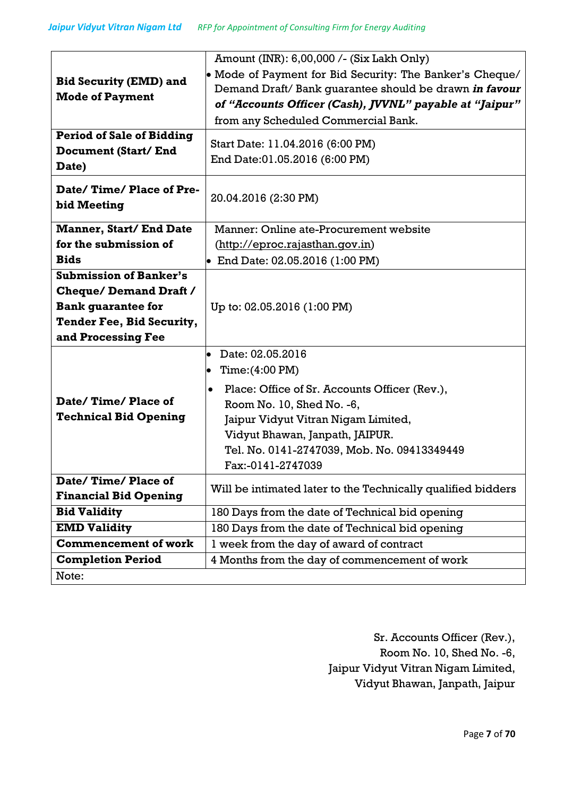|                                  | Amount (INR): 6,00,000 /- (Six Lakh Only)                    |  |  |
|----------------------------------|--------------------------------------------------------------|--|--|
| <b>Bid Security (EMD) and</b>    | • Mode of Payment for Bid Security: The Banker's Cheque/     |  |  |
|                                  | Demand Draft/ Bank guarantee should be drawn in favour       |  |  |
| <b>Mode of Payment</b>           | of "Accounts Officer (Cash), JVVNL" payable at "Jaipur"      |  |  |
|                                  | from any Scheduled Commercial Bank.                          |  |  |
| <b>Period of Sale of Bidding</b> |                                                              |  |  |
| <b>Document (Start/End</b>       | Start Date: 11.04.2016 (6:00 PM)                             |  |  |
| Date)                            | End Date:01.05.2016 (6:00 PM)                                |  |  |
| Date/Time/Place of Pre-          | 20.04.2016 (2:30 PM)                                         |  |  |
| bid Meeting                      |                                                              |  |  |
| <b>Manner, Start/ End Date</b>   | Manner: Online ate-Procurement website                       |  |  |
| for the submission of            | (http://eproc.rajasthan.gov.in)                              |  |  |
| <b>Bids</b>                      | • End Date: $02.05.2016$ (1:00 PM)                           |  |  |
| <b>Submission of Banker's</b>    |                                                              |  |  |
| <b>Cheque/Demand Draft /</b>     |                                                              |  |  |
| <b>Bank quarantee for</b>        | Up to: 02.05.2016 (1:00 PM)                                  |  |  |
| Tender Fee, Bid Security,        |                                                              |  |  |
| and Processing Fee               |                                                              |  |  |
|                                  | Date: 02.05.2016<br>$\bullet$                                |  |  |
|                                  | Time: (4:00 PM)<br>$\bullet$                                 |  |  |
|                                  | Place: Office of Sr. Accounts Officer (Rev.),                |  |  |
| Date/Time/Place of               | Room No. 10, Shed No. -6,                                    |  |  |
| <b>Technical Bid Opening</b>     | Jaipur Vidyut Vitran Nigam Limited,                          |  |  |
|                                  | Vidyut Bhawan, Janpath, JAIPUR.                              |  |  |
|                                  | Tel. No. 0141-2747039, Mob. No. 09413349449                  |  |  |
|                                  | Fax:-0141-2747039                                            |  |  |
| Date/Time/Place of               |                                                              |  |  |
| <b>Financial Bid Opening</b>     | Will be intimated later to the Technically qualified bidders |  |  |
| <b>Bid Validity</b>              | 180 Days from the date of Technical bid opening              |  |  |
| <b>EMD Validity</b>              | 180 Days from the date of Technical bid opening              |  |  |
| <b>Commencement of work</b>      | I week from the day of award of contract                     |  |  |
| <b>Completion Period</b>         | 4 Months from the day of commencement of work                |  |  |
| Note:                            |                                                              |  |  |

Sr. Accounts Officer (Rev.), Room No. 10, Shed No. -6, Jaipur Vidyut Vitran Nigam Limited, Vidyut Bhawan, Janpath, Jaipur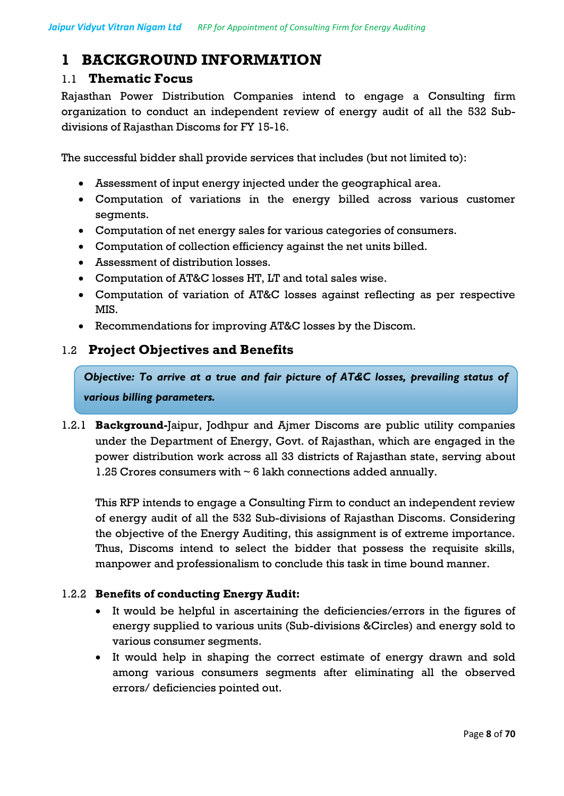# **1 BACKGROUND INFORMATION**

#### 1.1 **Thematic Focus**

Rajasthan Power Distribution Companies intend to engage a Consulting firm organization to conduct an independent review of energy audit of all the 532 Subdivisions of Rajasthan Discoms for FY 15-16.

The successful bidder shall provide services that includes (but not limited to):

- Assessment of input energy injected under the geographical area.
- Computation of variations in the energy billed across various customer segments.
- Computation of net energy sales for various categories of consumers.
- Computation of collection efficiency against the net units billed.
- Assessment of distribution losses.
- Computation of AT&C losses HT, LT and total sales wise.
- Computation of variation of AT&C losses against reflecting as per respective MIS.
- Recommendations for improving AT&C losses by the Discom.

### 1.2 **Project Objectives and Benefits**

*Objective: To arrive at a true and fair picture of AT&C losses, prevailing status of various billing parameters.*

1.2.1 **Background-**Jaipur, Jodhpur and Ajmer Discoms are public utility companies under the Department of Energy, Govt. of Rajasthan, which are engaged in the power distribution work across all 33 districts of Rajasthan state, serving about 1.25 Crores consumers with  $\sim 6$  lakh connections added annually.

This RFP intends to engage a Consulting Firm to conduct an independent review of energy audit of all the 532 Sub-divisions of Rajasthan Discoms. Considering the objective of the Energy Auditing, this assignment is of extreme importance. Thus, Discoms intend to select the bidder that possess the requisite skills, manpower and professionalism to conclude this task in time bound manner.

#### 1.2.2 **Benefits of conducting Energy Audit:**

- It would be helpful in ascertaining the deficiencies/errors in the figures of energy supplied to various units (Sub-divisions &Circles) and energy sold to various consumer segments.
- It would help in shaping the correct estimate of energy drawn and sold among various consumers segments after eliminating all the observed errors/ deficiencies pointed out.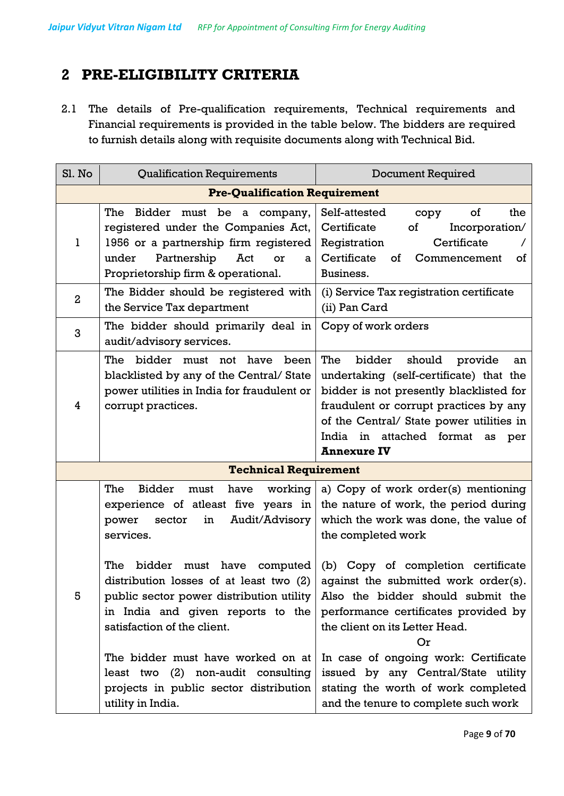# **2 PRE-ELIGIBILITY CRITERIA**

2.1 The details of Pre-qualification requirements, Technical requirements and Financial requirements is provided in the table below. The bidders are required to furnish details along with requisite documents along with Technical Bid.

| Sl. No         | <b>Qualification Requirements</b>                                                                                                                                                                      | <b>Document Required</b>                                                                                                                                                                                                                                                         |  |
|----------------|--------------------------------------------------------------------------------------------------------------------------------------------------------------------------------------------------------|----------------------------------------------------------------------------------------------------------------------------------------------------------------------------------------------------------------------------------------------------------------------------------|--|
|                | <b>Pre-Qualification Requirement</b>                                                                                                                                                                   |                                                                                                                                                                                                                                                                                  |  |
| 1              | The<br>Bidder must be a company,<br>registered under the Companies Act,<br>1956 or a partnership firm registered<br>Partnership<br>under<br>Act<br>or<br>a<br>Proprietorship firm & operational.       | the<br>Self-attested<br>of<br>copy<br>Certificate<br>Incorporation/<br>of<br>Certificate<br>Registration<br>Certificate<br>Commencement<br>of<br>of<br>Business.                                                                                                                 |  |
| $\overline{a}$ | The Bidder should be registered with<br>the Service Tax department                                                                                                                                     | (i) Service Tax registration certificate<br>(ii) Pan Card                                                                                                                                                                                                                        |  |
| 3              | The bidder should primarily deal in<br>audit/advisory services.                                                                                                                                        | Copy of work orders                                                                                                                                                                                                                                                              |  |
| 4              | The<br>bidder must not have<br>been<br>blacklisted by any of the Central/ State<br>power utilities in India for fraudulent or<br>corrupt practices.                                                    | The<br>bidder<br>should<br>provide<br>an<br>undertaking (self-certificate) that the<br>bidder is not presently blacklisted for<br>fraudulent or corrupt practices by any<br>of the Central/ State power utilities in<br>India in attached format as<br>per<br><b>Annexure IV</b> |  |
|                | <b>Technical Requirement</b>                                                                                                                                                                           |                                                                                                                                                                                                                                                                                  |  |
|                | The<br><b>Bidder</b><br>have<br>working<br>must<br>experience of atleast five years in<br>Audit/Advisory<br>power<br>sector<br>in<br>services.                                                         | a) Copy of work order(s) mentioning<br>the nature of work, the period during<br>which the work was done, the value of<br>the completed work                                                                                                                                      |  |
| 5              | The<br>computed<br>bidder<br>must<br>have<br>distribution losses of at least two $(2)$<br>public sector power distribution utility<br>in India and given reports to the<br>satisfaction of the client. | (b) Copy of completion certificate<br>against the submitted work order(s).<br>Also the bidder should submit the<br>performance certificates provided by<br>the client on its Letter Head.<br>Or                                                                                  |  |
|                | The bidder must have worked on at<br>least two (2) non-audit consulting<br>projects in public sector distribution<br>utility in India.                                                                 | In case of ongoing work: Certificate<br>issued by any Central/State utility<br>stating the worth of work completed<br>and the tenure to complete such work                                                                                                                       |  |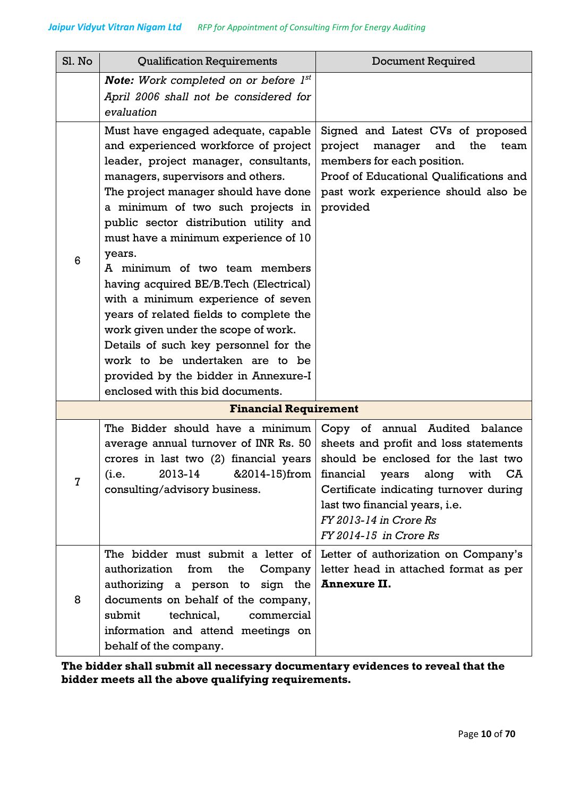| Sl. No         | <b>Qualification Requirements</b>                                                                                                                                                                                                                                                                                                                                                                                                                                                                                                                                                                                                                                                               | <b>Document Required</b>                                                                                                                                                                                                                                                        |  |  |
|----------------|-------------------------------------------------------------------------------------------------------------------------------------------------------------------------------------------------------------------------------------------------------------------------------------------------------------------------------------------------------------------------------------------------------------------------------------------------------------------------------------------------------------------------------------------------------------------------------------------------------------------------------------------------------------------------------------------------|---------------------------------------------------------------------------------------------------------------------------------------------------------------------------------------------------------------------------------------------------------------------------------|--|--|
|                | <b>Note:</b> Work completed on or before $I^{st}$<br>April 2006 shall not be considered for<br>evaluation                                                                                                                                                                                                                                                                                                                                                                                                                                                                                                                                                                                       |                                                                                                                                                                                                                                                                                 |  |  |
| 6              | Must have engaged adequate, capable<br>and experienced workforce of project<br>leader, project manager, consultants,<br>managers, supervisors and others.<br>The project manager should have done<br>a minimum of two such projects in<br>public sector distribution utility and<br>must have a minimum experience of 10<br>years.<br>A minimum of two team members<br>having acquired BE/B. Tech (Electrical)<br>with a minimum experience of seven<br>years of related fields to complete the<br>work given under the scope of work.<br>Details of such key personnel for the<br>work to be undertaken are to be<br>provided by the bidder in Annexure-I<br>enclosed with this bid documents. | Signed and Latest CVs of proposed<br>project<br>manager<br>the<br>and<br>team<br>members for each position.<br>Proof of Educational Qualifications and<br>past work experience should also be<br>provided                                                                       |  |  |
|                | <b>Financial Requirement</b>                                                                                                                                                                                                                                                                                                                                                                                                                                                                                                                                                                                                                                                                    |                                                                                                                                                                                                                                                                                 |  |  |
| $\overline{7}$ | The Bidder should have a minimum<br>average annual turnover of INR Rs. 50<br>crores in last two (2) financial years<br>2013-14 &2014-15)from<br>(i.e.<br>consulting/advisory business.                                                                                                                                                                                                                                                                                                                                                                                                                                                                                                          | Copy of annual Audited balance<br>sheets and profit and loss statements<br>should be enclosed for the last two<br>financial years along with CA<br>Certificate indicating turnover during<br>last two financial years, i.e.<br>FY 2013-14 in Crore Rs<br>FY 2014-15 in Crore Rs |  |  |
| 8              | The bidder must submit a letter of<br>authorization<br>from<br>the<br>Company<br>authorizing a person to sign the<br>documents on behalf of the company,<br>submit<br>commercial<br>technical,<br>information and attend meetings on<br>behalf of the company.                                                                                                                                                                                                                                                                                                                                                                                                                                  | Letter of authorization on Company's<br>letter head in attached format as per<br><b>Annexure II.</b>                                                                                                                                                                            |  |  |

**The bidder shall submit all necessary documentary evidences to reveal that the bidder meets all the above qualifying requirements.**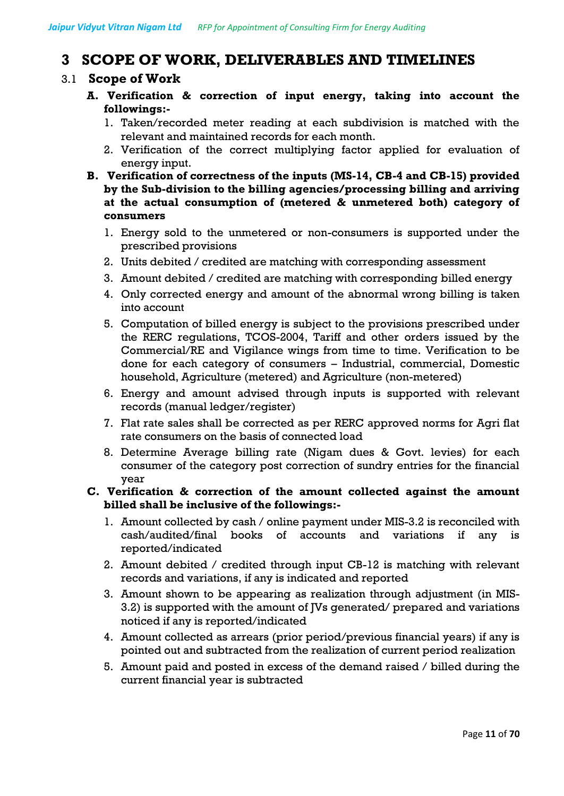# **3 SCOPE OF WORK, DELIVERABLES AND TIMELINES**

#### 3.1 **Scope of Work**

- **A. Verification & correction of input energy, taking into account the followings:-**
	- 1. Taken/recorded meter reading at each subdivision is matched with the relevant and maintained records for each month.
	- 2. Verification of the correct multiplying factor applied for evaluation of energy input.
- **B. Verification of correctness of the inputs (MS-14, CB-4 and CB-15) provided by the Sub-division to the billing agencies/processing billing and arriving at the actual consumption of (metered & unmetered both) category of consumers**
	- 1. Energy sold to the unmetered or non-consumers is supported under the prescribed provisions
	- 2. Units debited / credited are matching with corresponding assessment
	- 3. Amount debited / credited are matching with corresponding billed energy
	- 4. Only corrected energy and amount of the abnormal wrong billing is taken into account
	- 5. Computation of billed energy is subject to the provisions prescribed under the RERC regulations, TCOS-2004, Tariff and other orders issued by the Commercial/RE and Vigilance wings from time to time. Verification to be done for each category of consumers – Industrial, commercial, Domestic household, Agriculture (metered) and Agriculture (non-metered)
	- 6. Energy and amount advised through inputs is supported with relevant records (manual ledger/register)
	- 7. Flat rate sales shall be corrected as per RERC approved norms for Agri flat rate consumers on the basis of connected load
	- 8. Determine Average billing rate (Nigam dues & Govt. levies) for each consumer of the category post correction of sundry entries for the financial year

#### **C. Verification & correction of the amount collected against the amount billed shall be inclusive of the followings:-**

- 1. Amount collected by cash / online payment under MIS-3.2 is reconciled with cash/audited/final books of accounts and variations if any is reported/indicated
- 2. Amount debited / credited through input CB-12 is matching with relevant records and variations, if any is indicated and reported
- 3. Amount shown to be appearing as realization through adjustment (in MIS-3.2) is supported with the amount of JVs generated/ prepared and variations noticed if any is reported/indicated
- 4. Amount collected as arrears (prior period/previous financial years) if any is pointed out and subtracted from the realization of current period realization
- 5. Amount paid and posted in excess of the demand raised / billed during the current financial year is subtracted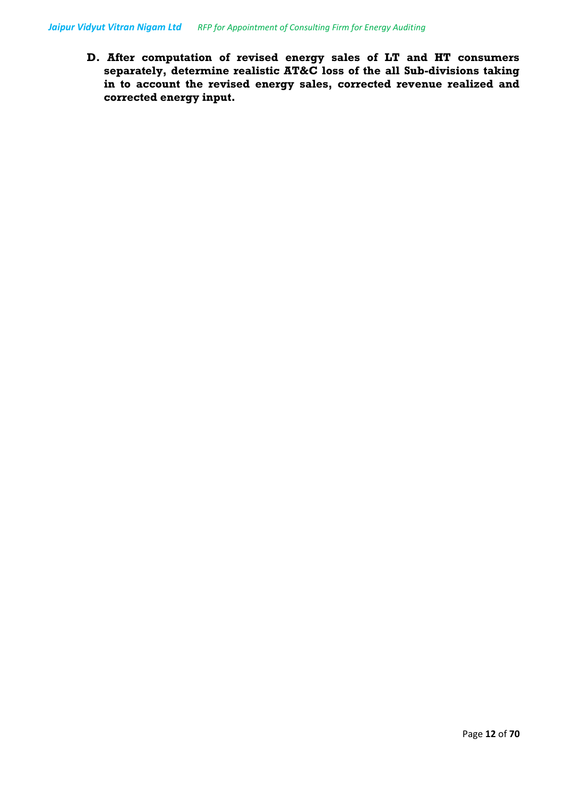**D. After computation of revised energy sales of LT and HT consumers separately, determine realistic AT&C loss of the all Sub-divisions taking in to account the revised energy sales, corrected revenue realized and corrected energy input.**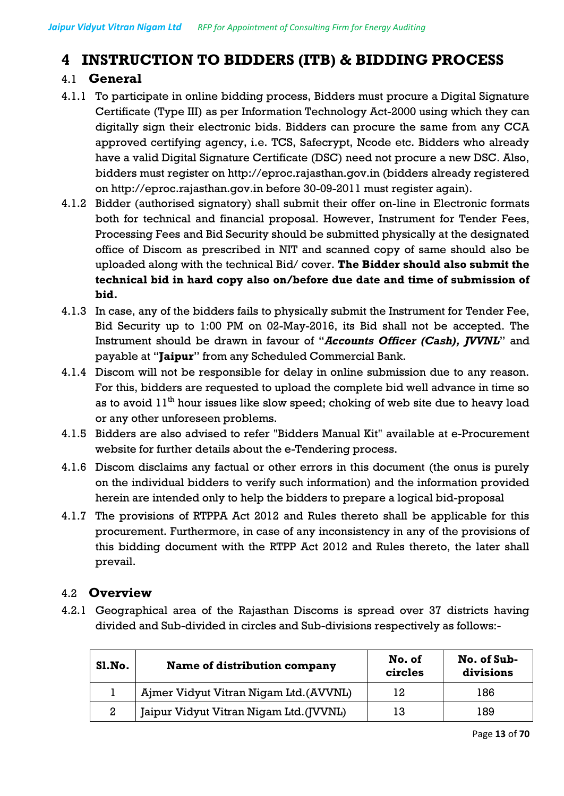# **4 INSTRUCTION TO BIDDERS (ITB) & BIDDING PROCESS**

# 4.1 **General**

- 4.1.1 To participate in online bidding process, Bidders must procure a Digital Signature Certificate (Type III) as per Information Technology Act-2000 using which they can digitally sign their electronic bids. Bidders can procure the same from any CCA approved certifying agency, i.e. TCS, Safecrypt, Ncode etc. Bidders who already have a valid Digital Signature Certificate (DSC) need not procure a new DSC. Also, bidders must register on http://eproc.rajasthan.gov.in (bidders already registered on http://eproc.rajasthan.gov.in before 30-09-2011 must register again).
- 4.1.2 Bidder (authorised signatory) shall submit their offer on-line in Electronic formats both for technical and financial proposal. However, Instrument for Tender Fees, Processing Fees and Bid Security should be submitted physically at the designated office of Discom as prescribed in NIT and scanned copy of same should also be uploaded along with the technical Bid/ cover. **The Bidder should also submit the technical bid in hard copy also on/before due date and time of submission of bid.**
- 4.1.3 In case, any of the bidders fails to physically submit the Instrument for Tender Fee, Bid Security up to 1:00 PM on 02-May-2016, its Bid shall not be accepted. The Instrument should be drawn in favour of "*Accounts Officer (Cash), JVVNL*" and payable at "**Jaipur**" from any Scheduled Commercial Bank.
- 4.1.4 Discom will not be responsible for delay in online submission due to any reason. For this, bidders are requested to upload the complete bid well advance in time so as to avoid  $11<sup>th</sup>$  hour issues like slow speed; choking of web site due to heavy load or any other unforeseen problems.
- 4.1.5 Bidders are also advised to refer "Bidders Manual Kit" available at e-Procurement website for further details about the e-Tendering process.
- 4.1.6 Discom disclaims any factual or other errors in this document (the onus is purely on the individual bidders to verify such information) and the information provided herein are intended only to help the bidders to prepare a logical bid-proposal
- 4.1.7 The provisions of RTPPA Act 2012 and Rules thereto shall be applicable for this procurement. Furthermore, in case of any inconsistency in any of the provisions of this bidding document with the RTPP Act 2012 and Rules thereto, the later shall prevail.

# 4.2 **Overview**

4.2.1 Geographical area of the Rajasthan Discoms is spread over 37 districts having divided and Sub-divided in circles and Sub-divisions respectively as follows:-

| Sl.No. | Name of distribution company            | No. of<br>circles | No. of Sub-<br>divisions |
|--------|-----------------------------------------|-------------------|--------------------------|
|        | Ajmer Vidyut Vitran Nigam Ltd. (AVVNL)  | 12                | 186                      |
| 2      | Jaipur Vidyut Vitran Nigam Ltd. (JVVNL) | 13                | 189                      |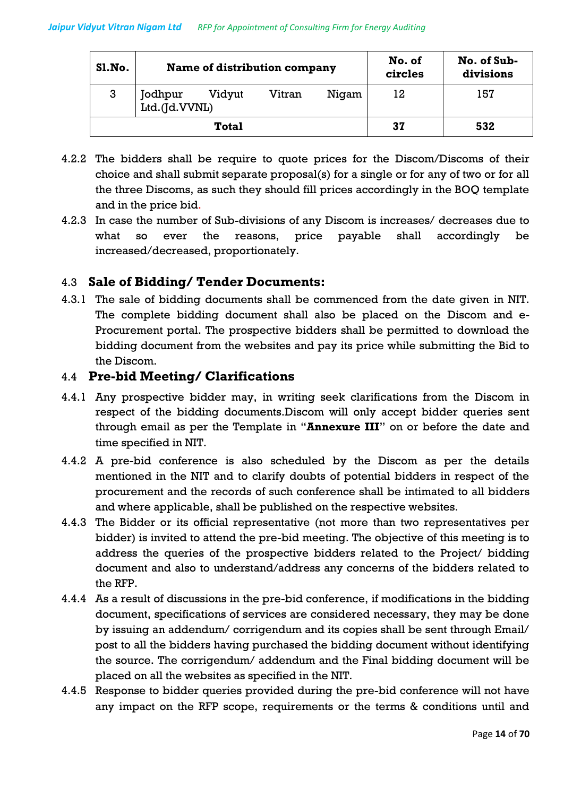| <b>S1. No.</b> | Name of distribution company |        | No. of<br>circles | No. of Sub-<br>divisions |    |     |
|----------------|------------------------------|--------|-------------------|--------------------------|----|-----|
| 3              | Jodhpur<br>Ltd.(Jd.VVNL)     | Vidyut | Vitran            | Nigam                    | 12 | 157 |
|                |                              | Total  |                   |                          | 37 | 532 |

- 4.2.2 The bidders shall be require to quote prices for the Discom/Discoms of their choice and shall submit separate proposal(s) for a single or for any of two or for all the three Discoms, as such they should fill prices accordingly in the BOQ template and in the price bid.
- 4.2.3 In case the number of Sub-divisions of any Discom is increases/ decreases due to what so ever the reasons, price payable shall accordingly be increased/decreased, proportionately.

# 4.3 **Sale of Bidding/ Tender Documents:**

4.3.1 The sale of bidding documents shall be commenced from the date given in NIT. The complete bidding document shall also be placed on the Discom and e-Procurement portal. The prospective bidders shall be permitted to download the bidding document from the websites and pay its price while submitting the Bid to the Discom.

### 4.4 **Pre-bid Meeting/ Clarifications**

- 4.4.1 Any prospective bidder may, in writing seek clarifications from the Discom in respect of the bidding documents.Discom will only accept bidder queries sent through email as per the Template in "**Annexure III**" on or before the date and time specified in NIT.
- 4.4.2 A pre-bid conference is also scheduled by the Discom as per the details mentioned in the NIT and to clarify doubts of potential bidders in respect of the procurement and the records of such conference shall be intimated to all bidders and where applicable, shall be published on the respective websites.
- 4.4.3 The Bidder or its official representative (not more than two representatives per bidder) is invited to attend the pre-bid meeting. The objective of this meeting is to address the queries of the prospective bidders related to the Project/ bidding document and also to understand/address any concerns of the bidders related to the RFP.
- 4.4.4 As a result of discussions in the pre-bid conference, if modifications in the bidding document, specifications of services are considered necessary, they may be done by issuing an addendum/ corrigendum and its copies shall be sent through Email/ post to all the bidders having purchased the bidding document without identifying the source. The corrigendum/ addendum and the Final bidding document will be placed on all the websites as specified in the NIT.
- 4.4.5 Response to bidder queries provided during the pre-bid conference will not have any impact on the RFP scope, requirements or the terms & conditions until and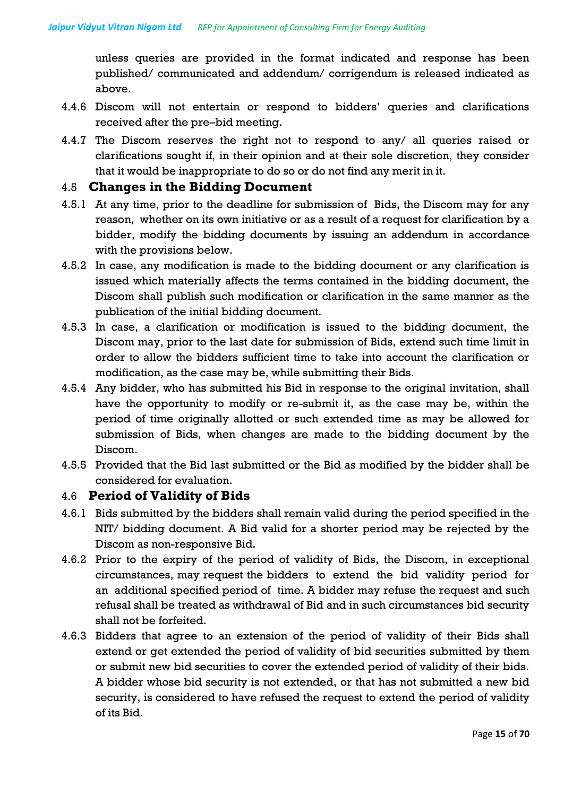unless queries are provided in the format indicated and response has been published/ communicated and addendum/ corrigendum is released indicated as above.

- 4.4.6 Discom will not entertain or respond to bidders' queries and clarifications received after the pre–bid meeting.
- 4.4.7 The Discom reserves the right not to respond to any/ all queries raised or clarifications sought if, in their opinion and at their sole discretion, they consider that it would be inappropriate to do so or do not find any merit in it.

#### 4.5 **Changes in the Bidding Document**

- 4.5.1 At any time, prior to the deadline for submission of Bids, the Discom may for any reason, whether on its own initiative or as a result of a request for clarification by a bidder, modify the bidding documents by issuing an addendum in accordance with the provisions below.
- 4.5.2 In case, any modification is made to the bidding document or any clarification is issued which materially affects the terms contained in the bidding document, the Discom shall publish such modification or clarification in the same manner as the publication of the initial bidding document.
- 4.5.3 In case, a clarification or modification is issued to the bidding document, the Discom may, prior to the last date for submission of Bids, extend such time limit in order to allow the bidders sufficient time to take into account the clarification or modification, as the case may be, while submitting their Bids.
- 4.5.4 Any bidder, who has submitted his Bid in response to the original invitation, shall have the opportunity to modify or re-submit it, as the case may be, within the period of time originally allotted or such extended time as may be allowed for submission of Bids, when changes are made to the bidding document by the Discom.
- 4.5.5 Provided that the Bid last submitted or the Bid as modified by the bidder shall be considered for evaluation.

#### 4.6 **Period of Validity of Bids**

- 4.6.1 Bids submitted by the bidders shall remain valid during the period specified in the NIT/ bidding document. A Bid valid for a shorter period may be rejected by the Discom as non-responsive Bid.
- 4.6.2 Prior to the expiry of the period of validity of Bids, the Discom, in exceptional circumstances, may request the bidders to extend the bid validity period for an additional specified period of time. A bidder may refuse the request and such refusal shall be treated as withdrawal of Bid and in such circumstances bid security shall not be forfeited.
- 4.6.3 Bidders that agree to an extension of the period of validity of their Bids shall extend or get extended the period of validity of bid securities submitted by them or submit new bid securities to cover the extended period of validity of their bids. A bidder whose bid security is not extended, or that has not submitted a new bid security, is considered to have refused the request to extend the period of validity of its Bid.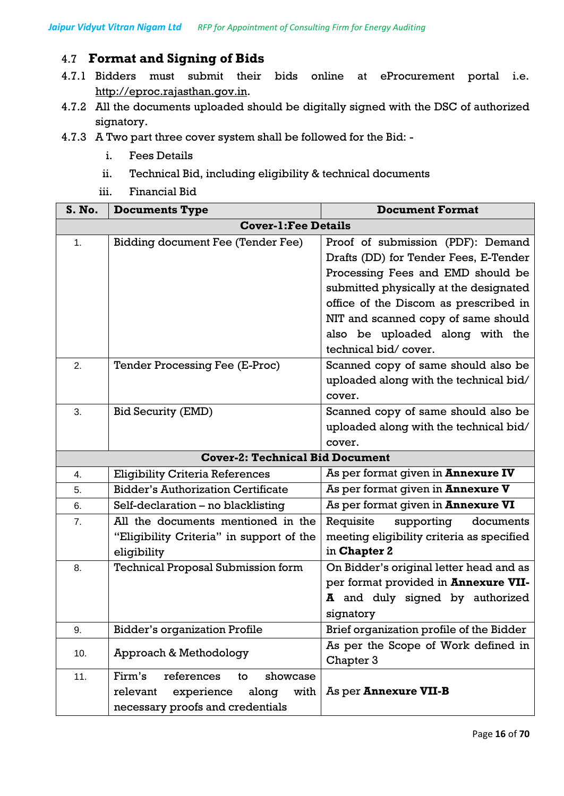# 4.7 **Format and Signing of Bids**

- 4.7.1 Bidders must submit their bids online at eProcurement portal i.e. [http://eproc.rajasthan.gov.in.](http://eproc.rajasthan.gov.in/)
- 4.7.2 All the documents uploaded should be digitally signed with the DSC of authorized signatory.
- 4.7.3 A Two part three cover system shall be followed for the Bid:
	- i. Fees Details
	- ii. Technical Bid, including eligibility & technical documents
	- iii. Financial Bid

| S. No. | <b>Documents Type</b>                     | <b>Document Format</b>                    |
|--------|-------------------------------------------|-------------------------------------------|
|        | <b>Cover-1: Fee Details</b>               |                                           |
| 1.     | <b>Bidding document Fee (Tender Fee)</b>  | Proof of submission (PDF): Demand         |
|        |                                           | Drafts (DD) for Tender Fees, E-Tender     |
|        |                                           | Processing Fees and EMD should be         |
|        |                                           | submitted physically at the designated    |
|        |                                           | office of the Discom as prescribed in     |
|        |                                           | NIT and scanned copy of same should       |
|        |                                           | also be uploaded along with the           |
|        |                                           | technical bid/cover.                      |
| 2.     | Tender Processing Fee (E-Proc)            | Scanned copy of same should also be       |
|        |                                           | uploaded along with the technical bid/    |
|        |                                           | cover.                                    |
| 3.     | <b>Bid Security (EMD)</b>                 | Scanned copy of same should also be       |
|        |                                           | uploaded along with the technical bid/    |
|        |                                           | cover.                                    |
|        | <b>Cover-2: Technical Bid Document</b>    |                                           |
| 4.     | <b>Eligibility Criteria References</b>    | As per format given in <b>Annexure IV</b> |
| 5.     | <b>Bidder's Authorization Certificate</b> | As per format given in <b>Annexure V</b>  |
| 6.     | Self-declaration - no blacklisting        | As per format given in Annexure VI        |
| 7.     | All the documents mentioned in the        | Requisite<br>supporting<br>documents      |
|        | "Eligibility Criteria" in support of the  | meeting eligibility criteria as specified |
|        | eligibility                               | in Chapter 2                              |
| 8.     | <b>Technical Proposal Submission form</b> | On Bidder's original letter head and as   |
|        |                                           | per format provided in Annexure VII-      |
|        |                                           | A and duly signed by authorized           |
|        |                                           | signatory                                 |
| 9.     | <b>Bidder's organization Profile</b>      | Brief organization profile of the Bidder  |
| 10.    | Approach & Methodology                    | As per the Scope of Work defined in       |
|        |                                           | Chapter 3                                 |
| 11.    | Firm's<br>references<br>showcase<br>to    |                                           |
|        | with<br>relevant<br>experience<br>along   | As per Annexure VII-B                     |
|        | necessary proofs and credentials          |                                           |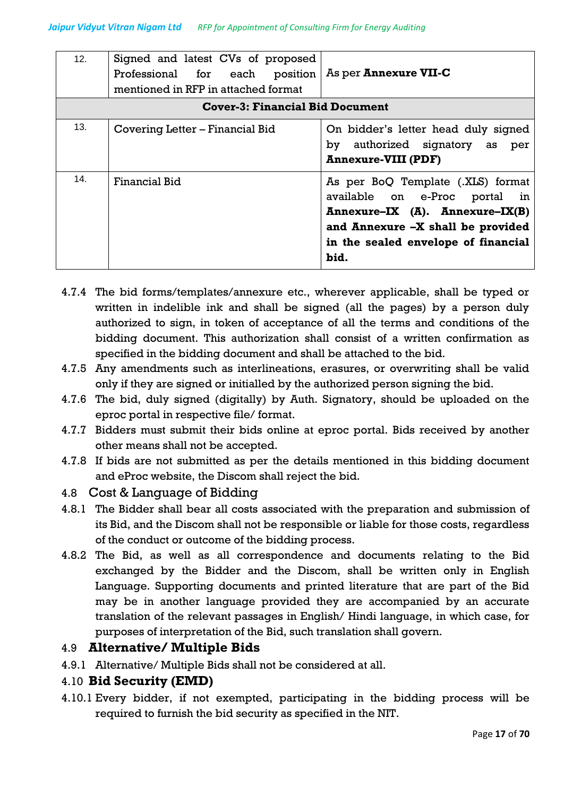| 12. | Signed and latest CVs of proposed<br>Professional for each position<br>mentioned in RFP in attached format | As per <b>Annexure VII-C</b>                                                                                                                                                              |
|-----|------------------------------------------------------------------------------------------------------------|-------------------------------------------------------------------------------------------------------------------------------------------------------------------------------------------|
|     | <b>Cover-3: Financial Bid Document</b>                                                                     |                                                                                                                                                                                           |
| 13. | Covering Letter – Financial Bid                                                                            | On bidder's letter head duly signed<br>by authorized signatory as per<br><b>Annexure-VIII (PDF)</b>                                                                                       |
| 14. | <b>Financial Bid</b>                                                                                       | As per BoQ Template (.XLS) format<br>available on e-Proc portal in<br>Annexure-IX (A). Annexure-IX(B)<br>and Annexure -X shall be provided<br>in the sealed envelope of financial<br>bid. |

- 4.7.4 The bid forms/templates/annexure etc., wherever applicable, shall be typed or written in indelible ink and shall be signed (all the pages) by a person duly authorized to sign, in token of acceptance of all the terms and conditions of the bidding document. This authorization shall consist of a written confirmation as specified in the bidding document and shall be attached to the bid.
- 4.7.5 Any amendments such as interlineations, erasures, or overwriting shall be valid only if they are signed or initialled by the authorized person signing the bid.
- 4.7.6 The bid, duly signed (digitally) by Auth. Signatory, should be uploaded on the eproc portal in respective file/ format.
- 4.7.7 Bidders must submit their bids online at eproc portal. Bids received by another other means shall not be accepted.
- 4.7.8 If bids are not submitted as per the details mentioned in this bidding document and eProc website, the Discom shall reject the bid.
- 4.8 Cost & Language of Bidding
- 4.8.1 The Bidder shall bear all costs associated with the preparation and submission of its Bid, and the Discom shall not be responsible or liable for those costs, regardless of the conduct or outcome of the bidding process.
- 4.8.2 The Bid, as well as all correspondence and documents relating to the Bid exchanged by the Bidder and the Discom, shall be written only in English Language. Supporting documents and printed literature that are part of the Bid may be in another language provided they are accompanied by an accurate translation of the relevant passages in English/ Hindi language, in which case, for purposes of interpretation of the Bid, such translation shall govern.

# 4.9 **Alternative/ Multiple Bids**

4.9.1 Alternative/ Multiple Bids shall not be considered at all.

### 4.10 **Bid Security (EMD)**

4.10.1 Every bidder, if not exempted, participating in the bidding process will be required to furnish the bid security as specified in the NIT.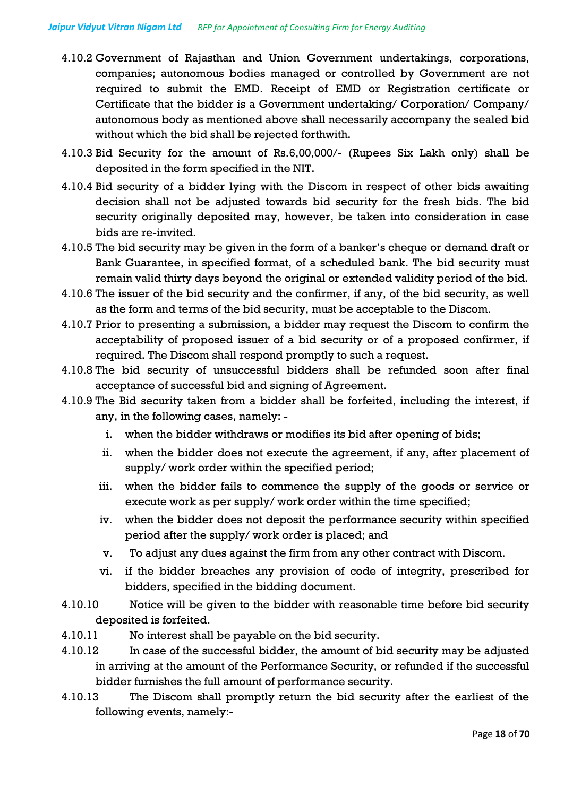- 4.10.2 Government of Rajasthan and Union Government undertakings, corporations, companies; autonomous bodies managed or controlled by Government are not required to submit the EMD. Receipt of EMD or Registration certificate or Certificate that the bidder is a Government undertaking/ Corporation/ Company/ autonomous body as mentioned above shall necessarily accompany the sealed bid without which the bid shall be rejected forthwith.
- 4.10.3 Bid Security for the amount of Rs.6,00,000/- (Rupees Six Lakh only) shall be deposited in the form specified in the NIT.
- 4.10.4 Bid security of a bidder lying with the Discom in respect of other bids awaiting decision shall not be adjusted towards bid security for the fresh bids. The bid security originally deposited may, however, be taken into consideration in case bids are re-invited.
- 4.10.5 The bid security may be given in the form of a banker's cheque or demand draft or Bank Guarantee, in specified format, of a scheduled bank. The bid security must remain valid thirty days beyond the original or extended validity period of the bid.
- 4.10.6 The issuer of the bid security and the confirmer, if any, of the bid security, as well as the form and terms of the bid security, must be acceptable to the Discom.
- 4.10.7 Prior to presenting a submission, a bidder may request the Discom to confirm the acceptability of proposed issuer of a bid security or of a proposed confirmer, if required. The Discom shall respond promptly to such a request.
- 4.10.8 The bid security of unsuccessful bidders shall be refunded soon after final acceptance of successful bid and signing of Agreement.
- 4.10.9 The Bid security taken from a bidder shall be forfeited, including the interest, if any, in the following cases, namely:
	- i. when the bidder withdraws or modifies its bid after opening of bids;
	- ii. when the bidder does not execute the agreement, if any, after placement of supply/ work order within the specified period;
	- iii. when the bidder fails to commence the supply of the goods or service or execute work as per supply/ work order within the time specified;
	- iv. when the bidder does not deposit the performance security within specified period after the supply/ work order is placed; and
	- v. To adjust any dues against the firm from any other contract with Discom.
	- vi. if the bidder breaches any provision of code of integrity, prescribed for bidders, specified in the bidding document.
- 4.10.10 Notice will be given to the bidder with reasonable time before bid security deposited is forfeited.
- 4.10.11 No interest shall be payable on the bid security.
- 4.10.12 In case of the successful bidder, the amount of bid security may be adjusted in arriving at the amount of the Performance Security, or refunded if the successful bidder furnishes the full amount of performance security.
- 4.10.13 The Discom shall promptly return the bid security after the earliest of the following events, namely:-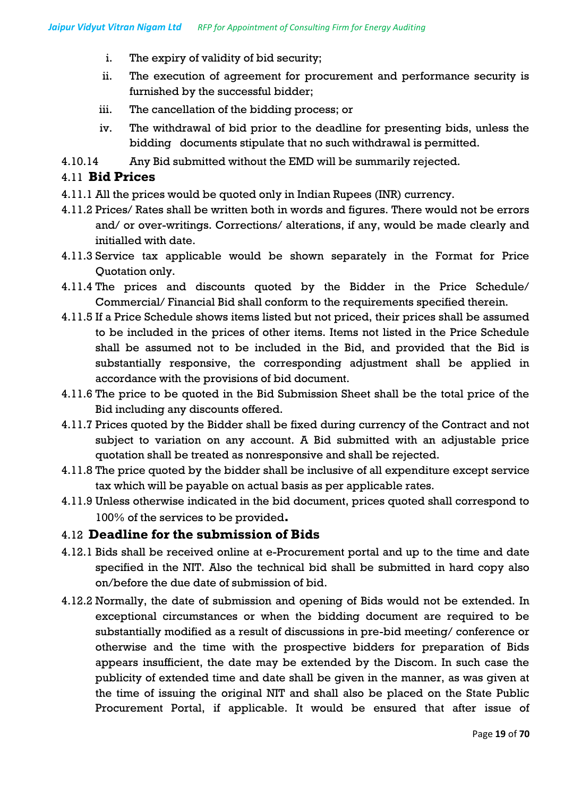- i. The expiry of validity of bid security;
- ii. The execution of agreement for procurement and performance security is furnished by the successful bidder;
- iii. The cancellation of the bidding process; or
- iv. The withdrawal of bid prior to the deadline for presenting bids, unless the bidding documents stipulate that no such withdrawal is permitted.
- 4.10.14 Any Bid submitted without the EMD will be summarily rejected.

#### 4.11 **Bid Prices**

- 4.11.1 All the prices would be quoted only in Indian Rupees (INR) currency.
- 4.11.2 Prices/ Rates shall be written both in words and figures. There would not be errors and/ or over-writings. Corrections/ alterations, if any, would be made clearly and initialled with date.
- 4.11.3 Service tax applicable would be shown separately in the Format for Price Quotation only.
- 4.11.4 The prices and discounts quoted by the Bidder in the Price Schedule/ Commercial/ Financial Bid shall conform to the requirements specified therein.
- 4.11.5 If a Price Schedule shows items listed but not priced, their prices shall be assumed to be included in the prices of other items. Items not listed in the Price Schedule shall be assumed not to be included in the Bid, and provided that the Bid is substantially responsive, the corresponding adjustment shall be applied in accordance with the provisions of bid document.
- 4.11.6 The price to be quoted in the Bid Submission Sheet shall be the total price of the Bid including any discounts offered.
- 4.11.7 Prices quoted by the Bidder shall be fixed during currency of the Contract and not subject to variation on any account. A Bid submitted with an adjustable price quotation shall be treated as nonresponsive and shall be rejected.
- 4.11.8 The price quoted by the bidder shall be inclusive of all expenditure except service tax which will be payable on actual basis as per applicable rates.
- 4.11.9 Unless otherwise indicated in the bid document, prices quoted shall correspond to 100% of the services to be provided**.**

#### 4.12 **Deadline for the submission of Bids**

- 4.12.1 Bids shall be received online at e-Procurement portal and up to the time and date specified in the NIT. Also the technical bid shall be submitted in hard copy also on/before the due date of submission of bid.
- 4.12.2 Normally, the date of submission and opening of Bids would not be extended. In exceptional circumstances or when the bidding document are required to be substantially modified as a result of discussions in pre-bid meeting/ conference or otherwise and the time with the prospective bidders for preparation of Bids appears insufficient, the date may be extended by the Discom. In such case the publicity of extended time and date shall be given in the manner, as was given at the time of issuing the original NIT and shall also be placed on the State Public Procurement Portal, if applicable. It would be ensured that after issue of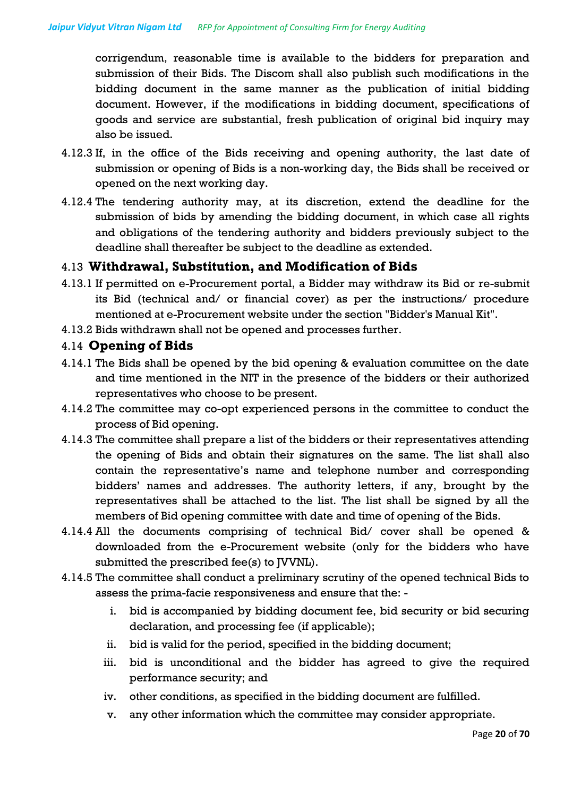corrigendum, reasonable time is available to the bidders for preparation and submission of their Bids. The Discom shall also publish such modifications in the bidding document in the same manner as the publication of initial bidding document. However, if the modifications in bidding document, specifications of goods and service are substantial, fresh publication of original bid inquiry may also be issued.

- 4.12.3 If, in the office of the Bids receiving and opening authority, the last date of submission or opening of Bids is a non-working day, the Bids shall be received or opened on the next working day.
- 4.12.4 The tendering authority may, at its discretion, extend the deadline for the submission of bids by amending the bidding document, in which case all rights and obligations of the tendering authority and bidders previously subject to the deadline shall thereafter be subject to the deadline as extended.

### 4.13 **Withdrawal, Substitution, and Modification of Bids**

- 4.13.1 If permitted on e-Procurement portal, a Bidder may withdraw its Bid or re-submit its Bid (technical and/ or financial cover) as per the instructions/ procedure mentioned at e-Procurement website under the section "Bidder's Manual Kit".
- 4.13.2 Bids withdrawn shall not be opened and processes further.

#### 4.14 **Opening of Bids**

- 4.14.1 The Bids shall be opened by the bid opening & evaluation committee on the date and time mentioned in the NIT in the presence of the bidders or their authorized representatives who choose to be present.
- 4.14.2 The committee may co-opt experienced persons in the committee to conduct the process of Bid opening.
- 4.14.3 The committee shall prepare a list of the bidders or their representatives attending the opening of Bids and obtain their signatures on the same. The list shall also contain the representative's name and telephone number and corresponding bidders' names and addresses. The authority letters, if any, brought by the representatives shall be attached to the list. The list shall be signed by all the members of Bid opening committee with date and time of opening of the Bids.
- 4.14.4 All the documents comprising of technical Bid/ cover shall be opened & downloaded from the e-Procurement website (only for the bidders who have submitted the prescribed fee(s) to JVVNL).
- 4.14.5 The committee shall conduct a preliminary scrutiny of the opened technical Bids to assess the prima-facie responsiveness and ensure that the:
	- i. bid is accompanied by bidding document fee, bid security or bid securing declaration, and processing fee (if applicable);
	- ii. bid is valid for the period, specified in the bidding document;
	- iii. bid is unconditional and the bidder has agreed to give the required performance security; and
	- iv. other conditions, as specified in the bidding document are fulfilled.
	- v. any other information which the committee may consider appropriate.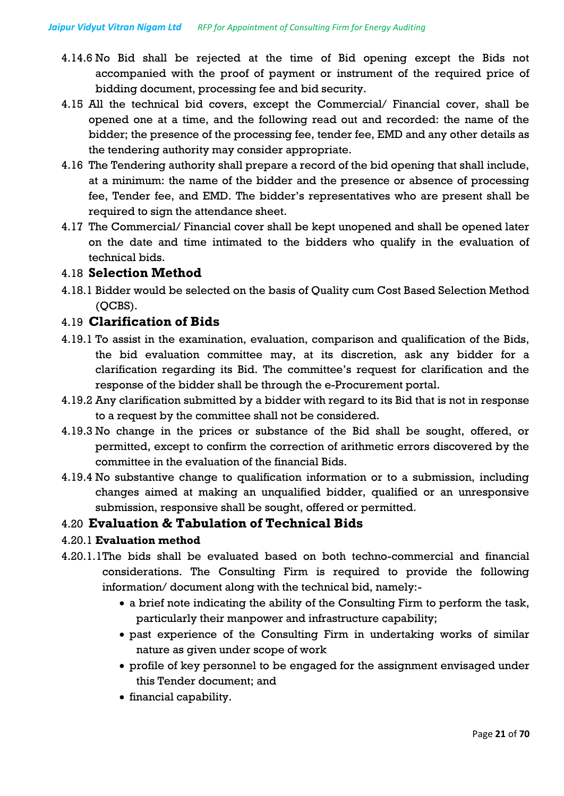- 4.14.6 No Bid shall be rejected at the time of Bid opening except the Bids not accompanied with the proof of payment or instrument of the required price of bidding document, processing fee and bid security.
- 4.15 All the technical bid covers, except the Commercial/ Financial cover, shall be opened one at a time, and the following read out and recorded: the name of the bidder; the presence of the processing fee, tender fee, EMD and any other details as the tendering authority may consider appropriate.
- 4.16 The Tendering authority shall prepare a record of the bid opening that shall include, at a minimum: the name of the bidder and the presence or absence of processing fee, Tender fee, and EMD. The bidder's representatives who are present shall be required to sign the attendance sheet.
- 4.17 The Commercial/ Financial cover shall be kept unopened and shall be opened later on the date and time intimated to the bidders who qualify in the evaluation of technical bids.

#### 4.18 **Selection Method**

4.18.1 Bidder would be selected on the basis of Quality cum Cost Based Selection Method (QCBS).

#### 4.19 **Clarification of Bids**

- 4.19.1 To assist in the examination, evaluation, comparison and qualification of the Bids, the bid evaluation committee may, at its discretion, ask any bidder for a clarification regarding its Bid. The committee's request for clarification and the response of the bidder shall be through the e-Procurement portal.
- 4.19.2 Any clarification submitted by a bidder with regard to its Bid that is not in response to a request by the committee shall not be considered.
- 4.19.3 No change in the prices or substance of the Bid shall be sought, offered, or permitted, except to confirm the correction of arithmetic errors discovered by the committee in the evaluation of the financial Bids.
- 4.19.4 No substantive change to qualification information or to a submission, including changes aimed at making an unqualified bidder, qualified or an unresponsive submission, responsive shall be sought, offered or permitted.

#### 4.20 **Evaluation & Tabulation of Technical Bids**

#### 4.20.1 **Evaluation method**

- 4.20.1.1The bids shall be evaluated based on both techno-commercial and financial considerations. The Consulting Firm is required to provide the following information/ document along with the technical bid, namely:
	- a brief note indicating the ability of the Consulting Firm to perform the task, particularly their manpower and infrastructure capability;
	- past experience of the Consulting Firm in undertaking works of similar nature as given under scope of work
	- profile of key personnel to be engaged for the assignment envisaged under this Tender document; and
	- financial capability.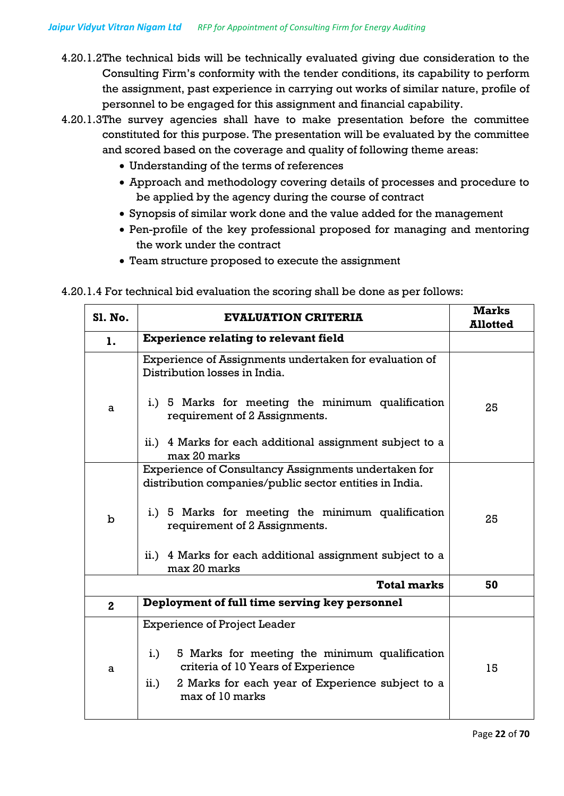- 4.20.1.2The technical bids will be technically evaluated giving due consideration to the Consulting Firm's conformity with the tender conditions, its capability to perform the assignment, past experience in carrying out works of similar nature, profile of personnel to be engaged for this assignment and financial capability.
- 4.20.1.3The survey agencies shall have to make presentation before the committee constituted for this purpose. The presentation will be evaluated by the committee and scored based on the coverage and quality of following theme areas:
	- Understanding of the terms of references
	- Approach and methodology covering details of processes and procedure to be applied by the agency during the course of contract
	- Synopsis of similar work done and the value added for the management
	- Pen-profile of the key professional proposed for managing and mentoring the work under the contract
	- Team structure proposed to execute the assignment

4.20.1.4 For technical bid evaluation the scoring shall be done as per follows:

| <b>EVALUATION CRITERIA</b>                                                                                                                                                | <b>Marks</b><br><b>Allotted</b>                         |
|---------------------------------------------------------------------------------------------------------------------------------------------------------------------------|---------------------------------------------------------|
| <b>Experience relating to relevant field</b>                                                                                                                              |                                                         |
| Experience of Assignments undertaken for evaluation of<br>Distribution losses in India.                                                                                   |                                                         |
| i.) 5 Marks for meeting the minimum qualification<br>requirement of 2 Assignments.                                                                                        | 25                                                      |
| ii.) 4 Marks for each additional assignment subject to a<br>max 20 marks                                                                                                  |                                                         |
| Experience of Consultancy Assignments undertaken for                                                                                                                      |                                                         |
|                                                                                                                                                                           |                                                         |
| i.) 5 Marks for meeting the minimum qualification<br>requirement of 2 Assignments.                                                                                        | 25                                                      |
| ii.) 4 Marks for each additional assignment subject to a<br>max 20 marks                                                                                                  |                                                         |
| <b>Total marks</b>                                                                                                                                                        | 50                                                      |
| Deployment of full time serving key personnel                                                                                                                             |                                                         |
| <b>Experience of Project Leader</b>                                                                                                                                       |                                                         |
| 5 Marks for meeting the minimum qualification<br>i.)<br>criteria of 10 Years of Experience<br>2 Marks for each year of Experience subject to a<br>ii.)<br>max of 10 marks | 15                                                      |
|                                                                                                                                                                           | distribution companies/public sector entities in India. |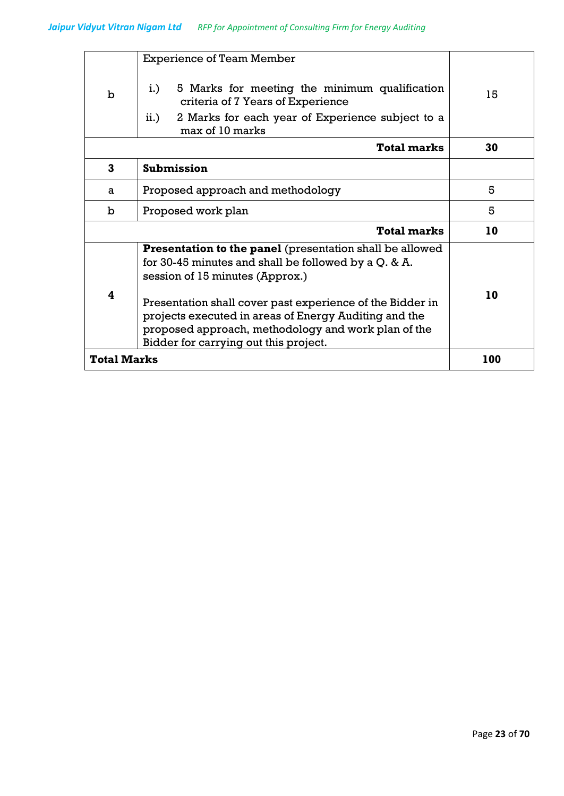|                    | <b>Experience of Team Member</b>                                                            |     |
|--------------------|---------------------------------------------------------------------------------------------|-----|
| $\mathbf b$        | $i$ .<br>5 Marks for meeting the minimum qualification<br>criteria of 7 Years of Experience | 15  |
|                    | 2 Marks for each year of Experience subject to a<br>ii.)<br>max of 10 marks                 |     |
|                    | <b>Total marks</b>                                                                          | 30  |
| 3                  | Submission                                                                                  |     |
| a                  | Proposed approach and methodology                                                           | 5   |
| b                  | Proposed work plan                                                                          | 5   |
|                    | <b>Total marks</b>                                                                          | 10  |
|                    | Presentation to the panel (presentation shall be allowed                                    |     |
|                    | for 30-45 minutes and shall be followed by a Q. & A.<br>session of 15 minutes (Approx.)     |     |
|                    |                                                                                             |     |
| 4                  | Presentation shall cover past experience of the Bidder in                                   | 10  |
|                    | projects executed in areas of Energy Auditing and the                                       |     |
|                    | proposed approach, methodology and work plan of the                                         |     |
|                    | Bidder for carrying out this project.                                                       |     |
| <b>Total Marks</b> |                                                                                             | 100 |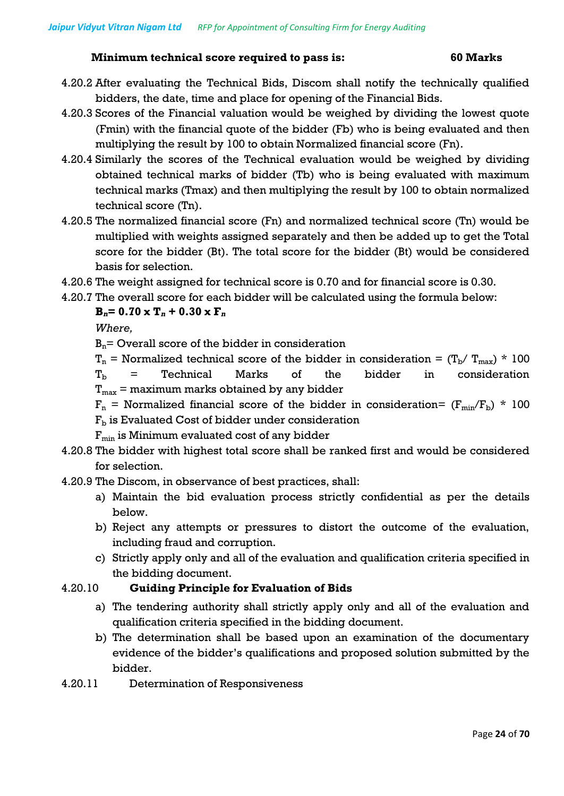#### **Minimum technical score required to pass is: 60 Marks**

- 4.20.2 After evaluating the Technical Bids, Discom shall notify the technically qualified bidders, the date, time and place for opening of the Financial Bids.
- 4.20.3 Scores of the Financial valuation would be weighed by dividing the lowest quote (Fmin) with the financial quote of the bidder (Fb) who is being evaluated and then multiplying the result by 100 to obtain Normalized financial score (Fn).
- 4.20.4 Similarly the scores of the Technical evaluation would be weighed by dividing obtained technical marks of bidder (Tb) who is being evaluated with maximum technical marks (Tmax) and then multiplying the result by 100 to obtain normalized technical score (Tn).
- 4.20.5 The normalized financial score (Fn) and normalized technical score (Tn) would be multiplied with weights assigned separately and then be added up to get the Total score for the bidder (Bt). The total score for the bidder (Bt) would be considered basis for selection.
- 4.20.6 The weight assigned for technical score is 0.70 and for financial score is 0.30.
- 4.20.7 The overall score for each bidder will be calculated using the formula below:

 $$ 

*Where,*

 $B_n$ = Overall score of the bidder in consideration

 $T_n$  = Normalized technical score of the bidder in consideration =  $(T_b/T_{max})$  \* 100  $T_b$  = Technical Marks of the bidder in consideration  $T_{\text{max}}$  = maximum marks obtained by any bidder

 $F_n$  = Normalized financial score of the bidder in consideration=  $(F_{min}/F_b)$  \* 100

- $F<sub>b</sub>$  is Evaluated Cost of bidder under consideration
- $F_{min}$  is Minimum evaluated cost of any bidder
- 4.20.8 The bidder with highest total score shall be ranked first and would be considered for selection.

4.20.9 The Discom, in observance of best practices, shall:

- a) Maintain the bid evaluation process strictly confidential as per the details below.
- b) Reject any attempts or pressures to distort the outcome of the evaluation, including fraud and corruption.
- c) Strictly apply only and all of the evaluation and qualification criteria specified in the bidding document.

#### 4.20.10 **Guiding Principle for Evaluation of Bids**

- a) The tendering authority shall strictly apply only and all of the evaluation and qualification criteria specified in the bidding document.
- b) The determination shall be based upon an examination of the documentary evidence of the bidder's qualifications and proposed solution submitted by the bidder.
- 4.20.11 Determination of Responsiveness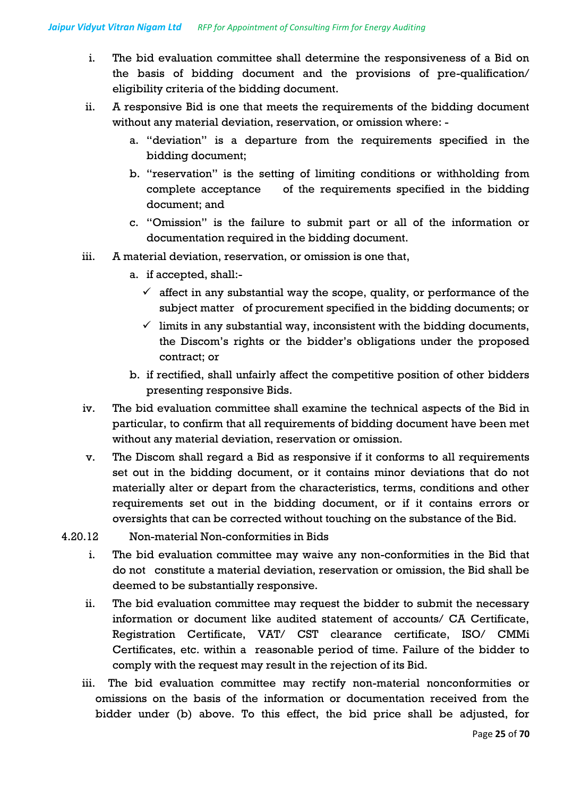- i. The bid evaluation committee shall determine the responsiveness of a Bid on the basis of bidding document and the provisions of pre-qualification/ eligibility criteria of the bidding document.
- ii. A responsive Bid is one that meets the requirements of the bidding document without any material deviation, reservation, or omission where:
	- a. "deviation" is a departure from the requirements specified in the bidding document;
	- b. "reservation" is the setting of limiting conditions or withholding from complete acceptance of the requirements specified in the bidding document; and
	- c. "Omission" is the failure to submit part or all of the information or documentation required in the bidding document.
- iii. A material deviation, reservation, or omission is one that,
	- a. if accepted, shall:-
		- $\checkmark$  affect in any substantial way the scope, quality, or performance of the subject matter of procurement specified in the bidding documents; or
		- $\checkmark$  limits in any substantial way, inconsistent with the bidding documents, the Discom's rights or the bidder's obligations under the proposed contract; or
	- b. if rectified, shall unfairly affect the competitive position of other bidders presenting responsive Bids.
- iv. The bid evaluation committee shall examine the technical aspects of the Bid in particular, to confirm that all requirements of bidding document have been met without any material deviation, reservation or omission.
- v. The Discom shall regard a Bid as responsive if it conforms to all requirements set out in the bidding document, or it contains minor deviations that do not materially alter or depart from the characteristics, terms, conditions and other requirements set out in the bidding document, or if it contains errors or oversights that can be corrected without touching on the substance of the Bid.
- 4.20.12 Non-material Non-conformities in Bids
	- i. The bid evaluation committee may waive any non-conformities in the Bid that do not constitute a material deviation, reservation or omission, the Bid shall be deemed to be substantially responsive.
	- ii. The bid evaluation committee may request the bidder to submit the necessary information or document like audited statement of accounts/ CA Certificate, Registration Certificate, VAT/ CST clearance certificate, ISO/ CMMi Certificates, etc. within a reasonable period of time. Failure of the bidder to comply with the request may result in the rejection of its Bid.
	- iii. The bid evaluation committee may rectify non-material nonconformities or omissions on the basis of the information or documentation received from the bidder under (b) above. To this effect, the bid price shall be adjusted, for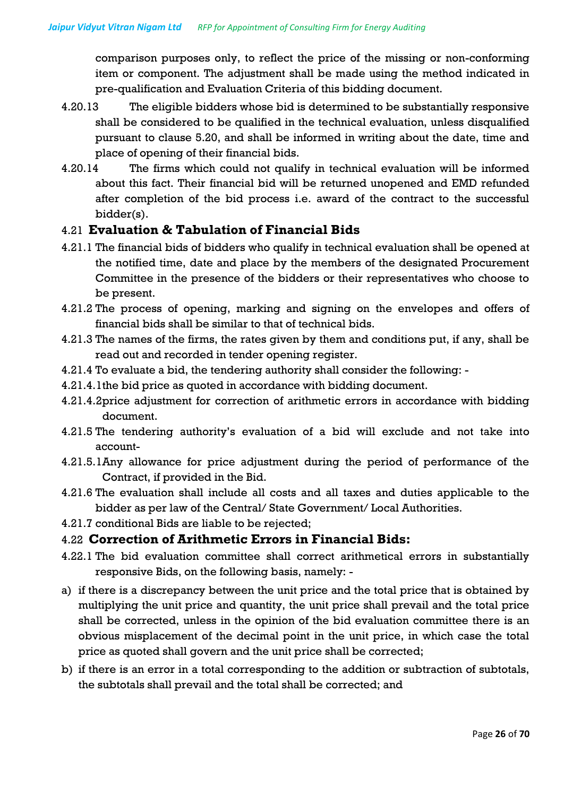comparison purposes only, to reflect the price of the missing or non-conforming item or component. The adjustment shall be made using the method indicated in pre-qualification and Evaluation Criteria of this bidding document.

- 4.20.13 The eligible bidders whose bid is determined to be substantially responsive shall be considered to be qualified in the technical evaluation, unless disqualified pursuant to clause 5.20, and shall be informed in writing about the date, time and place of opening of their financial bids.
- 4.20.14 The firms which could not qualify in technical evaluation will be informed about this fact. Their financial bid will be returned unopened and EMD refunded after completion of the bid process i.e. award of the contract to the successful bidder(s).

#### 4.21 **Evaluation & Tabulation of Financial Bids**

- 4.21.1 The financial bids of bidders who qualify in technical evaluation shall be opened at the notified time, date and place by the members of the designated Procurement Committee in the presence of the bidders or their representatives who choose to be present.
- 4.21.2 The process of opening, marking and signing on the envelopes and offers of financial bids shall be similar to that of technical bids.
- 4.21.3 The names of the firms, the rates given by them and conditions put, if any, shall be read out and recorded in tender opening register.
- 4.21.4 To evaluate a bid, the tendering authority shall consider the following: -
- 4.21.4.1the bid price as quoted in accordance with bidding document.
- 4.21.4.2price adjustment for correction of arithmetic errors in accordance with bidding document.
- 4.21.5 The tendering authority's evaluation of a bid will exclude and not take into account-
- 4.21.5.1Any allowance for price adjustment during the period of performance of the Contract, if provided in the Bid.
- 4.21.6 The evaluation shall include all costs and all taxes and duties applicable to the bidder as per law of the Central/ State Government/ Local Authorities.
- 4.21.7 conditional Bids are liable to be rejected;

#### 4.22 **Correction of Arithmetic Errors in Financial Bids:**

- 4.22.1 The bid evaluation committee shall correct arithmetical errors in substantially responsive Bids, on the following basis, namely: -
- a) if there is a discrepancy between the unit price and the total price that is obtained by multiplying the unit price and quantity, the unit price shall prevail and the total price shall be corrected, unless in the opinion of the bid evaluation committee there is an obvious misplacement of the decimal point in the unit price, in which case the total price as quoted shall govern and the unit price shall be corrected;
- b) if there is an error in a total corresponding to the addition or subtraction of subtotals, the subtotals shall prevail and the total shall be corrected; and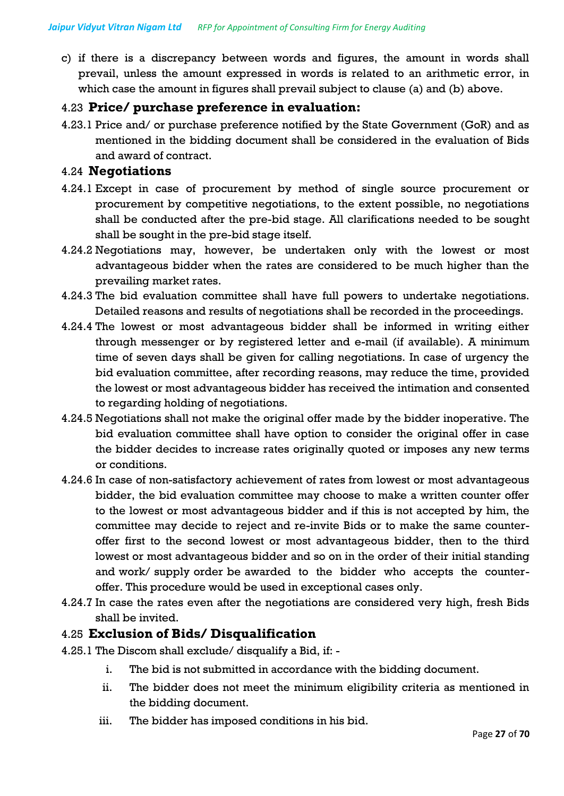c) if there is a discrepancy between words and figures, the amount in words shall prevail, unless the amount expressed in words is related to an arithmetic error, in which case the amount in figures shall prevail subject to clause (a) and (b) above.

#### 4.23 **Price/ purchase preference in evaluation:**

4.23.1 Price and/ or purchase preference notified by the State Government (GoR) and as mentioned in the bidding document shall be considered in the evaluation of Bids and award of contract.

#### 4.24 **Negotiations**

- 4.24.1 Except in case of procurement by method of single source procurement or procurement by competitive negotiations, to the extent possible, no negotiations shall be conducted after the pre-bid stage. All clarifications needed to be sought shall be sought in the pre-bid stage itself.
- 4.24.2 Negotiations may, however, be undertaken only with the lowest or most advantageous bidder when the rates are considered to be much higher than the prevailing market rates.
- 4.24.3 The bid evaluation committee shall have full powers to undertake negotiations. Detailed reasons and results of negotiations shall be recorded in the proceedings.
- 4.24.4 The lowest or most advantageous bidder shall be informed in writing either through messenger or by registered letter and e-mail (if available). A minimum time of seven days shall be given for calling negotiations. In case of urgency the bid evaluation committee, after recording reasons, may reduce the time, provided the lowest or most advantageous bidder has received the intimation and consented to regarding holding of negotiations.
- 4.24.5 Negotiations shall not make the original offer made by the bidder inoperative. The bid evaluation committee shall have option to consider the original offer in case the bidder decides to increase rates originally quoted or imposes any new terms or conditions.
- 4.24.6 In case of non-satisfactory achievement of rates from lowest or most advantageous bidder, the bid evaluation committee may choose to make a written counter offer to the lowest or most advantageous bidder and if this is not accepted by him, the committee may decide to reject and re-invite Bids or to make the same counteroffer first to the second lowest or most advantageous bidder, then to the third lowest or most advantageous bidder and so on in the order of their initial standing and work/ supply order be awarded to the bidder who accepts the counteroffer. This procedure would be used in exceptional cases only.
- 4.24.7 In case the rates even after the negotiations are considered very high, fresh Bids shall be invited.

#### 4.25 **Exclusion of Bids/ Disqualification**

- 4.25.1 The Discom shall exclude/ disqualify a Bid, if:
	- i. The bid is not submitted in accordance with the bidding document.
	- ii. The bidder does not meet the minimum eligibility criteria as mentioned in the bidding document.
	- iii. The bidder has imposed conditions in his bid.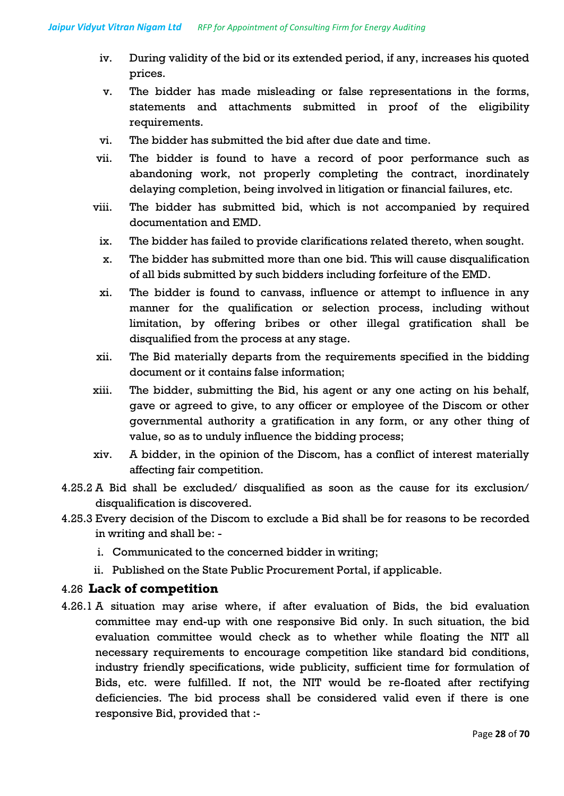- iv. During validity of the bid or its extended period, if any, increases his quoted prices.
- v. The bidder has made misleading or false representations in the forms, statements and attachments submitted in proof of the eligibility requirements.
- vi. The bidder has submitted the bid after due date and time.
- vii. The bidder is found to have a record of poor performance such as abandoning work, not properly completing the contract, inordinately delaying completion, being involved in litigation or financial failures, etc.
- viii. The bidder has submitted bid, which is not accompanied by required documentation and EMD.
	- ix. The bidder has failed to provide clarifications related thereto, when sought.
	- x. The bidder has submitted more than one bid. This will cause disqualification of all bids submitted by such bidders including forfeiture of the EMD.
	- xi. The bidder is found to canvass, influence or attempt to influence in any manner for the qualification or selection process, including without limitation, by offering bribes or other illegal gratification shall be disqualified from the process at any stage.
- xii. The Bid materially departs from the requirements specified in the bidding document or it contains false information;
- xiii. The bidder, submitting the Bid, his agent or any one acting on his behalf, gave or agreed to give, to any officer or employee of the Discom or other governmental authority a gratification in any form, or any other thing of value, so as to unduly influence the bidding process;
- xiv. A bidder, in the opinion of the Discom, has a conflict of interest materially affecting fair competition.
- 4.25.2 A Bid shall be excluded/ disqualified as soon as the cause for its exclusion/ disqualification is discovered.
- 4.25.3 Every decision of the Discom to exclude a Bid shall be for reasons to be recorded in writing and shall be:
	- i. Communicated to the concerned bidder in writing;
	- ii. Published on the State Public Procurement Portal, if applicable.

### 4.26 **Lack of competition**

4.26.1 A situation may arise where, if after evaluation of Bids, the bid evaluation committee may end-up with one responsive Bid only. In such situation, the bid evaluation committee would check as to whether while floating the NIT all necessary requirements to encourage competition like standard bid conditions, industry friendly specifications, wide publicity, sufficient time for formulation of Bids, etc. were fulfilled. If not, the NIT would be re-floated after rectifying deficiencies. The bid process shall be considered valid even if there is one responsive Bid, provided that :-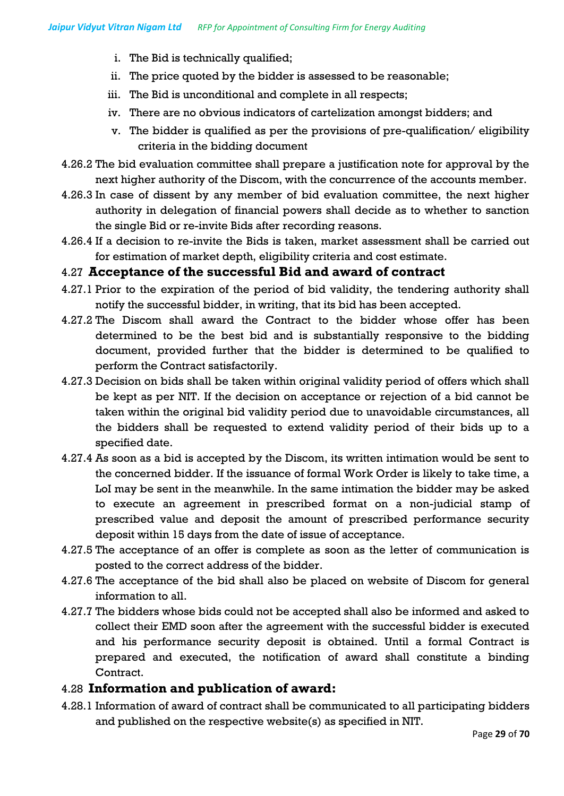- i. The Bid is technically qualified;
- ii. The price quoted by the bidder is assessed to be reasonable;
- iii. The Bid is unconditional and complete in all respects;
- iv. There are no obvious indicators of cartelization amongst bidders; and
- v. The bidder is qualified as per the provisions of pre-qualification/ eligibility criteria in the bidding document
- 4.26.2 The bid evaluation committee shall prepare a justification note for approval by the next higher authority of the Discom, with the concurrence of the accounts member.
- 4.26.3 In case of dissent by any member of bid evaluation committee, the next higher authority in delegation of financial powers shall decide as to whether to sanction the single Bid or re-invite Bids after recording reasons.
- 4.26.4 If a decision to re-invite the Bids is taken, market assessment shall be carried out for estimation of market depth, eligibility criteria and cost estimate.

#### 4.27 **Acceptance of the successful Bid and award of contract**

- 4.27.1 Prior to the expiration of the period of bid validity, the tendering authority shall notify the successful bidder, in writing, that its bid has been accepted.
- 4.27.2 The Discom shall award the Contract to the bidder whose offer has been determined to be the best bid and is substantially responsive to the bidding document, provided further that the bidder is determined to be qualified to perform the Contract satisfactorily.
- 4.27.3 Decision on bids shall be taken within original validity period of offers which shall be kept as per NIT. If the decision on acceptance or rejection of a bid cannot be taken within the original bid validity period due to unavoidable circumstances, all the bidders shall be requested to extend validity period of their bids up to a specified date.
- 4.27.4 As soon as a bid is accepted by the Discom, its written intimation would be sent to the concerned bidder. If the issuance of formal Work Order is likely to take time, a LoI may be sent in the meanwhile. In the same intimation the bidder may be asked to execute an agreement in prescribed format on a non-judicial stamp of prescribed value and deposit the amount of prescribed performance security deposit within 15 days from the date of issue of acceptance.
- 4.27.5 The acceptance of an offer is complete as soon as the letter of communication is posted to the correct address of the bidder.
- 4.27.6 The acceptance of the bid shall also be placed on website of Discom for general information to all.
- 4.27.7 The bidders whose bids could not be accepted shall also be informed and asked to collect their EMD soon after the agreement with the successful bidder is executed and his performance security deposit is obtained. Until a formal Contract is prepared and executed, the notification of award shall constitute a binding Contract.

### 4.28 **Information and publication of award:**

4.28.1 Information of award of contract shall be communicated to all participating bidders and published on the respective website(s) as specified in NIT.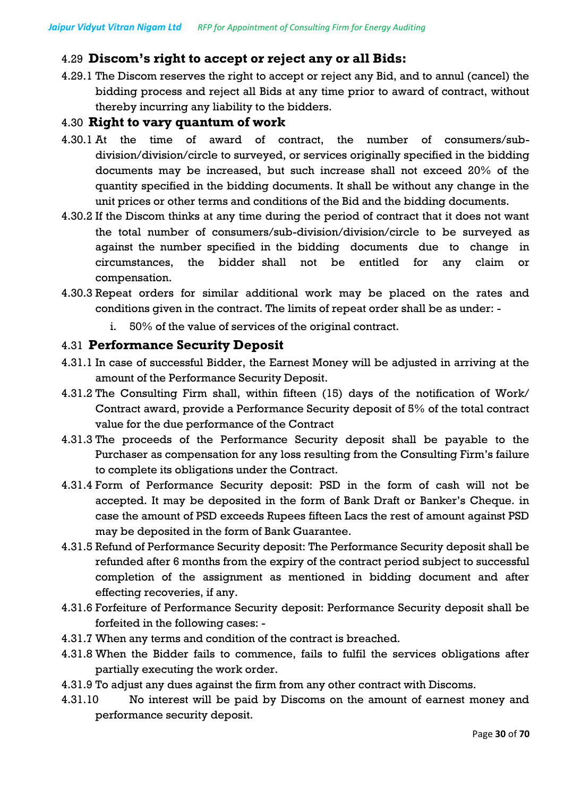# 4.29 **Discom's right to accept or reject any or all Bids:**

4.29.1 The Discom reserves the right to accept or reject any Bid, and to annul (cancel) the bidding process and reject all Bids at any time prior to award of contract, without thereby incurring any liability to the bidders.

#### 4.30 **Right to vary quantum of work**

- 4.30.1 At the time of award of contract, the number of consumers/subdivision/division/circle to surveyed, or services originally specified in the bidding documents may be increased, but such increase shall not exceed 20% of the quantity specified in the bidding documents. It shall be without any change in the unit prices or other terms and conditions of the Bid and the bidding documents.
- 4.30.2 If the Discom thinks at any time during the period of contract that it does not want the total number of consumers/sub-division/division/circle to be surveyed as against the number specified in the bidding documents due to change in circumstances, the bidder shall not be entitled for any claim or compensation.
- 4.30.3 Repeat orders for similar additional work may be placed on the rates and conditions given in the contract. The limits of repeat order shall be as under:
	- i. 50% of the value of services of the original contract.

#### 4.31 **Performance Security Deposit**

- 4.31.1 In case of successful Bidder, the Earnest Money will be adjusted in arriving at the amount of the Performance Security Deposit.
- 4.31.2 The Consulting Firm shall, within fifteen (15) days of the notification of Work/ Contract award, provide a Performance Security deposit of 5% of the total contract value for the due performance of the Contract
- 4.31.3 The proceeds of the Performance Security deposit shall be payable to the Purchaser as compensation for any loss resulting from the Consulting Firm's failure to complete its obligations under the Contract.
- 4.31.4 Form of Performance Security deposit: PSD in the form of cash will not be accepted. It may be deposited in the form of Bank Draft or Banker's Cheque. in case the amount of PSD exceeds Rupees fifteen Lacs the rest of amount against PSD may be deposited in the form of Bank Guarantee.
- 4.31.5 Refund of Performance Security deposit: The Performance Security deposit shall be refunded after 6 months from the expiry of the contract period subject to successful completion of the assignment as mentioned in bidding document and after effecting recoveries, if any.
- 4.31.6 Forfeiture of Performance Security deposit: Performance Security deposit shall be forfeited in the following cases: -
- 4.31.7 When any terms and condition of the contract is breached.
- 4.31.8 When the Bidder fails to commence, fails to fulfil the services obligations after partially executing the work order.
- 4.31.9 To adjust any dues against the firm from any other contract with Discoms.
- 4.31.10 No interest will be paid by Discoms on the amount of earnest money and performance security deposit.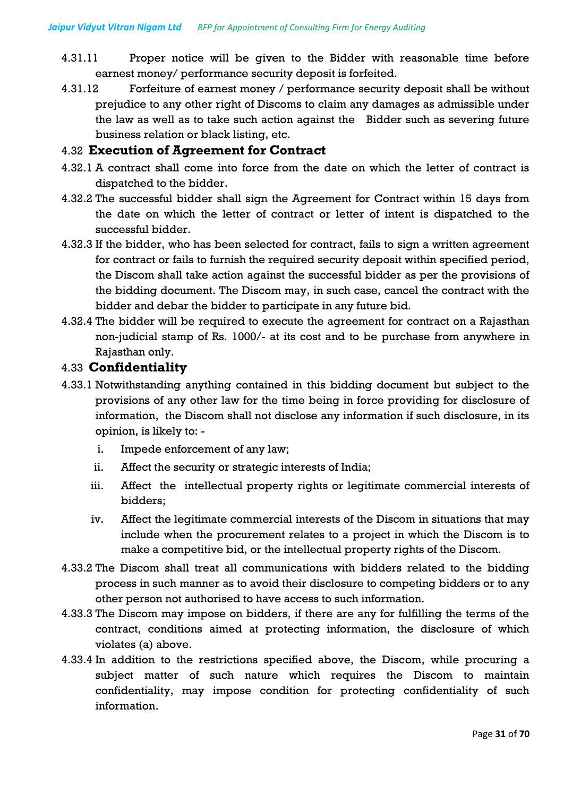- 4.31.11 Proper notice will be given to the Bidder with reasonable time before earnest money/ performance security deposit is forfeited.
- 4.31.12 Forfeiture of earnest money / performance security deposit shall be without prejudice to any other right of Discoms to claim any damages as admissible under the law as well as to take such action against the Bidder such as severing future business relation or black listing, etc.

#### 4.32 **Execution of Agreement for Contract**

- 4.32.1 A contract shall come into force from the date on which the letter of contract is dispatched to the bidder.
- 4.32.2 The successful bidder shall sign the Agreement for Contract within 15 days from the date on which the letter of contract or letter of intent is dispatched to the successful bidder.
- 4.32.3 If the bidder, who has been selected for contract, fails to sign a written agreement for contract or fails to furnish the required security deposit within specified period, the Discom shall take action against the successful bidder as per the provisions of the bidding document. The Discom may, in such case, cancel the contract with the bidder and debar the bidder to participate in any future bid.
- 4.32.4 The bidder will be required to execute the agreement for contract on a Rajasthan non-judicial stamp of Rs. 1000/- at its cost and to be purchase from anywhere in Rajasthan only.

#### 4.33 **Confidentiality**

- 4.33.1 Notwithstanding anything contained in this bidding document but subject to the provisions of any other law for the time being in force providing for disclosure of information, the Discom shall not disclose any information if such disclosure, in its opinion, is likely to:
	- i. Impede enforcement of any law;
	- ii. Affect the security or strategic interests of India;
	- iii. Affect the intellectual property rights or legitimate commercial interests of bidders;
	- iv. Affect the legitimate commercial interests of the Discom in situations that may include when the procurement relates to a project in which the Discom is to make a competitive bid, or the intellectual property rights of the Discom.
- 4.33.2 The Discom shall treat all communications with bidders related to the bidding process in such manner as to avoid their disclosure to competing bidders or to any other person not authorised to have access to such information.
- 4.33.3 The Discom may impose on bidders, if there are any for fulfilling the terms of the contract, conditions aimed at protecting information, the disclosure of which violates (a) above.
- 4.33.4 In addition to the restrictions specified above, the Discom, while procuring a subject matter of such nature which requires the Discom to maintain confidentiality, may impose condition for protecting confidentiality of such information.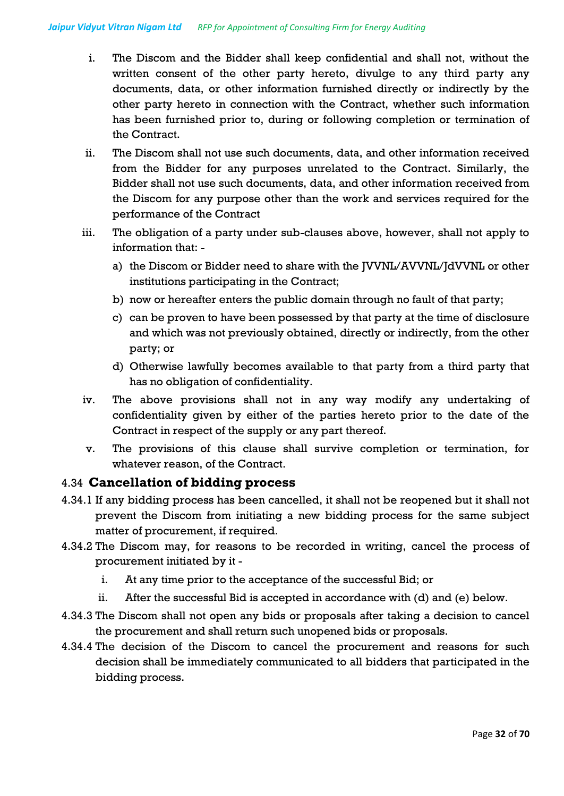- i. The Discom and the Bidder shall keep confidential and shall not, without the written consent of the other party hereto, divulge to any third party any documents, data, or other information furnished directly or indirectly by the other party hereto in connection with the Contract, whether such information has been furnished prior to, during or following completion or termination of the Contract.
- ii. The Discom shall not use such documents, data, and other information received from the Bidder for any purposes unrelated to the Contract. Similarly, the Bidder shall not use such documents, data, and other information received from the Discom for any purpose other than the work and services required for the performance of the Contract
- iii. The obligation of a party under sub-clauses above, however, shall not apply to information that:
	- a) the Discom or Bidder need to share with the JVVNL/AVVNL/JdVVNL or other institutions participating in the Contract;
	- b) now or hereafter enters the public domain through no fault of that party;
	- c) can be proven to have been possessed by that party at the time of disclosure and which was not previously obtained, directly or indirectly, from the other party; or
	- d) Otherwise lawfully becomes available to that party from a third party that has no obligation of confidentiality.
- iv. The above provisions shall not in any way modify any undertaking of confidentiality given by either of the parties hereto prior to the date of the Contract in respect of the supply or any part thereof.
- v. The provisions of this clause shall survive completion or termination, for whatever reason, of the Contract.

#### 4.34 **Cancellation of bidding process**

- 4.34.1 If any bidding process has been cancelled, it shall not be reopened but it shall not prevent the Discom from initiating a new bidding process for the same subject matter of procurement, if required.
- 4.34.2 The Discom may, for reasons to be recorded in writing, cancel the process of procurement initiated by it
	- i. At any time prior to the acceptance of the successful Bid; or
	- ii. After the successful Bid is accepted in accordance with (d) and (e) below.
- 4.34.3 The Discom shall not open any bids or proposals after taking a decision to cancel the procurement and shall return such unopened bids or proposals.
- 4.34.4 The decision of the Discom to cancel the procurement and reasons for such decision shall be immediately communicated to all bidders that participated in the bidding process.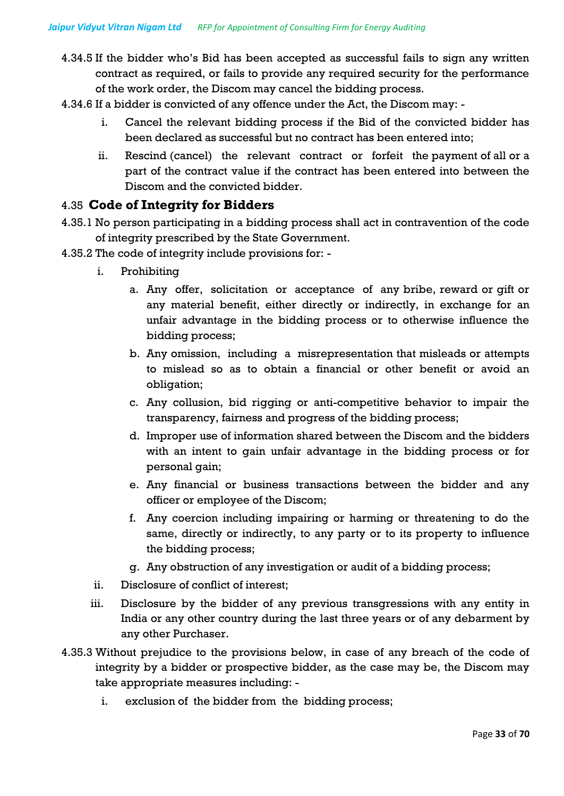- 4.34.5 If the bidder who's Bid has been accepted as successful fails to sign any written contract as required, or fails to provide any required security for the performance of the work order, the Discom may cancel the bidding process.
- 4.34.6 If a bidder is convicted of any offence under the Act, the Discom may:
	- i. Cancel the relevant bidding process if the Bid of the convicted bidder has been declared as successful but no contract has been entered into;
	- ii. Rescind (cancel) the relevant contract or forfeit the payment of all or a part of the contract value if the contract has been entered into between the Discom and the convicted bidder.

#### 4.35 **Code of Integrity for Bidders**

- 4.35.1 No person participating in a bidding process shall act in contravention of the code of integrity prescribed by the State Government.
- 4.35.2 The code of integrity include provisions for:
	- i. Prohibiting
		- a. Any offer, solicitation or acceptance of any bribe, reward or gift or any material benefit, either directly or indirectly, in exchange for an unfair advantage in the bidding process or to otherwise influence the bidding process;
		- b. Any omission, including a misrepresentation that misleads or attempts to mislead so as to obtain a financial or other benefit or avoid an obligation;
		- c. Any collusion, bid rigging or anti-competitive behavior to impair the transparency, fairness and progress of the bidding process;
		- d. Improper use of information shared between the Discom and the bidders with an intent to gain unfair advantage in the bidding process or for personal gain;
		- e. Any financial or business transactions between the bidder and any officer or employee of the Discom;
		- f. Any coercion including impairing or harming or threatening to do the same, directly or indirectly, to any party or to its property to influence the bidding process;
		- g. Any obstruction of any investigation or audit of a bidding process;
	- ii. Disclosure of conflict of interest;
	- iii. Disclosure by the bidder of any previous transgressions with any entity in India or any other country during the last three years or of any debarment by any other Purchaser.
- 4.35.3 Without prejudice to the provisions below, in case of any breach of the code of integrity by a bidder or prospective bidder, as the case may be, the Discom may take appropriate measures including:
	- i. exclusion of the bidder from the bidding process;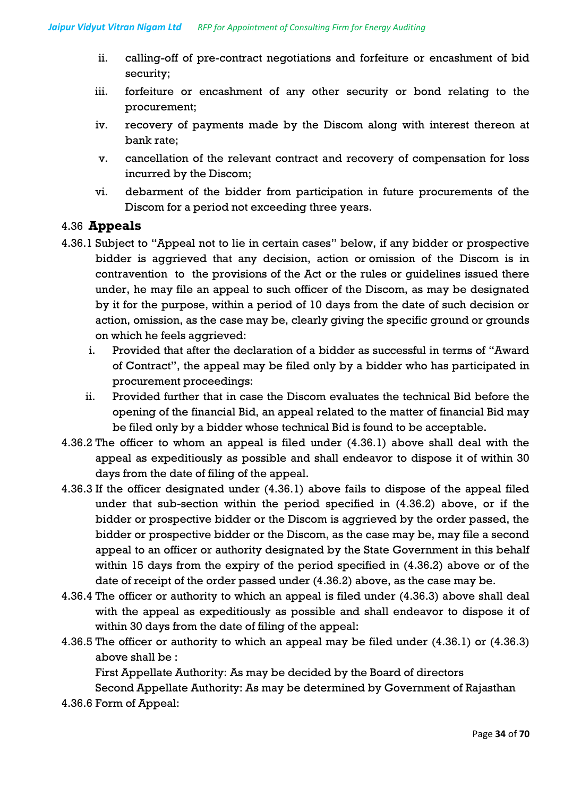- ii. calling-off of pre-contract negotiations and forfeiture or encashment of bid security;
- iii. forfeiture or encashment of any other security or bond relating to the procurement;
- iv. recovery of payments made by the Discom along with interest thereon at bank rate;
- v. cancellation of the relevant contract and recovery of compensation for loss incurred by the Discom;
- vi. debarment of the bidder from participation in future procurements of the Discom for a period not exceeding three years.

### 4.36 **Appeals**

- 4.36.1 Subject to "Appeal not to lie in certain cases" below, if any bidder or prospective bidder is aggrieved that any decision, action or omission of the Discom is in contravention to the provisions of the Act or the rules or guidelines issued there under, he may file an appeal to such officer of the Discom, as may be designated by it for the purpose, within a period of 10 days from the date of such decision or action, omission, as the case may be, clearly giving the specific ground or grounds on which he feels aggrieved:
	- i. Provided that after the declaration of a bidder as successful in terms of "Award of Contract", the appeal may be filed only by a bidder who has participated in procurement proceedings:
	- ii. Provided further that in case the Discom evaluates the technical Bid before the opening of the financial Bid, an appeal related to the matter of financial Bid may be filed only by a bidder whose technical Bid is found to be acceptable.
- 4.36.2 The officer to whom an appeal is filed under (4.36.1) above shall deal with the appeal as expeditiously as possible and shall endeavor to dispose it of within 30 days from the date of filing of the appeal.
- 4.36.3 If the officer designated under (4.36.1) above fails to dispose of the appeal filed under that sub-section within the period specified in (4.36.2) above, or if the bidder or prospective bidder or the Discom is aggrieved by the order passed, the bidder or prospective bidder or the Discom, as the case may be, may file a second appeal to an officer or authority designated by the State Government in this behalf within 15 days from the expiry of the period specified in (4.36.2) above or of the date of receipt of the order passed under (4.36.2) above, as the case may be.
- 4.36.4 The officer or authority to which an appeal is filed under (4.36.3) above shall deal with the appeal as expeditiously as possible and shall endeavor to dispose it of within 30 days from the date of filing of the appeal:
- 4.36.5 The officer or authority to which an appeal may be filed under (4.36.1) or (4.36.3) above shall be :

First Appellate Authority: As may be decided by the Board of directors

Second Appellate Authority: As may be determined by Government of Rajasthan

4.36.6 Form of Appeal: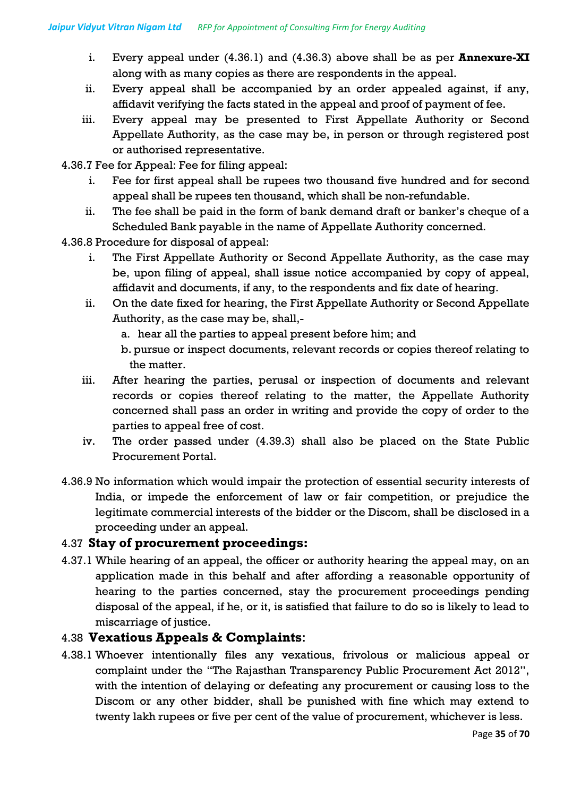- i. Every appeal under (4.36.1) and (4.36.3) above shall be as per **Annexure-XI** along with as many copies as there are respondents in the appeal.
- ii. Every appeal shall be accompanied by an order appealed against, if any, affidavit verifying the facts stated in the appeal and proof of payment of fee.
- iii. Every appeal may be presented to First Appellate Authority or Second Appellate Authority, as the case may be, in person or through registered post or authorised representative.
- 4.36.7 Fee for Appeal: Fee for filing appeal:
	- i. Fee for first appeal shall be rupees two thousand five hundred and for second appeal shall be rupees ten thousand, which shall be non-refundable.
	- ii. The fee shall be paid in the form of bank demand draft or banker's cheque of a Scheduled Bank payable in the name of Appellate Authority concerned.
- 4.36.8 Procedure for disposal of appeal:
	- i. The First Appellate Authority or Second Appellate Authority, as the case may be, upon filing of appeal, shall issue notice accompanied by copy of appeal, affidavit and documents, if any, to the respondents and fix date of hearing.
	- ii. On the date fixed for hearing, the First Appellate Authority or Second Appellate Authority, as the case may be, shall,
		- a. hear all the parties to appeal present before him; and
		- b. pursue or inspect documents, relevant records or copies thereof relating to the matter.
	- iii. After hearing the parties, perusal or inspection of documents and relevant records or copies thereof relating to the matter, the Appellate Authority concerned shall pass an order in writing and provide the copy of order to the parties to appeal free of cost.
	- iv. The order passed under (4.39.3) shall also be placed on the State Public Procurement Portal.
- 4.36.9 No information which would impair the protection of essential security interests of India, or impede the enforcement of law or fair competition, or prejudice the legitimate commercial interests of the bidder or the Discom, shall be disclosed in a proceeding under an appeal.

### 4.37 **Stay of procurement proceedings:**

4.37.1 While hearing of an appeal, the officer or authority hearing the appeal may, on an application made in this behalf and after affording a reasonable opportunity of hearing to the parties concerned, stay the procurement proceedings pending disposal of the appeal, if he, or it, is satisfied that failure to do so is likely to lead to miscarriage of justice.

### 4.38 **Vexatious Appeals & Complaints**:

4.38.1 Whoever intentionally files any vexatious, frivolous or malicious appeal or complaint under the "The Rajasthan Transparency Public Procurement Act 2012", with the intention of delaying or defeating any procurement or causing loss to the Discom or any other bidder, shall be punished with fine which may extend to twenty lakh rupees or five per cent of the value of procurement, whichever is less.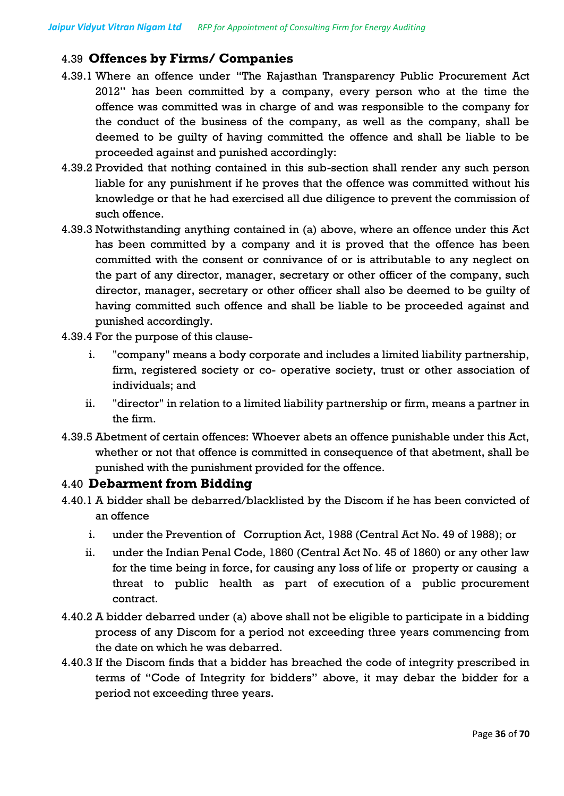# 4.39 **Offences by Firms/ Companies**

- 4.39.1 Where an offence under "The Rajasthan Transparency Public Procurement Act 2012" has been committed by a company, every person who at the time the offence was committed was in charge of and was responsible to the company for the conduct of the business of the company, as well as the company, shall be deemed to be guilty of having committed the offence and shall be liable to be proceeded against and punished accordingly:
- 4.39.2 Provided that nothing contained in this sub-section shall render any such person liable for any punishment if he proves that the offence was committed without his knowledge or that he had exercised all due diligence to prevent the commission of such offence.
- 4.39.3 Notwithstanding anything contained in (a) above, where an offence under this Act has been committed by a company and it is proved that the offence has been committed with the consent or connivance of or is attributable to any neglect on the part of any director, manager, secretary or other officer of the company, such director, manager, secretary or other officer shall also be deemed to be guilty of having committed such offence and shall be liable to be proceeded against and punished accordingly.
- 4.39.4 For the purpose of this clause
	- i. "company" means a body corporate and includes a limited liability partnership, firm, registered society or co- operative society, trust or other association of individuals; and
	- ii. "director" in relation to a limited liability partnership or firm, means a partner in the firm.
- 4.39.5 Abetment of certain offences: Whoever abets an offence punishable under this Act, whether or not that offence is committed in consequence of that abetment, shall be punished with the punishment provided for the offence.

#### 4.40 **Debarment from Bidding**

- 4.40.1 A bidder shall be debarred/blacklisted by the Discom if he has been convicted of an offence
	- i. under the Prevention of Corruption Act, 1988 (Central Act No. 49 of 1988); or
	- ii. under the Indian Penal Code, 1860 (Central Act No. 45 of 1860) or any other law for the time being in force, for causing any loss of life or property or causing a threat to public health as part of execution of a public procurement contract.
- 4.40.2 A bidder debarred under (a) above shall not be eligible to participate in a bidding process of any Discom for a period not exceeding three years commencing from the date on which he was debarred.
- 4.40.3 If the Discom finds that a bidder has breached the code of integrity prescribed in terms of "Code of Integrity for bidders" above, it may debar the bidder for a period not exceeding three years.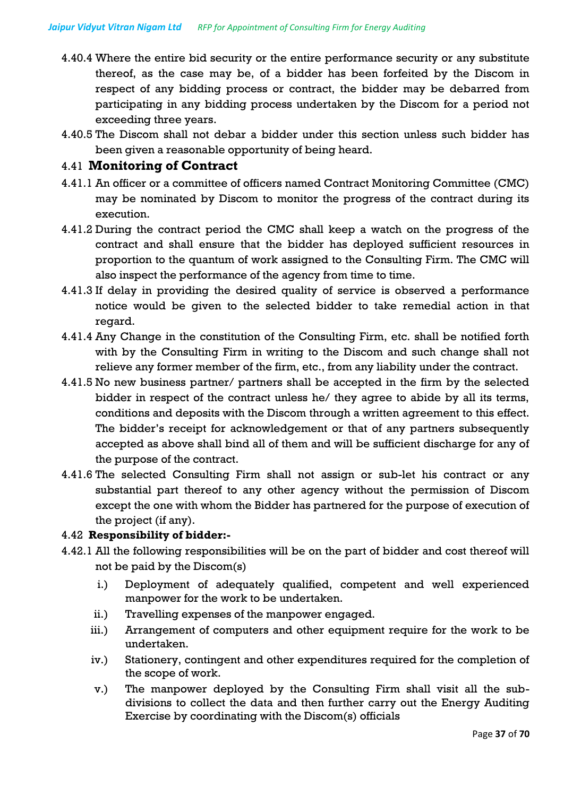- 4.40.4 Where the entire bid security or the entire performance security or any substitute thereof, as the case may be, of a bidder has been forfeited by the Discom in respect of any bidding process or contract, the bidder may be debarred from participating in any bidding process undertaken by the Discom for a period not exceeding three years.
- 4.40.5 The Discom shall not debar a bidder under this section unless such bidder has been given a reasonable opportunity of being heard.

#### 4.41 **Monitoring of Contract**

- 4.41.1 An officer or a committee of officers named Contract Monitoring Committee (CMC) may be nominated by Discom to monitor the progress of the contract during its execution.
- 4.41.2 During the contract period the CMC shall keep a watch on the progress of the contract and shall ensure that the bidder has deployed sufficient resources in proportion to the quantum of work assigned to the Consulting Firm. The CMC will also inspect the performance of the agency from time to time.
- 4.41.3 If delay in providing the desired quality of service is observed a performance notice would be given to the selected bidder to take remedial action in that regard.
- 4.41.4 Any Change in the constitution of the Consulting Firm, etc. shall be notified forth with by the Consulting Firm in writing to the Discom and such change shall not relieve any former member of the firm, etc., from any liability under the contract.
- 4.41.5 No new business partner/ partners shall be accepted in the firm by the selected bidder in respect of the contract unless he/ they agree to abide by all its terms, conditions and deposits with the Discom through a written agreement to this effect. The bidder's receipt for acknowledgement or that of any partners subsequently accepted as above shall bind all of them and will be sufficient discharge for any of the purpose of the contract.
- 4.41.6 The selected Consulting Firm shall not assign or sub-let his contract or any substantial part thereof to any other agency without the permission of Discom except the one with whom the Bidder has partnered for the purpose of execution of the project (if any).

#### 4.42 **Responsibility of bidder:-**

- 4.42.1 All the following responsibilities will be on the part of bidder and cost thereof will not be paid by the Discom(s)
	- i.) Deployment of adequately qualified, competent and well experienced manpower for the work to be undertaken.
	- ii.) Travelling expenses of the manpower engaged.
	- iii.) Arrangement of computers and other equipment require for the work to be undertaken.
	- iv.) Stationery, contingent and other expenditures required for the completion of the scope of work.
	- v.) The manpower deployed by the Consulting Firm shall visit all the subdivisions to collect the data and then further carry out the Energy Auditing Exercise by coordinating with the Discom(s) officials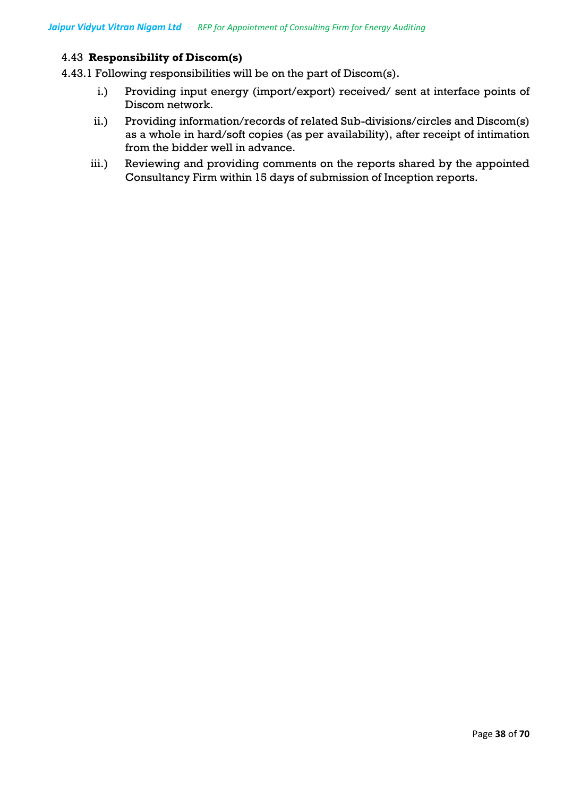#### 4.43 **Responsibility of Discom(s)**

4.43.1 Following responsibilities will be on the part of Discom(s).

- i.) Providing input energy (import/export) received/ sent at interface points of Discom network.
- ii.) Providing information/records of related Sub-divisions/circles and Discom(s) as a whole in hard/soft copies (as per availability), after receipt of intimation from the bidder well in advance.
- iii.) Reviewing and providing comments on the reports shared by the appointed Consultancy Firm within 15 days of submission of Inception reports.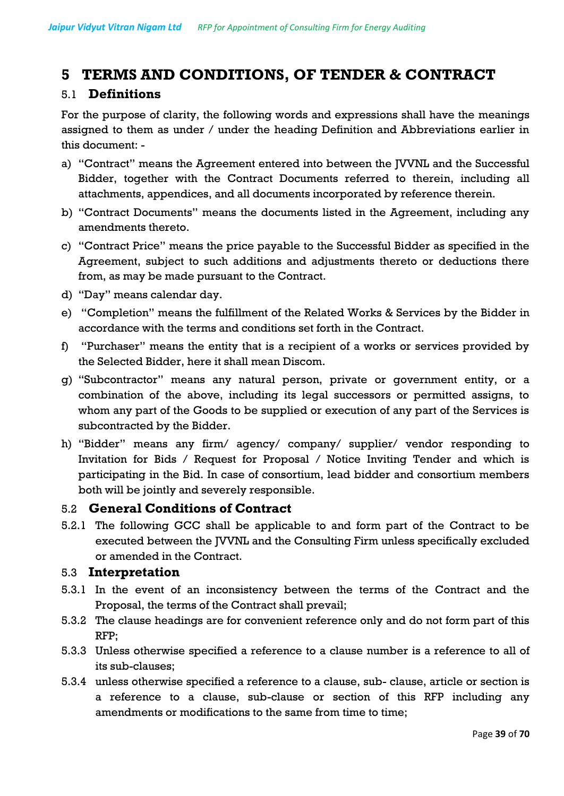# **5 TERMS AND CONDITIONS, OF TENDER & CONTRACT**

### 5.1 **Definitions**

For the purpose of clarity, the following words and expressions shall have the meanings assigned to them as under / under the heading Definition and Abbreviations earlier in this document: -

- a) "Contract" means the Agreement entered into between the JVVNL and the Successful Bidder, together with the Contract Documents referred to therein, including all attachments, appendices, and all documents incorporated by reference therein.
- b) "Contract Documents" means the documents listed in the Agreement, including any amendments thereto.
- c) "Contract Price" means the price payable to the Successful Bidder as specified in the Agreement, subject to such additions and adjustments thereto or deductions there from, as may be made pursuant to the Contract.
- d) "Day" means calendar day.
- e) "Completion" means the fulfillment of the Related Works & Services by the Bidder in accordance with the terms and conditions set forth in the Contract.
- f) "Purchaser" means the entity that is a recipient of a works or services provided by the Selected Bidder, here it shall mean Discom.
- g) "Subcontractor" means any natural person, private or government entity, or a combination of the above, including its legal successors or permitted assigns, to whom any part of the Goods to be supplied or execution of any part of the Services is subcontracted by the Bidder.
- h) "Bidder" means any firm/ agency/ company/ supplier/ vendor responding to Invitation for Bids / Request for Proposal / Notice Inviting Tender and which is participating in the Bid. In case of consortium, lead bidder and consortium members both will be jointly and severely responsible.

#### 5.2 **General Conditions of Contract**

5.2.1 The following GCC shall be applicable to and form part of the Contract to be executed between the JVVNL and the Consulting Firm unless specifically excluded or amended in the Contract.

#### 5.3 **Interpretation**

- 5.3.1 In the event of an inconsistency between the terms of the Contract and the Proposal, the terms of the Contract shall prevail;
- 5.3.2 The clause headings are for convenient reference only and do not form part of this RFP;
- 5.3.3 Unless otherwise specified a reference to a clause number is a reference to all of its sub-clauses;
- 5.3.4 unless otherwise specified a reference to a clause, sub- clause, article or section is a reference to a clause, sub-clause or section of this RFP including any amendments or modifications to the same from time to time;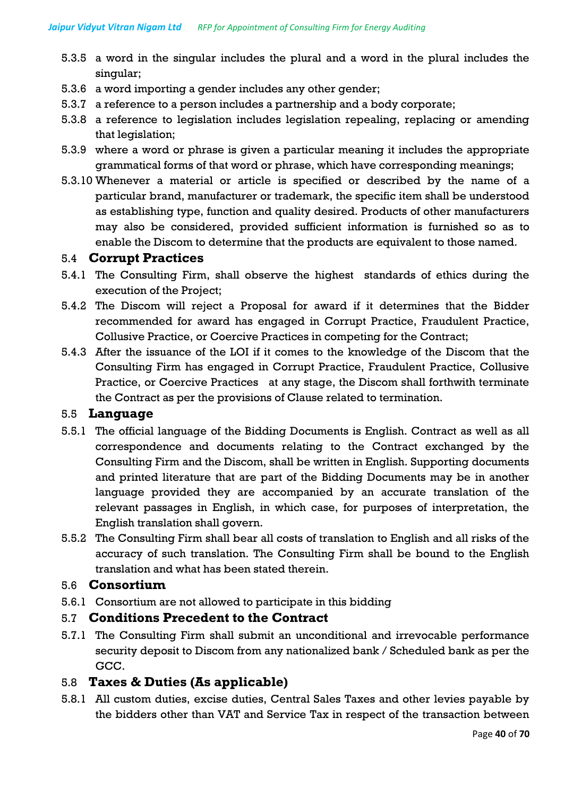- 5.3.5 a word in the singular includes the plural and a word in the plural includes the singular;
- 5.3.6 a word importing a gender includes any other gender;
- 5.3.7 a reference to a person includes a partnership and a body corporate;
- 5.3.8 a reference to legislation includes legislation repealing, replacing or amending that legislation;
- 5.3.9 where a word or phrase is given a particular meaning it includes the appropriate grammatical forms of that word or phrase, which have corresponding meanings;
- 5.3.10 Whenever a material or article is specified or described by the name of a particular brand, manufacturer or trademark, the specific item shall be understood as establishing type, function and quality desired. Products of other manufacturers may also be considered, provided sufficient information is furnished so as to enable the Discom to determine that the products are equivalent to those named.

#### 5.4 **Corrupt Practices**

- 5.4.1 The Consulting Firm, shall observe the highest standards of ethics during the execution of the Project;
- 5.4.2 The Discom will reject a Proposal for award if it determines that the Bidder recommended for award has engaged in Corrupt Practice, Fraudulent Practice, Collusive Practice, or Coercive Practices in competing for the Contract;
- 5.4.3 After the issuance of the LOI if it comes to the knowledge of the Discom that the Consulting Firm has engaged in Corrupt Practice, Fraudulent Practice, Collusive Practice, or Coercive Practices at any stage, the Discom shall forthwith terminate the Contract as per the provisions of Clause related to termination.

#### 5.5 **Language**

- 5.5.1 The official language of the Bidding Documents is English. Contract as well as all correspondence and documents relating to the Contract exchanged by the Consulting Firm and the Discom, shall be written in English. Supporting documents and printed literature that are part of the Bidding Documents may be in another language provided they are accompanied by an accurate translation of the relevant passages in English, in which case, for purposes of interpretation, the English translation shall govern.
- 5.5.2 The Consulting Firm shall bear all costs of translation to English and all risks of the accuracy of such translation. The Consulting Firm shall be bound to the English translation and what has been stated therein.

#### 5.6 **Consortium**

5.6.1 Consortium are not allowed to participate in this bidding

#### 5.7 **Conditions Precedent to the Contract**

5.7.1 The Consulting Firm shall submit an unconditional and irrevocable performance security deposit to Discom from any nationalized bank / Scheduled bank as per the GCC.

#### 5.8 **Taxes & Duties (As applicable)**

5.8.1 All custom duties, excise duties, Central Sales Taxes and other levies payable by the bidders other than VAT and Service Tax in respect of the transaction between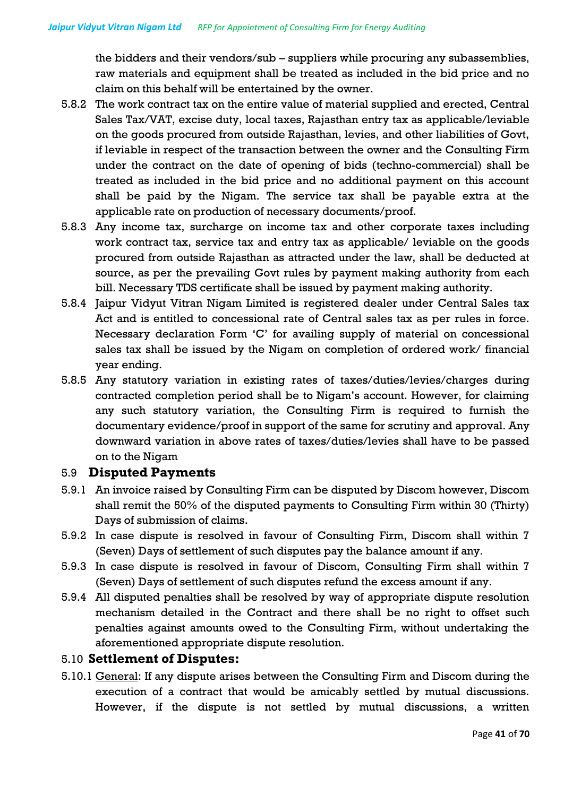the bidders and their vendors/sub – suppliers while procuring any subassemblies, raw materials and equipment shall be treated as included in the bid price and no claim on this behalf will be entertained by the owner.

- 5.8.2 The work contract tax on the entire value of material supplied and erected, Central Sales Tax/VAT, excise duty, local taxes, Rajasthan entry tax as applicable/leviable on the goods procured from outside Rajasthan, levies, and other liabilities of Govt, if leviable in respect of the transaction between the owner and the Consulting Firm under the contract on the date of opening of bids (techno-commercial) shall be treated as included in the bid price and no additional payment on this account shall be paid by the Nigam. The service tax shall be payable extra at the applicable rate on production of necessary documents/proof.
- 5.8.3 Any income tax, surcharge on income tax and other corporate taxes including work contract tax, service tax and entry tax as applicable/ leviable on the goods procured from outside Rajasthan as attracted under the law, shall be deducted at source, as per the prevailing Govt rules by payment making authority from each bill. Necessary TDS certificate shall be issued by payment making authority.
- 5.8.4 Jaipur Vidyut Vitran Nigam Limited is registered dealer under Central Sales tax Act and is entitled to concessional rate of Central sales tax as per rules in force. Necessary declaration Form 'C' for availing supply of material on concessional sales tax shall be issued by the Nigam on completion of ordered work/ financial year ending.
- 5.8.5 Any statutory variation in existing rates of taxes/duties/levies/charges during contracted completion period shall be to Nigam's account. However, for claiming any such statutory variation, the Consulting Firm is required to furnish the documentary evidence/proof in support of the same for scrutiny and approval. Any downward variation in above rates of taxes/duties/levies shall have to be passed on to the Nigam

#### 5.9 **Disputed Payments**

- 5.9.1 An invoice raised by Consulting Firm can be disputed by Discom however, Discom shall remit the 50% of the disputed payments to Consulting Firm within 30 (Thirty) Days of submission of claims.
- 5.9.2 In case dispute is resolved in favour of Consulting Firm, Discom shall within 7 (Seven) Days of settlement of such disputes pay the balance amount if any.
- 5.9.3 In case dispute is resolved in favour of Discom, Consulting Firm shall within 7 (Seven) Days of settlement of such disputes refund the excess amount if any.
- 5.9.4 All disputed penalties shall be resolved by way of appropriate dispute resolution mechanism detailed in the Contract and there shall be no right to offset such penalties against amounts owed to the Consulting Firm, without undertaking the aforementioned appropriate dispute resolution.

#### 5.10 **Settlement of Disputes:**

5.10.1 General: If any dispute arises between the Consulting Firm and Discom during the execution of a contract that would be amicably settled by mutual discussions. However, if the dispute is not settled by mutual discussions, a written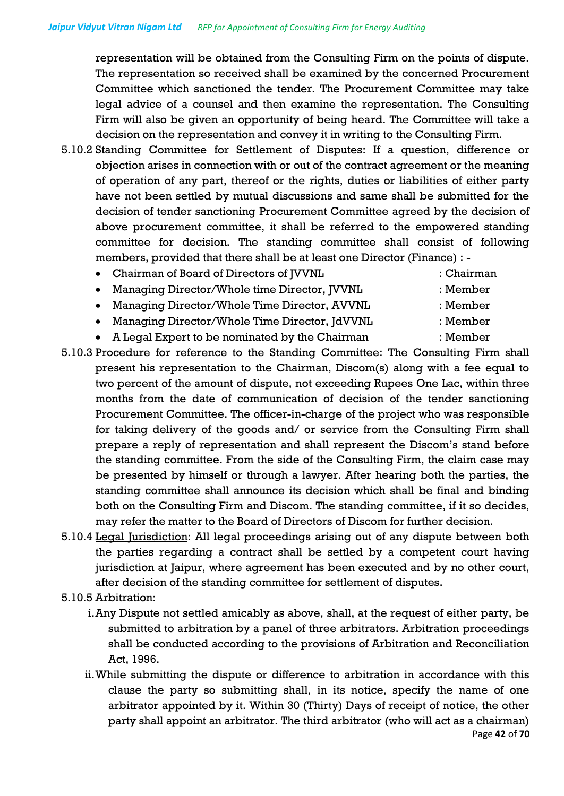representation will be obtained from the Consulting Firm on the points of dispute. The representation so received shall be examined by the concerned Procurement Committee which sanctioned the tender. The Procurement Committee may take legal advice of a counsel and then examine the representation. The Consulting Firm will also be given an opportunity of being heard. The Committee will take a decision on the representation and convey it in writing to the Consulting Firm.

- 5.10.2 Standing Committee for Settlement of Disputes: If a question, difference or objection arises in connection with or out of the contract agreement or the meaning of operation of any part, thereof or the rights, duties or liabilities of either party have not been settled by mutual discussions and same shall be submitted for the decision of tender sanctioning Procurement Committee agreed by the decision of above procurement committee, it shall be referred to the empowered standing committee for decision. The standing committee shall consist of following members, provided that there shall be at least one Director (Finance) : -
	- Chairman of Board of Directors of JVVNL : Chairman
	- Managing Director/Whole time Director, JVVNL : Member
	- Managing Director/Whole Time Director, AVVNL : Member
	- Managing Director/Whole Time Director, JdVVNL : Member
	- A Legal Expert to be nominated by the Chairman : Member
- 5.10.3 Procedure for reference to the Standing Committee: The Consulting Firm shall present his representation to the Chairman, Discom(s) along with a fee equal to two percent of the amount of dispute, not exceeding Rupees One Lac, within three months from the date of communication of decision of the tender sanctioning Procurement Committee. The officer-in-charge of the project who was responsible for taking delivery of the goods and/ or service from the Consulting Firm shall prepare a reply of representation and shall represent the Discom's stand before the standing committee. From the side of the Consulting Firm, the claim case may be presented by himself or through a lawyer. After hearing both the parties, the standing committee shall announce its decision which shall be final and binding both on the Consulting Firm and Discom. The standing committee, if it so decides, may refer the matter to the Board of Directors of Discom for further decision.
- 5.10.4 Legal Jurisdiction: All legal proceedings arising out of any dispute between both the parties regarding a contract shall be settled by a competent court having jurisdiction at Jaipur, where agreement has been executed and by no other court, after decision of the standing committee for settlement of disputes.
- 5.10.5 Arbitration:
	- i.Any Dispute not settled amicably as above, shall, at the request of either party, be submitted to arbitration by a panel of three arbitrators. Arbitration proceedings shall be conducted according to the provisions of Arbitration and Reconciliation Act, 1996.
	- Page **42** of **70** ii.While submitting the dispute or difference to arbitration in accordance with this clause the party so submitting shall, in its notice, specify the name of one arbitrator appointed by it. Within 30 (Thirty) Days of receipt of notice, the other party shall appoint an arbitrator. The third arbitrator (who will act as a chairman)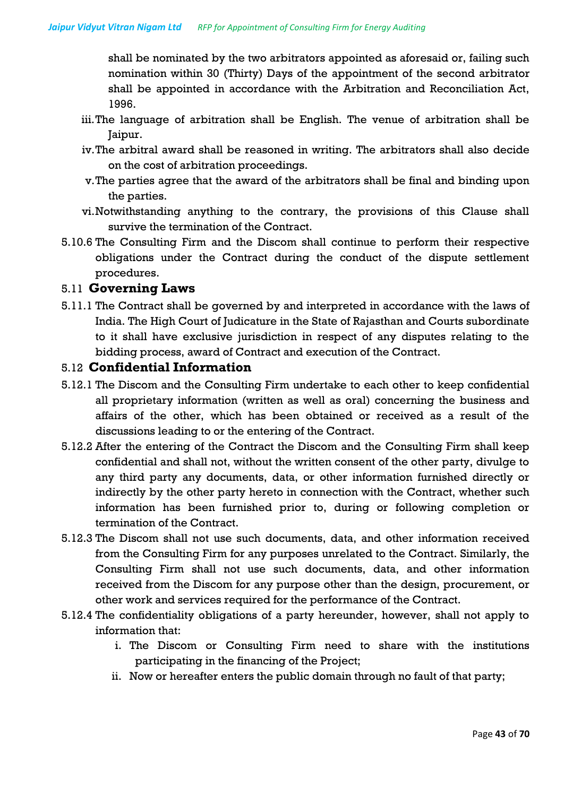shall be nominated by the two arbitrators appointed as aforesaid or, failing such nomination within 30 (Thirty) Days of the appointment of the second arbitrator shall be appointed in accordance with the Arbitration and Reconciliation Act, 1996.

- iii.The language of arbitration shall be English. The venue of arbitration shall be Jaipur.
- iv.The arbitral award shall be reasoned in writing. The arbitrators shall also decide on the cost of arbitration proceedings.
- v.The parties agree that the award of the arbitrators shall be final and binding upon the parties.
- vi.Notwithstanding anything to the contrary, the provisions of this Clause shall survive the termination of the Contract.
- 5.10.6 The Consulting Firm and the Discom shall continue to perform their respective obligations under the Contract during the conduct of the dispute settlement procedures.

#### 5.11 **Governing Laws**

5.11.1 The Contract shall be governed by and interpreted in accordance with the laws of India. The High Court of Judicature in the State of Rajasthan and Courts subordinate to it shall have exclusive jurisdiction in respect of any disputes relating to the bidding process, award of Contract and execution of the Contract.

#### 5.12 **Confidential Information**

- 5.12.1 The Discom and the Consulting Firm undertake to each other to keep confidential all proprietary information (written as well as oral) concerning the business and affairs of the other, which has been obtained or received as a result of the discussions leading to or the entering of the Contract.
- 5.12.2 After the entering of the Contract the Discom and the Consulting Firm shall keep confidential and shall not, without the written consent of the other party, divulge to any third party any documents, data, or other information furnished directly or indirectly by the other party hereto in connection with the Contract, whether such information has been furnished prior to, during or following completion or termination of the Contract.
- 5.12.3 The Discom shall not use such documents, data, and other information received from the Consulting Firm for any purposes unrelated to the Contract. Similarly, the Consulting Firm shall not use such documents, data, and other information received from the Discom for any purpose other than the design, procurement, or other work and services required for the performance of the Contract.
- 5.12.4 The confidentiality obligations of a party hereunder, however, shall not apply to information that:
	- i. The Discom or Consulting Firm need to share with the institutions participating in the financing of the Project;
	- ii. Now or hereafter enters the public domain through no fault of that party;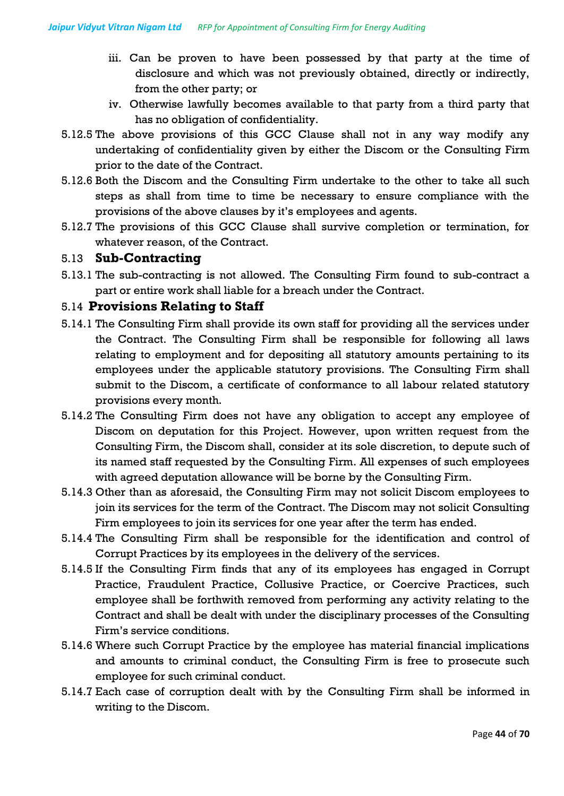- iii. Can be proven to have been possessed by that party at the time of disclosure and which was not previously obtained, directly or indirectly, from the other party; or
- iv. Otherwise lawfully becomes available to that party from a third party that has no obligation of confidentiality.
- 5.12.5 The above provisions of this GCC Clause shall not in any way modify any undertaking of confidentiality given by either the Discom or the Consulting Firm prior to the date of the Contract.
- 5.12.6 Both the Discom and the Consulting Firm undertake to the other to take all such steps as shall from time to time be necessary to ensure compliance with the provisions of the above clauses by it's employees and agents.
- 5.12.7 The provisions of this GCC Clause shall survive completion or termination, for whatever reason, of the Contract.

### 5.13 **Sub-Contracting**

5.13.1 The sub-contracting is not allowed. The Consulting Firm found to sub-contract a part or entire work shall liable for a breach under the Contract.

### 5.14 **Provisions Relating to Staff**

- 5.14.1 The Consulting Firm shall provide its own staff for providing all the services under the Contract. The Consulting Firm shall be responsible for following all laws relating to employment and for depositing all statutory amounts pertaining to its employees under the applicable statutory provisions. The Consulting Firm shall submit to the Discom, a certificate of conformance to all labour related statutory provisions every month.
- 5.14.2 The Consulting Firm does not have any obligation to accept any employee of Discom on deputation for this Project. However, upon written request from the Consulting Firm, the Discom shall, consider at its sole discretion, to depute such of its named staff requested by the Consulting Firm. All expenses of such employees with agreed deputation allowance will be borne by the Consulting Firm.
- 5.14.3 Other than as aforesaid, the Consulting Firm may not solicit Discom employees to join its services for the term of the Contract. The Discom may not solicit Consulting Firm employees to join its services for one year after the term has ended.
- 5.14.4 The Consulting Firm shall be responsible for the identification and control of Corrupt Practices by its employees in the delivery of the services.
- 5.14.5 If the Consulting Firm finds that any of its employees has engaged in Corrupt Practice, Fraudulent Practice, Collusive Practice, or Coercive Practices, such employee shall be forthwith removed from performing any activity relating to the Contract and shall be dealt with under the disciplinary processes of the Consulting Firm's service conditions.
- 5.14.6 Where such Corrupt Practice by the employee has material financial implications and amounts to criminal conduct, the Consulting Firm is free to prosecute such employee for such criminal conduct.
- 5.14.7 Each case of corruption dealt with by the Consulting Firm shall be informed in writing to the Discom.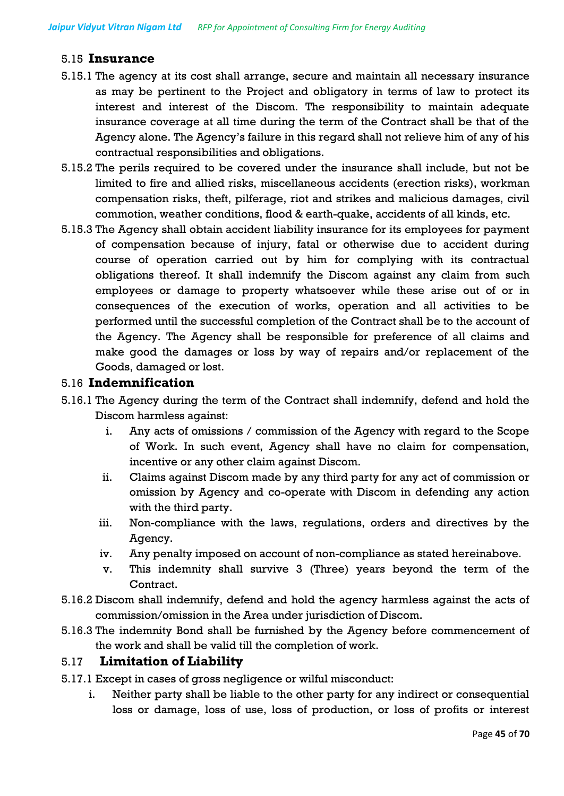#### 5.15 **Insurance**

- 5.15.1 The agency at its cost shall arrange, secure and maintain all necessary insurance as may be pertinent to the Project and obligatory in terms of law to protect its interest and interest of the Discom. The responsibility to maintain adequate insurance coverage at all time during the term of the Contract shall be that of the Agency alone. The Agency's failure in this regard shall not relieve him of any of his contractual responsibilities and obligations.
- 5.15.2 The perils required to be covered under the insurance shall include, but not be limited to fire and allied risks, miscellaneous accidents (erection risks), workman compensation risks, theft, pilferage, riot and strikes and malicious damages, civil commotion, weather conditions, flood & earth-quake, accidents of all kinds, etc.
- 5.15.3 The Agency shall obtain accident liability insurance for its employees for payment of compensation because of injury, fatal or otherwise due to accident during course of operation carried out by him for complying with its contractual obligations thereof. It shall indemnify the Discom against any claim from such employees or damage to property whatsoever while these arise out of or in consequences of the execution of works, operation and all activities to be performed until the successful completion of the Contract shall be to the account of the Agency. The Agency shall be responsible for preference of all claims and make good the damages or loss by way of repairs and/or replacement of the Goods, damaged or lost.

#### 5.16 **Indemnification**

- 5.16.1 The Agency during the term of the Contract shall indemnify, defend and hold the Discom harmless against:
	- i. Any acts of omissions / commission of the Agency with regard to the Scope of Work. In such event, Agency shall have no claim for compensation, incentive or any other claim against Discom.
	- ii. Claims against Discom made by any third party for any act of commission or omission by Agency and co-operate with Discom in defending any action with the third party.
	- iii. Non-compliance with the laws, regulations, orders and directives by the Agency.
	- iv. Any penalty imposed on account of non-compliance as stated hereinabove.
	- v. This indemnity shall survive 3 (Three) years beyond the term of the Contract.
- 5.16.2 Discom shall indemnify, defend and hold the agency harmless against the acts of commission/omission in the Area under jurisdiction of Discom.
- 5.16.3 The indemnity Bond shall be furnished by the Agency before commencement of the work and shall be valid till the completion of work.

#### 5.17 **Limitation of Liability**

- 5.17.1 Except in cases of gross negligence or wilful misconduct:
	- i. Neither party shall be liable to the other party for any indirect or consequential loss or damage, loss of use, loss of production, or loss of profits or interest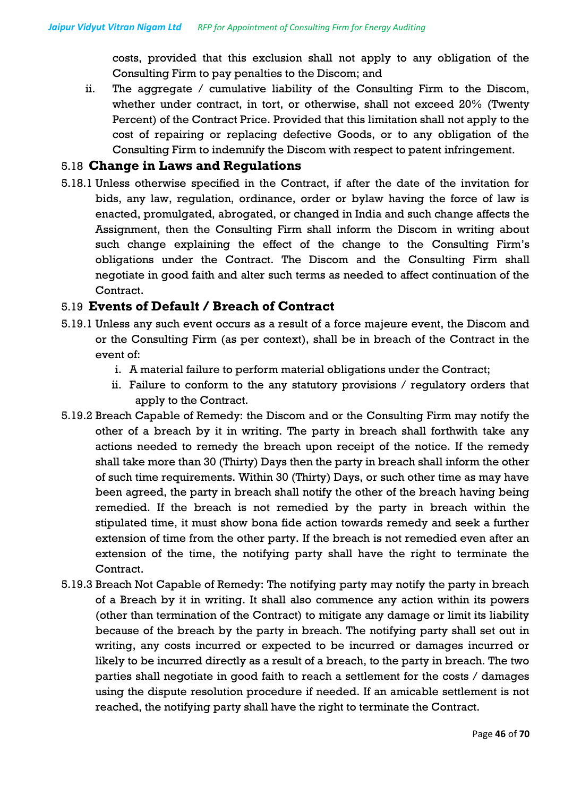costs, provided that this exclusion shall not apply to any obligation of the Consulting Firm to pay penalties to the Discom; and

ii. The aggregate / cumulative liability of the Consulting Firm to the Discom, whether under contract, in tort, or otherwise, shall not exceed 20% (Twenty Percent) of the Contract Price. Provided that this limitation shall not apply to the cost of repairing or replacing defective Goods, or to any obligation of the Consulting Firm to indemnify the Discom with respect to patent infringement.

#### 5.18 **Change in Laws and Regulations**

5.18.1 Unless otherwise specified in the Contract, if after the date of the invitation for bids, any law, regulation, ordinance, order or bylaw having the force of law is enacted, promulgated, abrogated, or changed in India and such change affects the Assignment, then the Consulting Firm shall inform the Discom in writing about such change explaining the effect of the change to the Consulting Firm's obligations under the Contract. The Discom and the Consulting Firm shall negotiate in good faith and alter such terms as needed to affect continuation of the Contract.

#### 5.19 **Events of Default / Breach of Contract**

- 5.19.1 Unless any such event occurs as a result of a force majeure event, the Discom and or the Consulting Firm (as per context), shall be in breach of the Contract in the event of:
	- i. A material failure to perform material obligations under the Contract;
	- ii. Failure to conform to the any statutory provisions / regulatory orders that apply to the Contract.
- 5.19.2 Breach Capable of Remedy: the Discom and or the Consulting Firm may notify the other of a breach by it in writing. The party in breach shall forthwith take any actions needed to remedy the breach upon receipt of the notice. If the remedy shall take more than 30 (Thirty) Days then the party in breach shall inform the other of such time requirements. Within 30 (Thirty) Days, or such other time as may have been agreed, the party in breach shall notify the other of the breach having being remedied. If the breach is not remedied by the party in breach within the stipulated time, it must show bona fide action towards remedy and seek a further extension of time from the other party. If the breach is not remedied even after an extension of the time, the notifying party shall have the right to terminate the Contract.
- 5.19.3 Breach Not Capable of Remedy: The notifying party may notify the party in breach of a Breach by it in writing. It shall also commence any action within its powers (other than termination of the Contract) to mitigate any damage or limit its liability because of the breach by the party in breach. The notifying party shall set out in writing, any costs incurred or expected to be incurred or damages incurred or likely to be incurred directly as a result of a breach, to the party in breach. The two parties shall negotiate in good faith to reach a settlement for the costs / damages using the dispute resolution procedure if needed. If an amicable settlement is not reached, the notifying party shall have the right to terminate the Contract.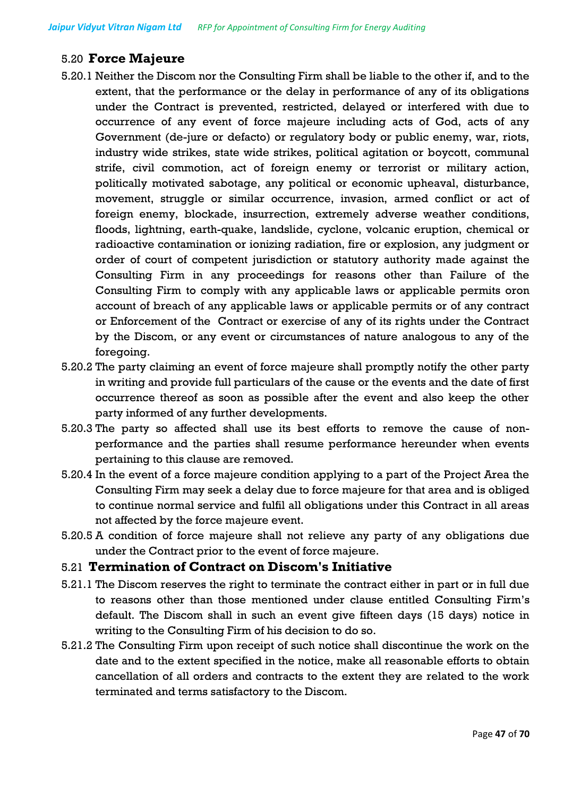# 5.20 **Force Majeure**

- 5.20.1 Neither the Discom nor the Consulting Firm shall be liable to the other if, and to the extent, that the performance or the delay in performance of any of its obligations under the Contract is prevented, restricted, delayed or interfered with due to occurrence of any event of force majeure including acts of God, acts of any Government (de-jure or defacto) or regulatory body or public enemy, war, riots, industry wide strikes, state wide strikes, political agitation or boycott, communal strife, civil commotion, act of foreign enemy or terrorist or military action, politically motivated sabotage, any political or economic upheaval, disturbance, movement, struggle or similar occurrence, invasion, armed conflict or act of foreign enemy, blockade, insurrection, extremely adverse weather conditions, floods, lightning, earth-quake, landslide, cyclone, volcanic eruption, chemical or radioactive contamination or ionizing radiation, fire or explosion, any judgment or order of court of competent jurisdiction or statutory authority made against the Consulting Firm in any proceedings for reasons other than Failure of the Consulting Firm to comply with any applicable laws or applicable permits oron account of breach of any applicable laws or applicable permits or of any contract or Enforcement of the Contract or exercise of any of its rights under the Contract by the Discom, or any event or circumstances of nature analogous to any of the foregoing.
- 5.20.2 The party claiming an event of force majeure shall promptly notify the other party in writing and provide full particulars of the cause or the events and the date of first occurrence thereof as soon as possible after the event and also keep the other party informed of any further developments.
- 5.20.3 The party so affected shall use its best efforts to remove the cause of nonperformance and the parties shall resume performance hereunder when events pertaining to this clause are removed.
- 5.20.4 In the event of a force majeure condition applying to a part of the Project Area the Consulting Firm may seek a delay due to force majeure for that area and is obliged to continue normal service and fulfil all obligations under this Contract in all areas not affected by the force majeure event.
- 5.20.5 A condition of force majeure shall not relieve any party of any obligations due under the Contract prior to the event of force majeure.

#### 5.21 **Termination of Contract on Discom's Initiative**

- 5.21.1 The Discom reserves the right to terminate the contract either in part or in full due to reasons other than those mentioned under clause entitled Consulting Firm's default. The Discom shall in such an event give fifteen days (15 days) notice in writing to the Consulting Firm of his decision to do so.
- 5.21.2 The Consulting Firm upon receipt of such notice shall discontinue the work on the date and to the extent specified in the notice, make all reasonable efforts to obtain cancellation of all orders and contracts to the extent they are related to the work terminated and terms satisfactory to the Discom.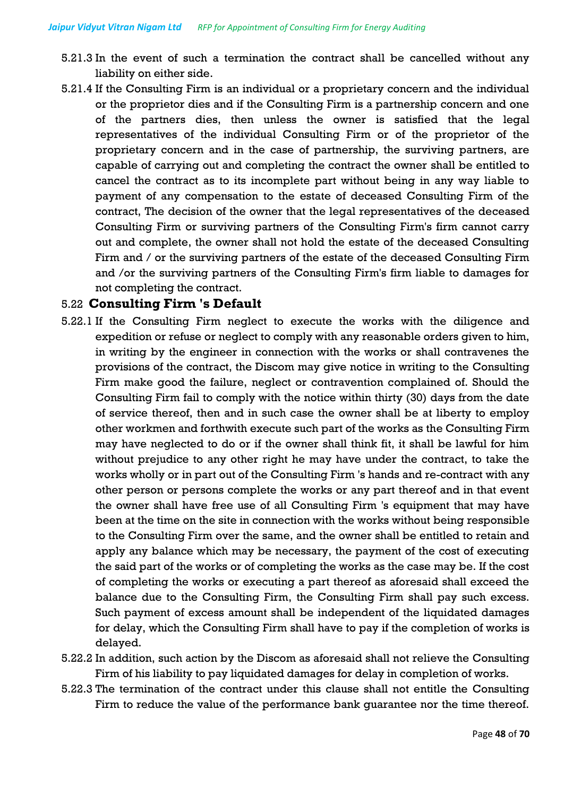- 5.21.3 In the event of such a termination the contract shall be cancelled without any liability on either side.
- 5.21.4 If the Consulting Firm is an individual or a proprietary concern and the individual or the proprietor dies and if the Consulting Firm is a partnership concern and one of the partners dies, then unless the owner is satisfied that the legal representatives of the individual Consulting Firm or of the proprietor of the proprietary concern and in the case of partnership, the surviving partners, are capable of carrying out and completing the contract the owner shall be entitled to cancel the contract as to its incomplete part without being in any way liable to payment of any compensation to the estate of deceased Consulting Firm of the contract, The decision of the owner that the legal representatives of the deceased Consulting Firm or surviving partners of the Consulting Firm's firm cannot carry out and complete, the owner shall not hold the estate of the deceased Consulting Firm and / or the surviving partners of the estate of the deceased Consulting Firm and /or the surviving partners of the Consulting Firm's firm liable to damages for not completing the contract.

### 5.22 **Consulting Firm 's Default**

- 5.22.1 If the Consulting Firm neglect to execute the works with the diligence and expedition or refuse or neglect to comply with any reasonable orders given to him, in writing by the engineer in connection with the works or shall contravenes the provisions of the contract, the Discom may give notice in writing to the Consulting Firm make good the failure, neglect or contravention complained of. Should the Consulting Firm fail to comply with the notice within thirty (30) days from the date of service thereof, then and in such case the owner shall be at liberty to employ other workmen and forthwith execute such part of the works as the Consulting Firm may have neglected to do or if the owner shall think fit, it shall be lawful for him without prejudice to any other right he may have under the contract, to take the works wholly or in part out of the Consulting Firm 's hands and re-contract with any other person or persons complete the works or any part thereof and in that event the owner shall have free use of all Consulting Firm 's equipment that may have been at the time on the site in connection with the works without being responsible to the Consulting Firm over the same, and the owner shall be entitled to retain and apply any balance which may be necessary, the payment of the cost of executing the said part of the works or of completing the works as the case may be. If the cost of completing the works or executing a part thereof as aforesaid shall exceed the balance due to the Consulting Firm, the Consulting Firm shall pay such excess. Such payment of excess amount shall be independent of the liquidated damages for delay, which the Consulting Firm shall have to pay if the completion of works is delayed.
- 5.22.2 In addition, such action by the Discom as aforesaid shall not relieve the Consulting Firm of his liability to pay liquidated damages for delay in completion of works.
- 5.22.3 The termination of the contract under this clause shall not entitle the Consulting Firm to reduce the value of the performance bank guarantee nor the time thereof.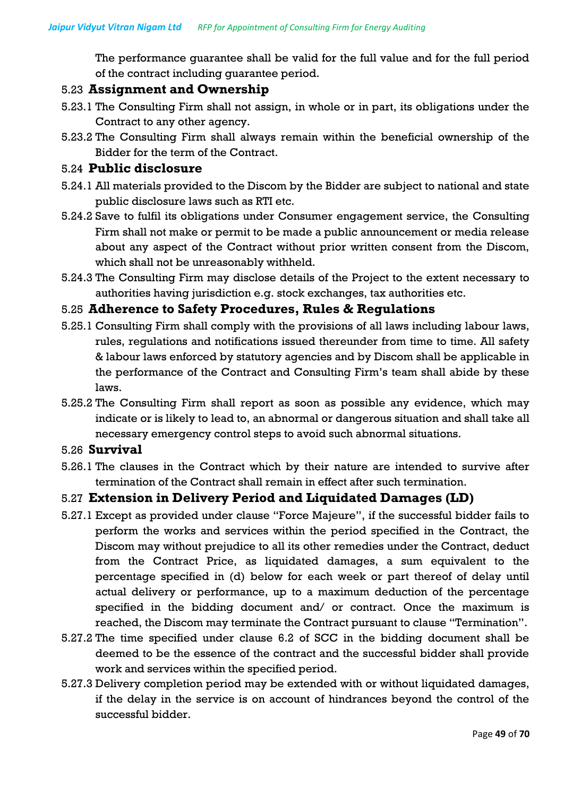The performance guarantee shall be valid for the full value and for the full period of the contract including guarantee period.

#### 5.23 **Assignment and Ownership**

- 5.23.1 The Consulting Firm shall not assign, in whole or in part, its obligations under the Contract to any other agency.
- 5.23.2 The Consulting Firm shall always remain within the beneficial ownership of the Bidder for the term of the Contract.

#### 5.24 **Public disclosure**

- 5.24.1 All materials provided to the Discom by the Bidder are subject to national and state public disclosure laws such as RTI etc.
- 5.24.2 Save to fulfil its obligations under Consumer engagement service, the Consulting Firm shall not make or permit to be made a public announcement or media release about any aspect of the Contract without prior written consent from the Discom, which shall not be unreasonably withheld.
- 5.24.3 The Consulting Firm may disclose details of the Project to the extent necessary to authorities having jurisdiction e.g. stock exchanges, tax authorities etc.

#### 5.25 **Adherence to Safety Procedures, Rules & Regulations**

- 5.25.1 Consulting Firm shall comply with the provisions of all laws including labour laws, rules, regulations and notifications issued thereunder from time to time. All safety & labour laws enforced by statutory agencies and by Discom shall be applicable in the performance of the Contract and Consulting Firm's team shall abide by these laws.
- 5.25.2 The Consulting Firm shall report as soon as possible any evidence, which may indicate or is likely to lead to, an abnormal or dangerous situation and shall take all necessary emergency control steps to avoid such abnormal situations.

#### 5.26 **Survival**

5.26.1 The clauses in the Contract which by their nature are intended to survive after termination of the Contract shall remain in effect after such termination.

#### 5.27 **Extension in Delivery Period and Liquidated Damages (LD)**

- 5.27.1 Except as provided under clause "Force Majeure", if the successful bidder fails to perform the works and services within the period specified in the Contract, the Discom may without prejudice to all its other remedies under the Contract, deduct from the Contract Price, as liquidated damages, a sum equivalent to the percentage specified in (d) below for each week or part thereof of delay until actual delivery or performance, up to a maximum deduction of the percentage specified in the bidding document and/ or contract. Once the maximum is reached, the Discom may terminate the Contract pursuant to clause "Termination".
- 5.27.2 The time specified under clause 6.2 of SCC in the bidding document shall be deemed to be the essence of the contract and the successful bidder shall provide work and services within the specified period.
- 5.27.3 Delivery completion period may be extended with or without liquidated damages, if the delay in the service is on account of hindrances beyond the control of the successful bidder.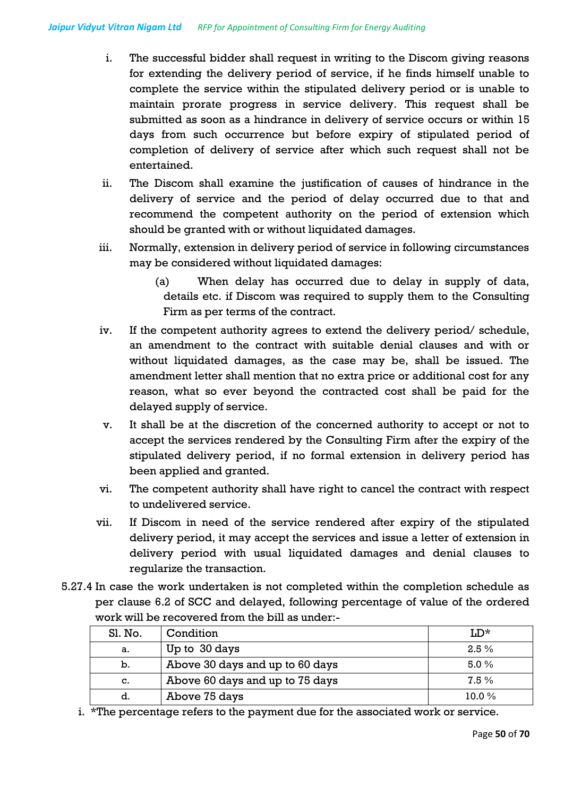- i. The successful bidder shall request in writing to the Discom giving reasons for extending the delivery period of service, if he finds himself unable to complete the service within the stipulated delivery period or is unable to maintain prorate progress in service delivery. This request shall be submitted as soon as a hindrance in delivery of service occurs or within 15 days from such occurrence but before expiry of stipulated period of completion of delivery of service after which such request shall not be entertained.
- ii. The Discom shall examine the justification of causes of hindrance in the delivery of service and the period of delay occurred due to that and recommend the competent authority on the period of extension which should be granted with or without liquidated damages.
- iii. Normally, extension in delivery period of service in following circumstances may be considered without liquidated damages:
	- (a) When delay has occurred due to delay in supply of data, details etc. if Discom was required to supply them to the Consulting Firm as per terms of the contract.
- iv. If the competent authority agrees to extend the delivery period/ schedule, an amendment to the contract with suitable denial clauses and with or without liquidated damages, as the case may be, shall be issued. The amendment letter shall mention that no extra price or additional cost for any reason, what so ever beyond the contracted cost shall be paid for the delayed supply of service.
- v. It shall be at the discretion of the concerned authority to accept or not to accept the services rendered by the Consulting Firm after the expiry of the stipulated delivery period, if no formal extension in delivery period has been applied and granted.
- vi. The competent authority shall have right to cancel the contract with respect to undelivered service.
- vii. If Discom in need of the service rendered after expiry of the stipulated delivery period, it may accept the services and issue a letter of extension in delivery period with usual liquidated damages and denial clauses to regularize the transaction.
- 5.27.4 In case the work undertaken is not completed within the completion schedule as per clause 6.2 of SCC and delayed, following percentage of value of the ordered work will be recovered from the bill as under:-

| Sl. No. | Condition                       | $LD^*$  |
|---------|---------------------------------|---------|
| а.      | Up to 30 days                   | $2.5\%$ |
| b.      | Above 30 days and up to 60 days | 5.0%    |
| c.      | Above 60 days and up to 75 days | 7.5%    |
| d.      | Above 75 days                   | 10.0%   |

i. \*The percentage refers to the payment due for the associated work or service.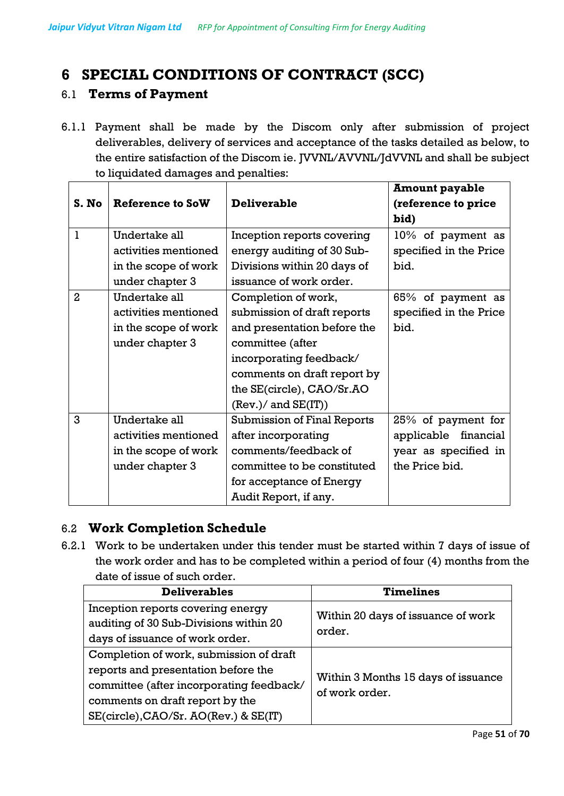# **6 SPECIAL CONDITIONS OF CONTRACT (SCC)**

### 6.1 **Terms of Payment**

6.1.1 Payment shall be made by the Discom only after submission of project deliverables, delivery of services and acceptance of the tasks detailed as below, to the entire satisfaction of the Discom ie. JVVNL/AVVNL/JdVVNL and shall be subject to liquidated damages and penalties:

|                |                      |                                    | <b>Amount payable</b>  |
|----------------|----------------------|------------------------------------|------------------------|
| S. No          | Reference to SoW     | <b>Deliverable</b>                 | (reference to price    |
|                |                      |                                    | bid)                   |
| 1              | Undertake all        | Inception reports covering         | 10% of payment as      |
|                | activities mentioned | energy auditing of 30 Sub-         | specified in the Price |
|                | in the scope of work | Divisions within 20 days of        | bid.                   |
|                | under chapter 3      | issuance of work order.            |                        |
| $\overline{a}$ | Undertake all        | Completion of work,                | 65% of payment as      |
|                | activities mentioned | submission of draft reports        | specified in the Price |
|                | in the scope of work | and presentation before the        | bid.                   |
|                | under chapter 3      | committee (after                   |                        |
|                |                      | incorporating feedback/            |                        |
|                |                      | comments on draft report by        |                        |
|                |                      | the SE(circle), CAO/Sr.AO          |                        |
|                |                      | (Rev.) / and SE(IT))               |                        |
| 3              | Undertake all        | <b>Submission of Final Reports</b> | 25% of payment for     |
|                | activities mentioned | after incorporating                | applicable financial   |
|                | in the scope of work | comments/feedback of               | year as specified in   |
|                | under chapter 3      | committee to be constituted        | the Price bid.         |
|                |                      | for acceptance of Energy           |                        |
|                |                      | Audit Report, if any.              |                        |

# 6.2 **Work Completion Schedule**

6.2.1 Work to be undertaken under this tender must be started within 7 days of issue of the work order and has to be completed within a period of four (4) months from the date of issue of such order.

| <b>Deliverables</b>                                                                                                                                                                                    | <b>Timelines</b>                                      |
|--------------------------------------------------------------------------------------------------------------------------------------------------------------------------------------------------------|-------------------------------------------------------|
| Inception reports covering energy<br>auditing of 30 Sub-Divisions within 20<br>days of issuance of work order.                                                                                         | Within 20 days of issuance of work<br>order.          |
| Completion of work, submission of draft<br>reports and presentation before the<br>committee (after incorporating feedback/<br>comments on draft report by the<br>SE(circle), CAO/Sr. AO(Rev.) & SE(IT) | Within 3 Months 15 days of issuance<br>of work order. |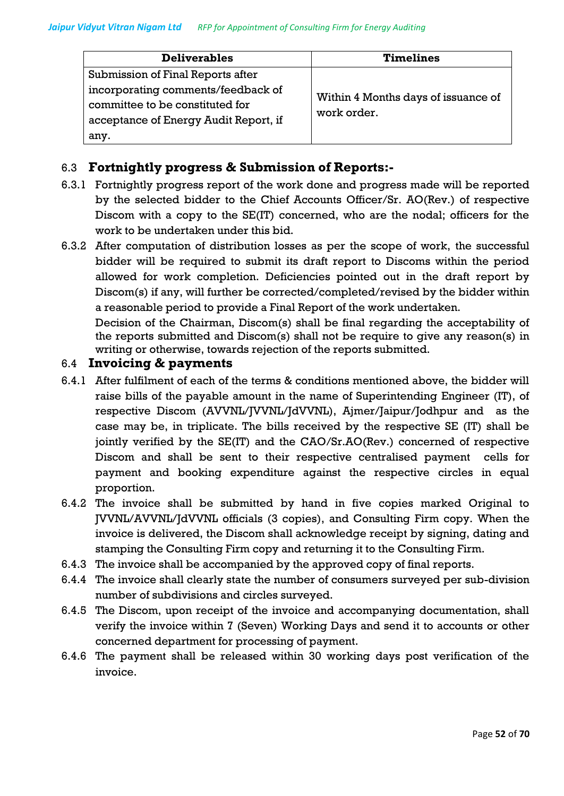| <b>Deliverables</b>                                                                                        | <b>Timelines</b>                    |
|------------------------------------------------------------------------------------------------------------|-------------------------------------|
| Submission of Final Reports after<br>incorporating comments/feedback of<br>committee to be constituted for | Within 4 Months days of issuance of |
| acceptance of Energy Audit Report, if<br>any.                                                              | work order.                         |

# 6.3 **Fortnightly progress & Submission of Reports:-**

- 6.3.1 Fortnightly progress report of the work done and progress made will be reported by the selected bidder to the Chief Accounts Officer/Sr. AO(Rev.) of respective Discom with a copy to the SE(IT) concerned, who are the nodal; officers for the work to be undertaken under this bid.
- 6.3.2 After computation of distribution losses as per the scope of work, the successful bidder will be required to submit its draft report to Discoms within the period allowed for work completion. Deficiencies pointed out in the draft report by Discom(s) if any, will further be corrected/completed/revised by the bidder within a reasonable period to provide a Final Report of the work undertaken.

Decision of the Chairman, Discom(s) shall be final regarding the acceptability of the reports submitted and Discom(s) shall not be require to give any reason(s) in writing or otherwise, towards rejection of the reports submitted.

#### 6.4 **Invoicing & payments**

- 6.4.1 After fulfilment of each of the terms & conditions mentioned above, the bidder will raise bills of the payable amount in the name of Superintending Engineer (IT), of respective Discom (AVVNL/JVVNL/JdVVNL), Ajmer/Jaipur/Jodhpur and as the case may be, in triplicate. The bills received by the respective SE (IT) shall be jointly verified by the SE(IT) and the CAO/Sr.AO(Rev.) concerned of respective Discom and shall be sent to their respective centralised payment cells for payment and booking expenditure against the respective circles in equal proportion.
- 6.4.2 The invoice shall be submitted by hand in five copies marked Original to JVVNL/AVVNL/JdVVNL officials (3 copies), and Consulting Firm copy. When the invoice is delivered, the Discom shall acknowledge receipt by signing, dating and stamping the Consulting Firm copy and returning it to the Consulting Firm.
- 6.4.3 The invoice shall be accompanied by the approved copy of final reports.
- 6.4.4 The invoice shall clearly state the number of consumers surveyed per sub-division number of subdivisions and circles surveyed.
- 6.4.5 The Discom, upon receipt of the invoice and accompanying documentation, shall verify the invoice within 7 (Seven) Working Days and send it to accounts or other concerned department for processing of payment.
- 6.4.6 The payment shall be released within 30 working days post verification of the invoice.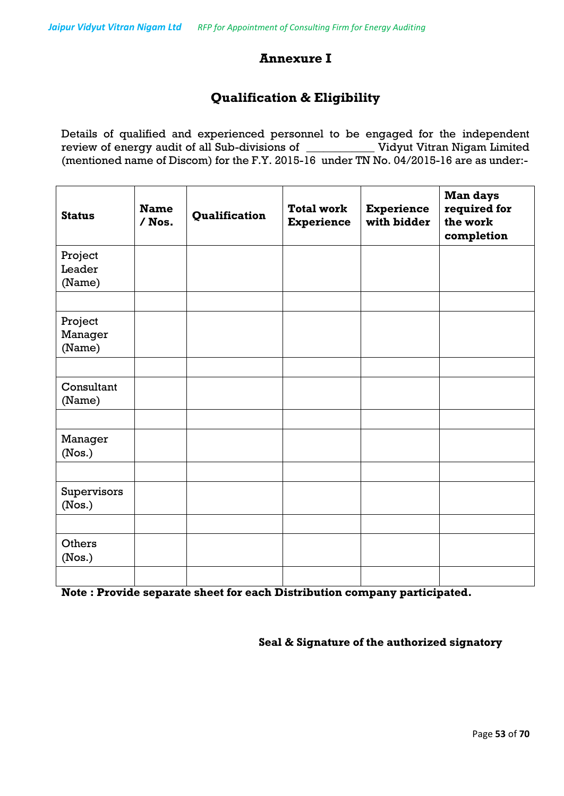# **Annexure I**

# **Qualification & Eligibility**

Details of qualified and experienced personnel to be engaged for the independent review of energy audit of all Sub-divisions of \_\_\_\_\_\_\_\_\_\_\_\_ Vidyut Vitran Nigam Limited (mentioned name of Discom) for the F.Y. 2015-16 under TN No. 04/2015-16 are as under:-

| <b>Status</b>                | <b>Name</b><br>$/$ Nos. | Qualification | <b>Total work</b><br><b>Experience</b> | <b>Experience</b><br>with bidder | <b>Man days</b><br>required for<br>the work<br>completion |
|------------------------------|-------------------------|---------------|----------------------------------------|----------------------------------|-----------------------------------------------------------|
| Project<br>Leader<br>(Name)  |                         |               |                                        |                                  |                                                           |
| Project<br>Manager<br>(Name) |                         |               |                                        |                                  |                                                           |
| Consultant<br>(Name)         |                         |               |                                        |                                  |                                                           |
| Manager<br>(Nos.)            |                         |               |                                        |                                  |                                                           |
| Supervisors<br>(Nos.)        |                         |               |                                        |                                  |                                                           |
| Others<br>(Nos.)             |                         |               |                                        |                                  |                                                           |

**Note : Provide separate sheet for each Distribution company participated.**

**Seal & Signature of the authorized signatory**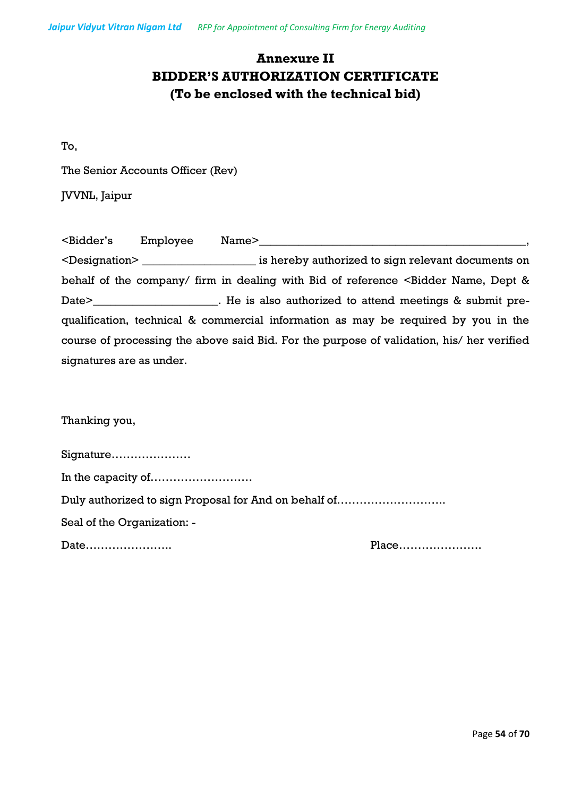# **Annexure II BIDDER'S AUTHORIZATION CERTIFICATE (To be enclosed with the technical bid)**

To,

The Senior Accounts Officer (Rev)

JVVNL, Jaipur

| <bidder's< th=""><th>Employee</th><th>Name&gt;</th></bidder's<> | Employee                    | Name>                                                                                                       |
|-----------------------------------------------------------------|-----------------------------|-------------------------------------------------------------------------------------------------------------|
|                                                                 | <designation></designation> | is hereby authorized to sign relevant documents on                                                          |
|                                                                 |                             | behalf of the company/ firm in dealing with Bid of reference <bidder &<="" dept="" name,="" td=""></bidder> |
|                                                                 |                             | Date> The is also authorized to attend meetings & submit pre-                                               |
|                                                                 |                             | qualification, technical & commercial information as may be required by you in the                          |
|                                                                 |                             | course of processing the above said Bid. For the purpose of validation, his/ her verified                   |
| signatures are as under.                                        |                             |                                                                                                             |

Thanking you,

| Signature                                             |       |
|-------------------------------------------------------|-------|
|                                                       |       |
| Duly authorized to sign Proposal for And on behalf of |       |
| Seal of the Organization: -                           |       |
| Date                                                  | Place |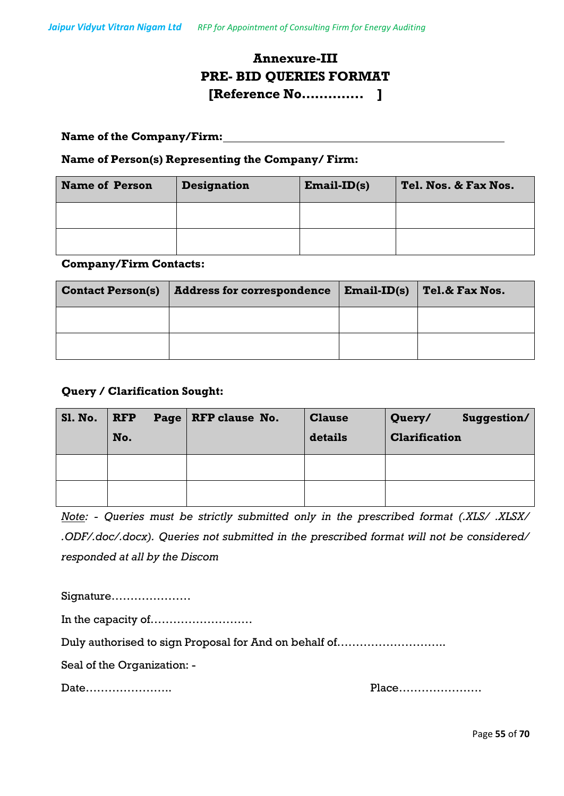# **Annexure-III PRE- BID QUERIES FORMAT [Reference No………….. ]**

#### **Name of the Company/Firm:**

#### **Name of Person(s) Representing the Company/ Firm:**

| <b>Name of Person</b> | <b>Designation</b> | $Email-ID(s)$ | Tel. Nos. & Fax Nos. |
|-----------------------|--------------------|---------------|----------------------|
|                       |                    |               |                      |
|                       |                    |               |                      |

#### **Company/Firm Contacts:**

| <b>Contact Person(s)</b> | <b>Address for correspondence</b> | $\vert$ Email-ID(s) $\vert$ Tel.& Fax Nos. |
|--------------------------|-----------------------------------|--------------------------------------------|
|                          |                                   |                                            |
|                          |                                   |                                            |

#### **Query / Clarification Sought:**

| <b>S1. No.</b> | <b>RFP</b><br>No. | Page   RFP clause No. | <b>Clause</b><br>details | Suggestion/<br>Query/<br><b>Clarification</b> |
|----------------|-------------------|-----------------------|--------------------------|-----------------------------------------------|
|                |                   |                       |                          |                                               |
|                |                   |                       |                          |                                               |

*Note: - Queries must be strictly submitted only in the prescribed format (.XLS/ .XLSX/ .ODF/.doc/.docx). Queries not submitted in the prescribed format will not be considered/ responded at all by the Discom*

Signature………………… In the capacity of……………………… Duly authorised to sign Proposal for And on behalf of……………………….. Seal of the Organization: -

Date………………….. Place………………….

Page **55** of **70**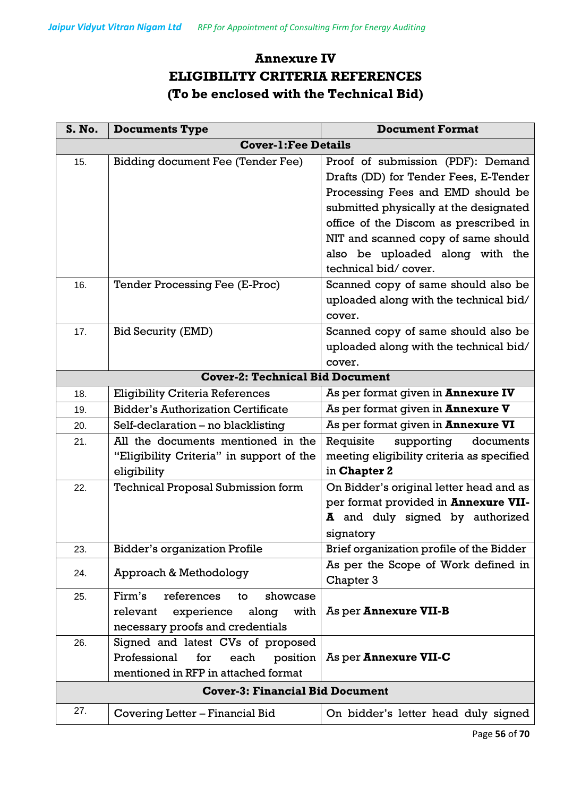# **Annexure IV ELIGIBILITY CRITERIA REFERENCES (To be enclosed with the Technical Bid)**

| S. No. | <b>Documents Type</b>                                                                                                 | <b>Document Format</b>                                                                                                                                                                                                                                                                               |  |  |  |  |  |
|--------|-----------------------------------------------------------------------------------------------------------------------|------------------------------------------------------------------------------------------------------------------------------------------------------------------------------------------------------------------------------------------------------------------------------------------------------|--|--|--|--|--|
|        | <b>Cover-1: Fee Details</b>                                                                                           |                                                                                                                                                                                                                                                                                                      |  |  |  |  |  |
| 15.    | <b>Bidding document Fee (Tender Fee)</b>                                                                              | Proof of submission (PDF): Demand<br>Drafts (DD) for Tender Fees, E-Tender<br>Processing Fees and EMD should be<br>submitted physically at the designated<br>office of the Discom as prescribed in<br>NIT and scanned copy of same should<br>also be uploaded along with the<br>technical bid/cover. |  |  |  |  |  |
| 16.    | Tender Processing Fee (E-Proc)                                                                                        | Scanned copy of same should also be<br>uploaded along with the technical bid/<br>cover.                                                                                                                                                                                                              |  |  |  |  |  |
| 17.    | <b>Bid Security (EMD)</b>                                                                                             | Scanned copy of same should also be<br>uploaded along with the technical bid/<br>cover.                                                                                                                                                                                                              |  |  |  |  |  |
|        | <b>Cover-2: Technical Bid Document</b>                                                                                |                                                                                                                                                                                                                                                                                                      |  |  |  |  |  |
| 18.    | <b>Eligibility Criteria References</b>                                                                                | As per format given in <b>Annexure IV</b>                                                                                                                                                                                                                                                            |  |  |  |  |  |
| 19.    | <b>Bidder's Authorization Certificate</b>                                                                             | As per format given in <b>Annexure V</b>                                                                                                                                                                                                                                                             |  |  |  |  |  |
| 20.    | Self-declaration - no blacklisting                                                                                    | As per format given in <b>Annexure VI</b>                                                                                                                                                                                                                                                            |  |  |  |  |  |
| 21.    | All the documents mentioned in the<br>"Eligibility Criteria" in support of the<br>eligibility                         | supporting<br>Requisite<br>documents<br>meeting eligibility criteria as specified<br>in Chapter 2                                                                                                                                                                                                    |  |  |  |  |  |
| 22.    | <b>Technical Proposal Submission form</b>                                                                             | On Bidder's original letter head and as<br>per format provided in Annexure VII-<br>A and duly signed by authorized<br>signatory                                                                                                                                                                      |  |  |  |  |  |
| 23.    | <b>Bidder's organization Profile</b>                                                                                  | Brief organization profile of the Bidder                                                                                                                                                                                                                                                             |  |  |  |  |  |
| 24.    | Approach & Methodology                                                                                                | As per the Scope of Work defined in<br>Chapter 3                                                                                                                                                                                                                                                     |  |  |  |  |  |
| 25.    | Firm's<br>references<br>showcase<br>to<br>along<br>experience<br>with<br>relevant<br>necessary proofs and credentials | As per Annexure VII-B                                                                                                                                                                                                                                                                                |  |  |  |  |  |
| 26.    | Signed and latest CVs of proposed<br>Professional<br>for<br>each<br>position<br>mentioned in RFP in attached format   | As per <b>Annexure VII-C</b>                                                                                                                                                                                                                                                                         |  |  |  |  |  |
|        | <b>Cover-3: Financial Bid Document</b>                                                                                |                                                                                                                                                                                                                                                                                                      |  |  |  |  |  |
| 27.    | Covering Letter – Financial Bid                                                                                       | On bidder's letter head duly signed                                                                                                                                                                                                                                                                  |  |  |  |  |  |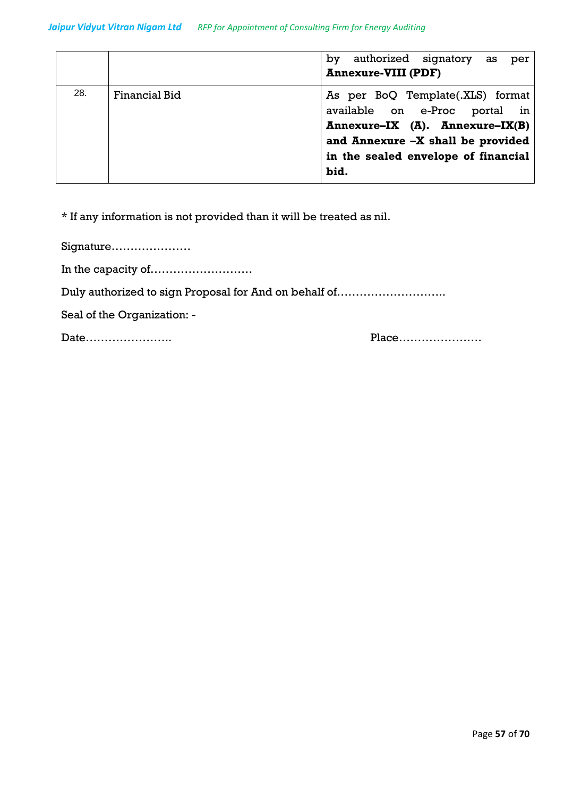|     |                      | authorized signatory as<br>by<br>per                                                                                                                                                     |
|-----|----------------------|------------------------------------------------------------------------------------------------------------------------------------------------------------------------------------------|
|     |                      | <b>Annexure-VIII (PDF)</b>                                                                                                                                                               |
| 28. | <b>Financial Bid</b> | As per BoQ Template(.XLS) format<br>available on e-Proc portal in<br>Annexure-IX (A). Annexure-IX(B)<br>and Annexure -X shall be provided<br>in the sealed envelope of financial<br>bid. |

\* If any information is not provided than it will be treated as nil.

Signature…………………

In the capacity of………………………

Duly authorized to sign Proposal for And on behalf of………………………..

Seal of the Organization: -

Date………………….. Place………………….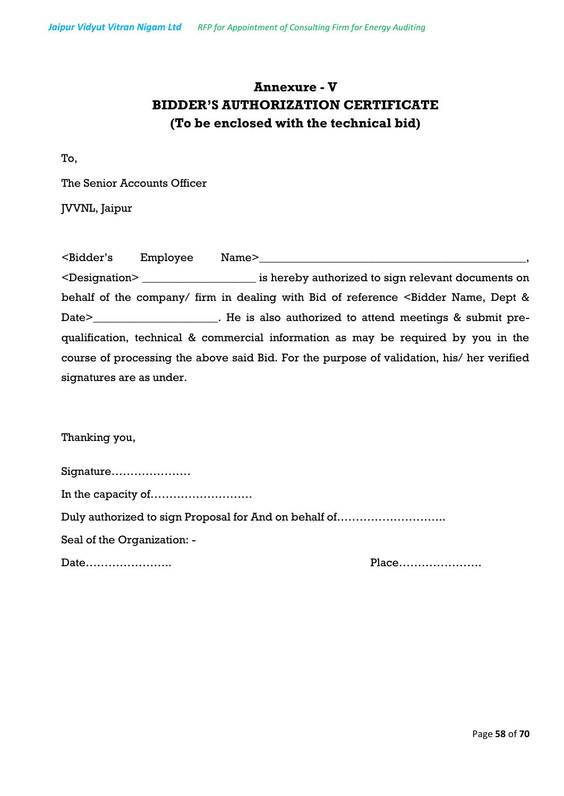# **Annexure - V BIDDER'S AUTHORIZATION CERTIFICATE (To be enclosed with the technical bid)**

To,

The Senior Accounts Officer

JVVNL, Jaipur

| <bidder's< th=""><th>Employee</th><th>Name&gt;</th></bidder's<> | Employee | Name>                                                                                                       |
|-----------------------------------------------------------------|----------|-------------------------------------------------------------------------------------------------------------|
|                                                                 |          | <designation> is hereby authorized to sign relevant documents on</designation>                              |
|                                                                 |          | behalf of the company/ firm in dealing with Bid of reference <bidder &<="" dept="" name,="" td=""></bidder> |
|                                                                 |          | Date> The is also authorized to attend meetings & submit pre-                                               |
|                                                                 |          | qualification, technical & commercial information as may be required by you in the                          |
|                                                                 |          | course of processing the above said Bid. For the purpose of validation, his/ her verified                   |
| signatures are as under.                                        |          |                                                                                                             |

Thanking you,

| Signature                                             |       |
|-------------------------------------------------------|-------|
| In the capacity of                                    |       |
| Duly authorized to sign Proposal for And on behalf of |       |
| Seal of the Organization: -                           |       |
| Date                                                  | Place |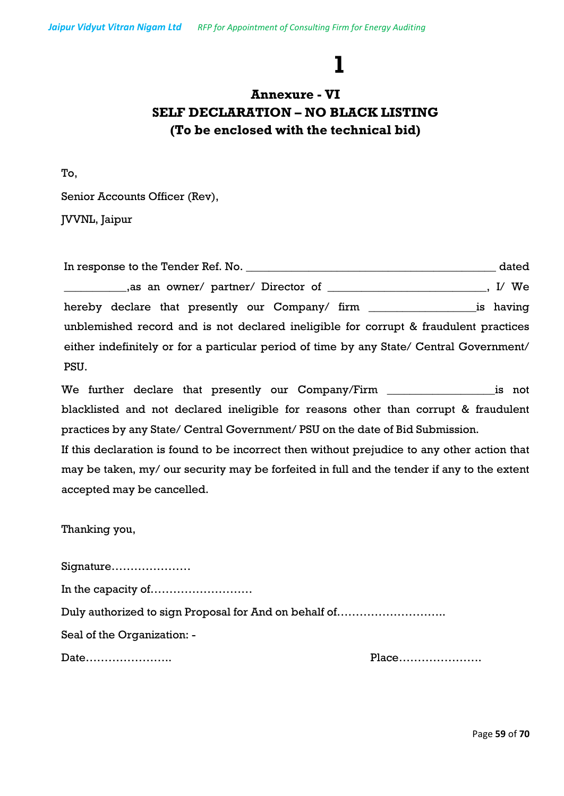# **1**

# **Annexure - VI SELF DECLARATION – NO BLACK LISTING (To be enclosed with the technical bid)**

To,

Senior Accounts Officer (Rev),

JVVNL, Jaipur

In response to the Tender Ref. No. \_\_\_\_\_\_\_\_\_\_\_\_\_\_\_\_\_\_\_\_\_\_\_\_\_\_\_\_\_\_\_\_\_\_\_\_\_\_\_\_\_\_\_\_ dated as an owner/ partner/ Director of \_\_\_\_\_\_\_\_\_\_\_\_\_\_\_\_\_\_\_\_\_\_, I/ We hereby declare that presently our Company/ firm \_\_\_\_\_\_\_\_\_\_\_\_\_\_\_\_\_\_\_\_\_\_\_\_\_is having unblemished record and is not declared ineligible for corrupt & fraudulent practices either indefinitely or for a particular period of time by any State/ Central Government/ PSU.

We further declare that presently our Company/Firm \_\_\_\_\_\_\_\_\_\_\_\_\_\_\_\_\_\_\_is not blacklisted and not declared ineligible for reasons other than corrupt & fraudulent practices by any State/ Central Government/ PSU on the date of Bid Submission.

If this declaration is found to be incorrect then without prejudice to any other action that may be taken, my/ our security may be forfeited in full and the tender if any to the extent accepted may be cancelled.

Thanking you,

Signature………………… In the capacity of……………………… Duly authorized to sign Proposal for And on behalf of……………………….. Seal of the Organization: - Date………………….. Place………………….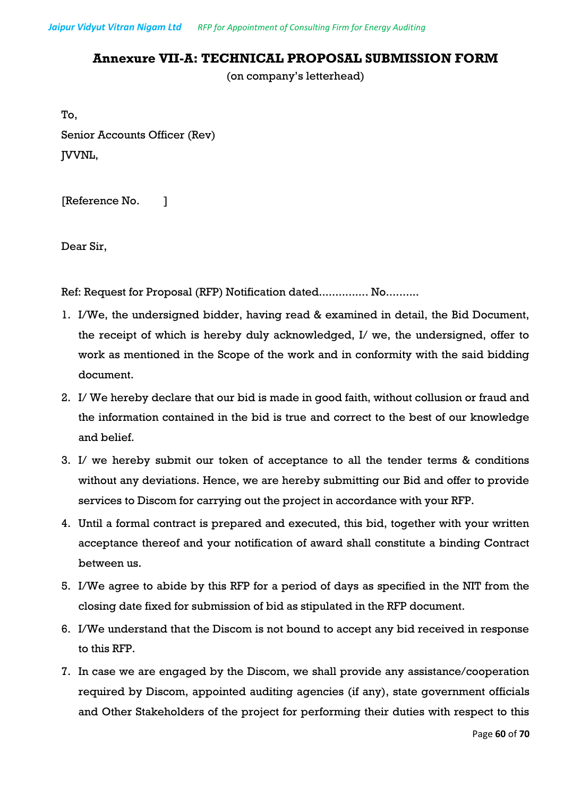# **Annexure VII-A: TECHNICAL PROPOSAL SUBMISSION FORM**

(on company's letterhead)

To, Senior Accounts Officer (Rev) JVVNL,

[Reference No. ]

Dear Sir,

Ref: Request for Proposal (RFP) Notification dated............... No..........

- 1. I/We, the undersigned bidder, having read & examined in detail, the Bid Document, the receipt of which is hereby duly acknowledged, I/ we, the undersigned, offer to work as mentioned in the Scope of the work and in conformity with the said bidding document.
- 2. I/ We hereby declare that our bid is made in good faith, without collusion or fraud and the information contained in the bid is true and correct to the best of our knowledge and belief.
- 3. I/ we hereby submit our token of acceptance to all the tender terms & conditions without any deviations. Hence, we are hereby submitting our Bid and offer to provide services to Discom for carrying out the project in accordance with your RFP.
- 4. Until a formal contract is prepared and executed, this bid, together with your written acceptance thereof and your notification of award shall constitute a binding Contract between us.
- 5. I/We agree to abide by this RFP for a period of days as specified in the NIT from the closing date fixed for submission of bid as stipulated in the RFP document.
- 6. I/We understand that the Discom is not bound to accept any bid received in response to this RFP.
- 7. In case we are engaged by the Discom, we shall provide any assistance/cooperation required by Discom, appointed auditing agencies (if any), state government officials and Other Stakeholders of the project for performing their duties with respect to this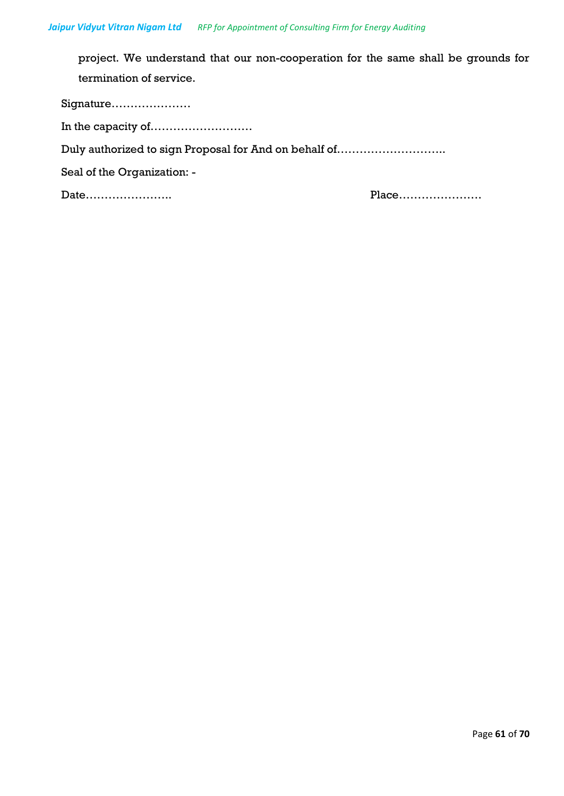project. We understand that our non-cooperation for the same shall be grounds for termination of service.

Signature………………… In the capacity of……………………… Duly authorized to sign Proposal for And on behalf of……………………….. Seal of the Organization: - Date………………….. Place………………….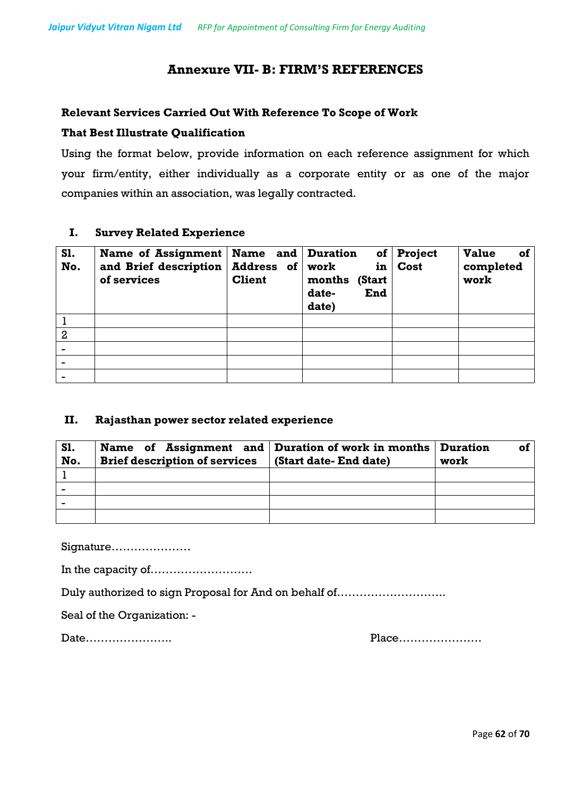### **Annexure VII- B: FIRM'S REFERENCES**

#### **Relevant Services Carried Out With Reference To Scope of Work**

#### **That Best Illustrate Qualification**

Using the format below, provide information on each reference assignment for which your firm/entity, either individually as a corporate entity or as one of the major companies within an association, was legally contracted.

#### **I. Survey Related Experience**

| <b>S1.</b><br>No. | Name of Assignment   Name and   Duration<br>and Brief description<br>of services | Address of work<br><b>Client</b> | in<br>months<br>(Start<br>date-<br>End<br>date) | of Project<br><b>Cost</b> | <b>Value</b><br>οf<br>completed<br>work |
|-------------------|----------------------------------------------------------------------------------|----------------------------------|-------------------------------------------------|---------------------------|-----------------------------------------|
|                   |                                                                                  |                                  |                                                 |                           |                                         |
| $\overline{2}$    |                                                                                  |                                  |                                                 |                           |                                         |
|                   |                                                                                  |                                  |                                                 |                           |                                         |
|                   |                                                                                  |                                  |                                                 |                           |                                         |
|                   |                                                                                  |                                  |                                                 |                           |                                         |

#### **II. Rajasthan power sector related experience**

| <b>S1.</b>     | Name of Assignment and Duration of work in months Duration |                        | οf   |
|----------------|------------------------------------------------------------|------------------------|------|
| No.            | <b>Brief description of services</b>                       | (Start date- End date) | work |
|                |                                                            |                        |      |
| $\blacksquare$ |                                                            |                        |      |
|                |                                                            |                        |      |
|                |                                                            |                        |      |

Signature…………………

In the capacity of………………………

Duly authorized to sign Proposal for And on behalf of………………………..

Seal of the Organization: -

Date………………….. Place………………….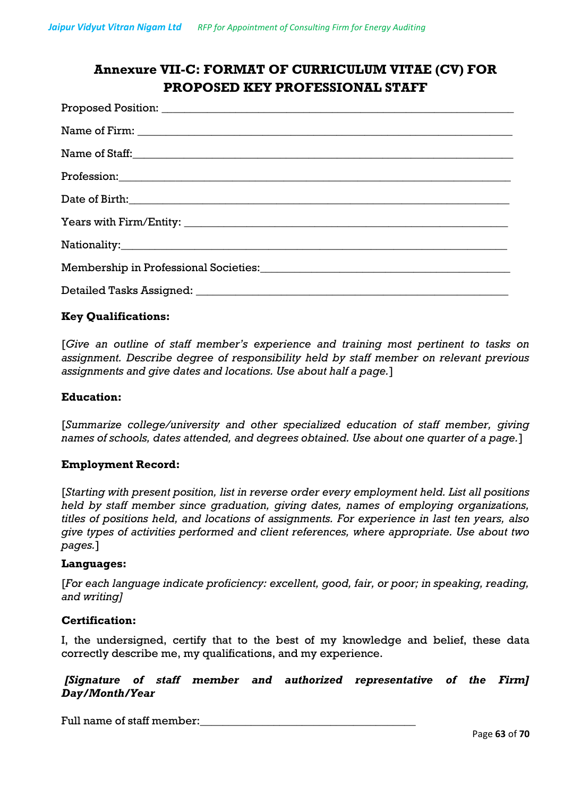# **Annexure VII-C: FORMAT OF CURRICULUM VITAE (CV) FOR PROPOSED KEY PROFESSIONAL STAFF**

| Name of Staff: |
|----------------|
|                |
|                |
|                |
|                |
|                |
|                |
|                |

#### **Key Qualifications:**

[*Give an outline of staff member's experience and training most pertinent to tasks on assignment. Describe degree of responsibility held by staff member on relevant previous assignments and give dates and locations. Use about half a page.*]

#### **Education:**

[*Summarize college/university and other specialized education of staff member, giving names of schools, dates attended, and degrees obtained. Use about one quarter of a page.*]

#### **Employment Record:**

[*Starting with present position, list in reverse order every employment held. List all positions held by staff member since graduation, giving dates, names of employing organizations, titles of positions held, and locations of assignments. For experience in last ten years, also give types of activities performed and client references, where appropriate. Use about two pages.*]

#### **Languages:**

[*For each language indicate proficiency: excellent, good, fair, or poor; in speaking, reading, and writing]*

#### **Certification:**

I, the undersigned, certify that to the best of my knowledge and belief, these data correctly describe me, my qualifications, and my experience.

#### *[Signature of staff member and authorized representative of the Firm] Day/Month/Year*

Full name of staff member: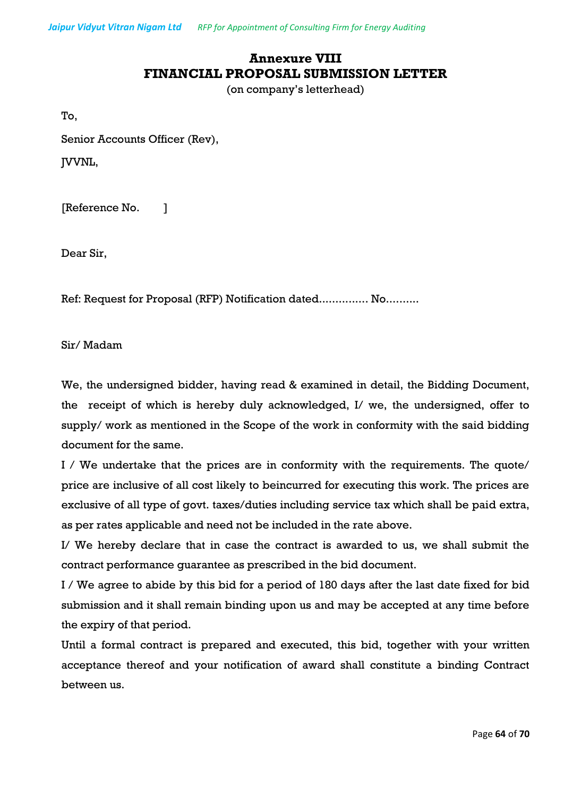*Jaipur Vidyut Vitran Nigam Ltd RFP for Appointment of Consulting Firm for Energy Auditing*

# **Annexure VIII FINANCIAL PROPOSAL SUBMISSION LETTER**

(on company's letterhead)

To,

Senior Accounts Officer (Rev),

JVVNL,

[Reference No. ]

Dear Sir,

Ref: Request for Proposal (RFP) Notification dated............... No..........

Sir/ Madam

We, the undersigned bidder, having read & examined in detail, the Bidding Document, the receipt of which is hereby duly acknowledged, I/ we, the undersigned, offer to supply/ work as mentioned in the Scope of the work in conformity with the said bidding document for the same.

I / We undertake that the prices are in conformity with the requirements. The quote/ price are inclusive of all cost likely to beincurred for executing this work. The prices are exclusive of all type of govt. taxes/duties including service tax which shall be paid extra, as per rates applicable and need not be included in the rate above.

I/ We hereby declare that in case the contract is awarded to us, we shall submit the contract performance guarantee as prescribed in the bid document.

I / We agree to abide by this bid for a period of 180 days after the last date fixed for bid submission and it shall remain binding upon us and may be accepted at any time before the expiry of that period.

Until a formal contract is prepared and executed, this bid, together with your written acceptance thereof and your notification of award shall constitute a binding Contract between us.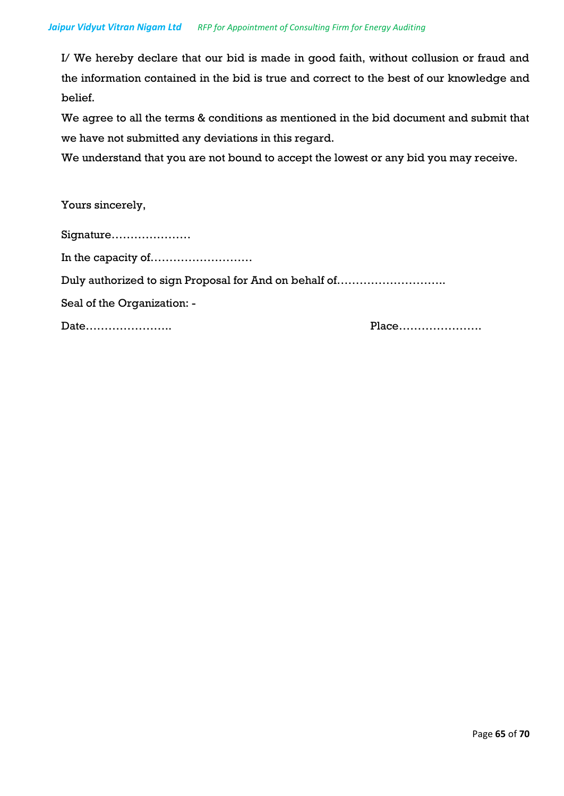I/ We hereby declare that our bid is made in good faith, without collusion or fraud and the information contained in the bid is true and correct to the best of our knowledge and belief.

We agree to all the terms & conditions as mentioned in the bid document and submit that we have not submitted any deviations in this regard.

We understand that you are not bound to accept the lowest or any bid you may receive.

Yours sincerely,

| Signature                                             |       |
|-------------------------------------------------------|-------|
|                                                       |       |
| Duly authorized to sign Proposal for And on behalf of |       |
| Seal of the Organization: -                           |       |
| Date                                                  | Place |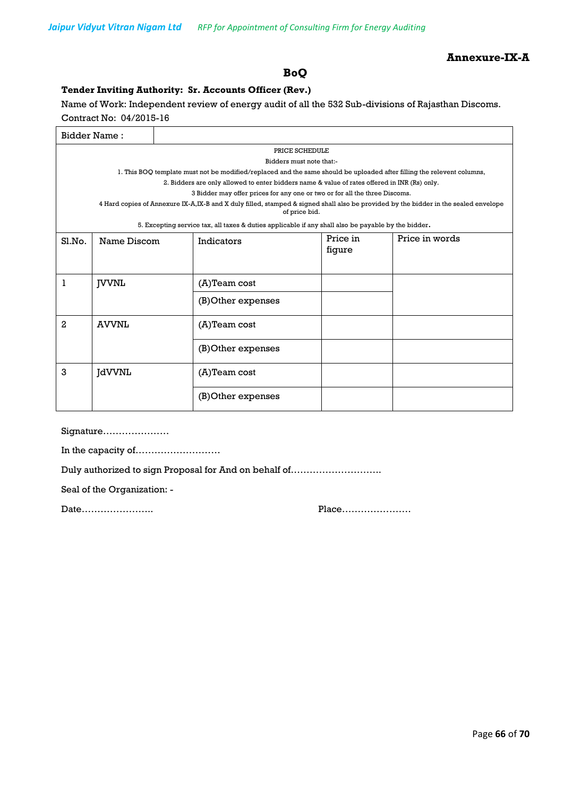#### **Annexure-IX-A**

### **BoQ**

#### **Tender Inviting Authority: Sr. Accounts Officer (Rev.)**

Name of Work: Independent review of energy audit of all the 532 Sub-divisions of Rajasthan Discoms.

Contract No: 04/2015-16

| <b>Bidder Name:</b> |                |  |                                                                                                                                                      |          |                |  |
|---------------------|----------------|--|------------------------------------------------------------------------------------------------------------------------------------------------------|----------|----------------|--|
|                     | PRICE SCHEDULE |  |                                                                                                                                                      |          |                |  |
|                     |                |  | Bidders must note that:-                                                                                                                             |          |                |  |
|                     |                |  | 1. This BOQ template must not be modified/replaced and the same should be uploaded after filling the relevent columns,                               |          |                |  |
|                     |                |  | 2. Bidders are only allowed to enter bidders name & value of rates offered in INR (Rs) only.                                                         |          |                |  |
|                     |                |  | 3 Bidder may offer prices for any one or two or for all the three Discoms.                                                                           |          |                |  |
|                     |                |  | 4 Hard copies of Annexure IX-A,IX-B and X duly filled, stamped & signed shall also be provided by the bidder in the sealed envelope<br>of price bid. |          |                |  |
|                     |                |  | 5. Excepting service tax, all taxes & duties applicable if any shall also be payable by the bidder.                                                  |          |                |  |
| S1.No.              | Name Discom    |  | Indicators                                                                                                                                           | Price in | Price in words |  |
|                     |                |  |                                                                                                                                                      | figure   |                |  |
|                     |                |  |                                                                                                                                                      |          |                |  |
|                     |                |  |                                                                                                                                                      |          |                |  |
| 1                   | <b>IVVNL</b>   |  | (A)Team cost                                                                                                                                         |          |                |  |
|                     |                |  | (B) Other expenses                                                                                                                                   |          |                |  |
| 2                   | <b>AVVNL</b>   |  | $(A)$ Team cost                                                                                                                                      |          |                |  |
|                     |                |  | (B) Other expenses                                                                                                                                   |          |                |  |
| 3                   | <b>JdVVNL</b>  |  | (A)Team cost                                                                                                                                         |          |                |  |
|                     |                |  | (B) Other expenses                                                                                                                                   |          |                |  |

Signature…………………

In the capacity of………………………

Duly authorized to sign Proposal for And on behalf of………………………..

Seal of the Organization: -

Date………………….. Place………………….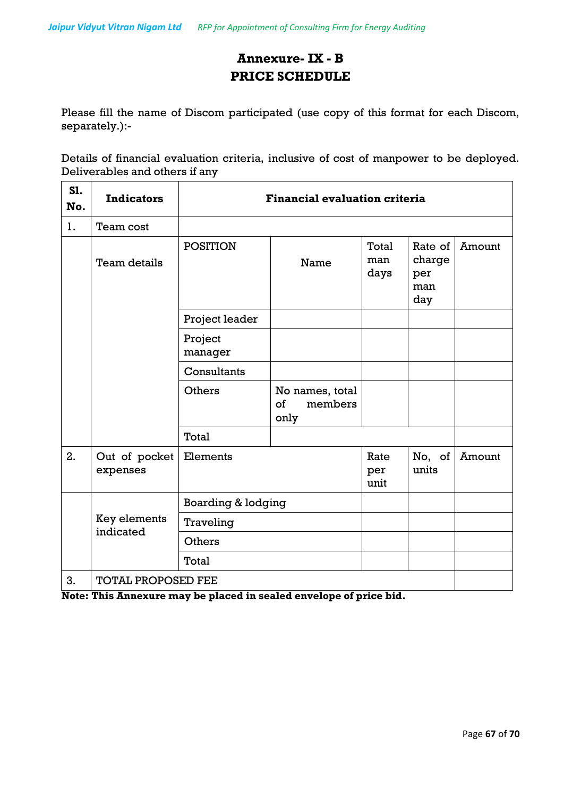# **Annexure- IX - B PRICE SCHEDULE**

Please fill the name of Discom participated (use copy of this format for each Discom, separately.):-

Details of financial evaluation criteria, inclusive of cost of manpower to be deployed. Deliverables and others if any

| S1.<br>No. | <b>Indicators</b>         | <b>Financial evaluation criteria</b> |                                          |                      |                                        |        |
|------------|---------------------------|--------------------------------------|------------------------------------------|----------------------|----------------------------------------|--------|
| 1.         | Team cost                 |                                      |                                          |                      |                                        |        |
|            | Team details              | <b>POSITION</b>                      | Name                                     | Total<br>man<br>days | Rate of<br>charge<br>per<br>man<br>day | Amount |
|            |                           | Project leader                       |                                          |                      |                                        |        |
|            |                           | Project<br>manager                   |                                          |                      |                                        |        |
|            |                           | Consultants                          |                                          |                      |                                        |        |
|            |                           | Others                               | No names, total<br>of<br>members<br>only |                      |                                        |        |
|            |                           | Total                                |                                          |                      |                                        |        |
| 2.         | Out of pocket<br>expenses | Elements                             |                                          | Rate<br>per<br>unit  | No, of<br>units                        | Amount |
|            |                           | <b>Boarding &amp; lodging</b>        |                                          |                      |                                        |        |
|            | Key elements<br>indicated | Traveling                            |                                          |                      |                                        |        |
|            |                           | Others                               |                                          |                      |                                        |        |
|            |                           | Total                                |                                          |                      |                                        |        |
| 3.         | <b>TOTAL PROPOSED FEE</b> |                                      |                                          |                      |                                        |        |

**Note: This Annexure may be placed in sealed envelope of price bid.**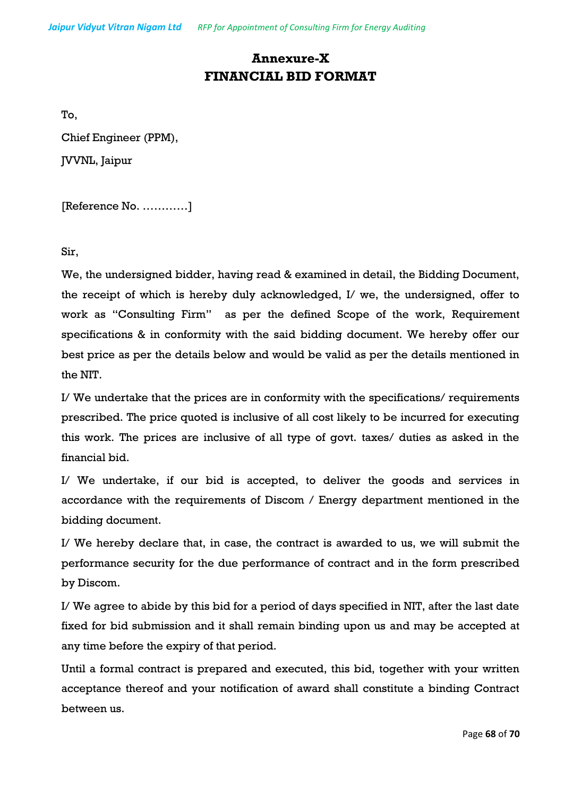# **Annexure-X FINANCIAL BID FORMAT**

To,

Chief Engineer (PPM),

JVVNL, Jaipur

[Reference No. …………]

Sir,

We, the undersigned bidder, having read & examined in detail, the Bidding Document, the receipt of which is hereby duly acknowledged, I/ we, the undersigned, offer to work as "Consulting Firm" as per the defined Scope of the work, Requirement specifications & in conformity with the said bidding document. We hereby offer our best price as per the details below and would be valid as per the details mentioned in the NIT.

I/ We undertake that the prices are in conformity with the specifications/ requirements prescribed. The price quoted is inclusive of all cost likely to be incurred for executing this work. The prices are inclusive of all type of govt. taxes/ duties as asked in the financial bid.

I/ We undertake, if our bid is accepted, to deliver the goods and services in accordance with the requirements of Discom / Energy department mentioned in the bidding document.

I/ We hereby declare that, in case, the contract is awarded to us, we will submit the performance security for the due performance of contract and in the form prescribed by Discom.

I/ We agree to abide by this bid for a period of days specified in NIT, after the last date fixed for bid submission and it shall remain binding upon us and may be accepted at any time before the expiry of that period.

Until a formal contract is prepared and executed, this bid, together with your written acceptance thereof and your notification of award shall constitute a binding Contract between us.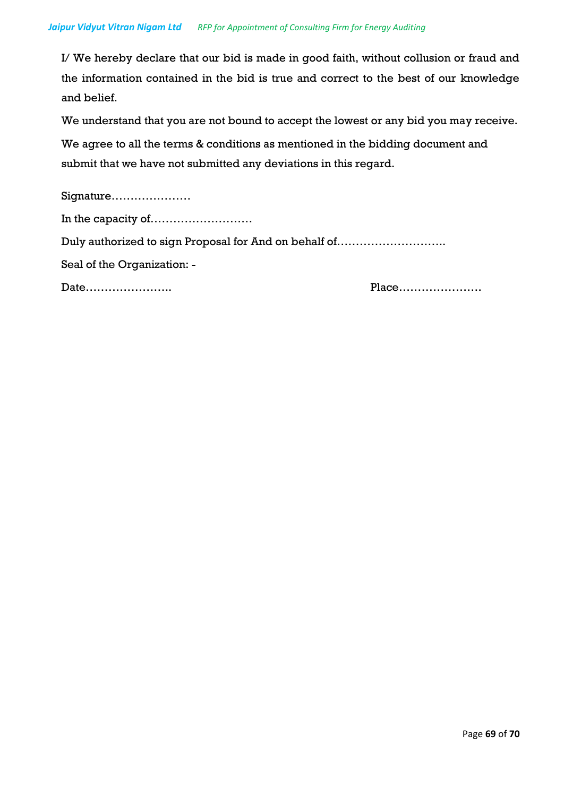I/ We hereby declare that our bid is made in good faith, without collusion or fraud and the information contained in the bid is true and correct to the best of our knowledge and belief.

We understand that you are not bound to accept the lowest or any bid you may receive.

We agree to all the terms & conditions as mentioned in the bidding document and submit that we have not submitted any deviations in this regard.

| Signature                                             |       |
|-------------------------------------------------------|-------|
|                                                       |       |
| Duly authorized to sign Proposal for And on behalf of |       |
| Seal of the Organization: -                           |       |
| Date                                                  | Place |